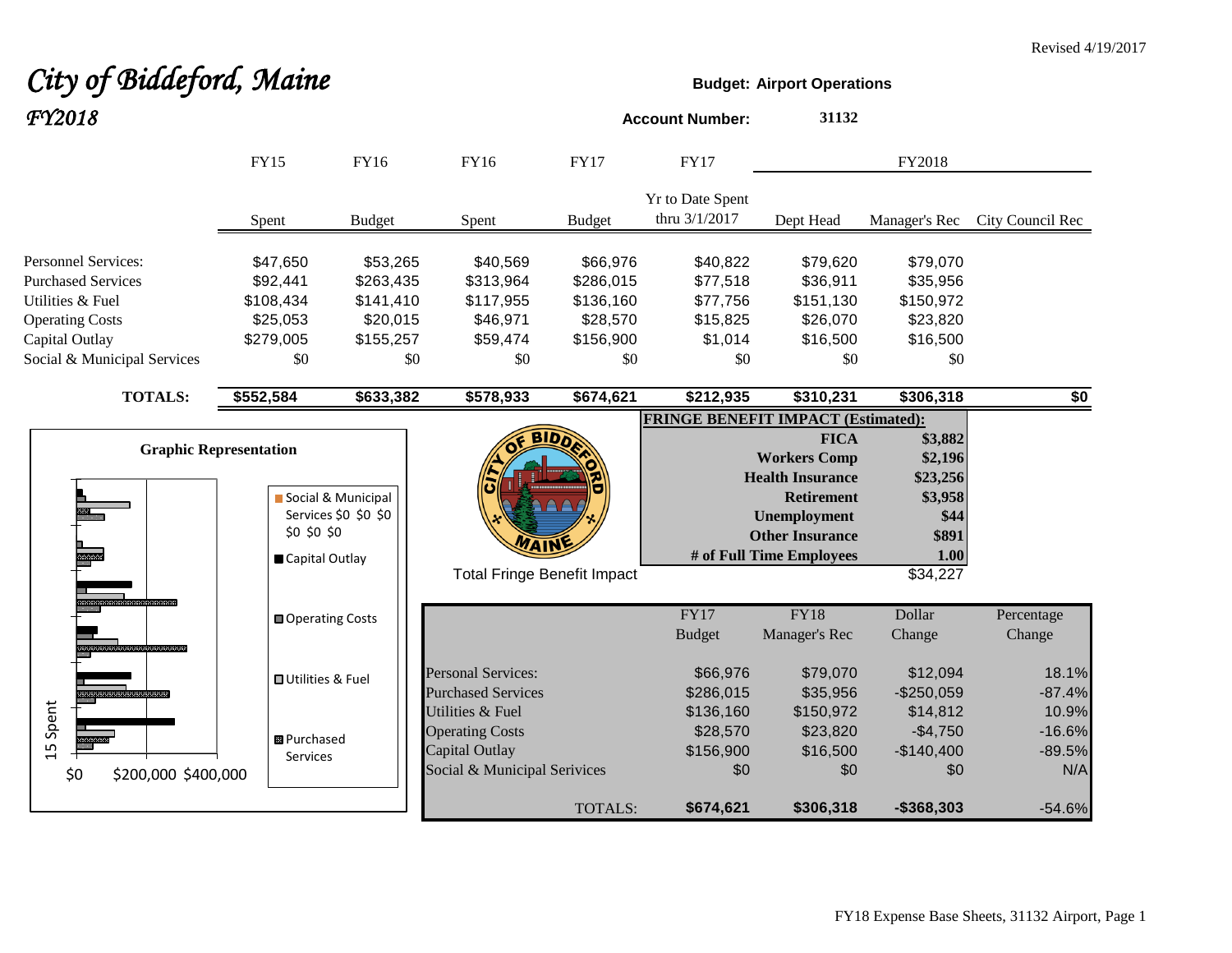# **City of Biddeford, Maine Budget:** Airport Operations

| FY2018                                                                                                |                                                                |                                                |                                                                                              |                                                   | <b>Account Number:</b>                       | 31132                                                                                                                                                    |                                                                                |                                      |
|-------------------------------------------------------------------------------------------------------|----------------------------------------------------------------|------------------------------------------------|----------------------------------------------------------------------------------------------|---------------------------------------------------|----------------------------------------------|----------------------------------------------------------------------------------------------------------------------------------------------------------|--------------------------------------------------------------------------------|--------------------------------------|
|                                                                                                       | <b>FY15</b>                                                    | FY16                                           | FY16                                                                                         | <b>FY17</b>                                       | <b>FY17</b>                                  |                                                                                                                                                          | FY2018                                                                         |                                      |
|                                                                                                       | Spent                                                          | <b>Budget</b>                                  | Spent                                                                                        | <b>Budget</b>                                     | <b>Yr to Date Spent</b><br>thru 3/1/2017     | Dept Head                                                                                                                                                | Manager's Rec                                                                  | City Council Rec                     |
| <b>Personnel Services:</b><br><b>Purchased Services</b><br>Utilities & Fuel<br><b>Operating Costs</b> | \$47,650<br>\$92,441<br>\$108,434<br>\$25,053                  | \$53,265<br>\$263,435<br>\$141,410<br>\$20,015 | \$40,569<br>\$313,964<br>\$117,955<br>\$46,971                                               | \$66,976<br>\$286,015<br>\$136,160<br>\$28,570    | \$40,822<br>\$77,518<br>\$77,756<br>\$15,825 | \$79,620<br>\$36,911<br>\$151,130<br>\$26,070                                                                                                            | \$79,070<br>\$35,956<br>\$150,972<br>\$23,820                                  |                                      |
| Capital Outlay<br>Social & Municipal Services                                                         | \$279,005<br>\$0                                               | \$155,257<br>\$0                               | \$59,474<br>\$0                                                                              | \$156,900<br>\$0                                  | \$1,014<br>\$0                               | \$16,500<br>\$0                                                                                                                                          | \$16,500<br>\$0                                                                |                                      |
| <b>TOTALS:</b>                                                                                        | \$552,584                                                      | \$633,382                                      | $\overline{$}578,933$                                                                        | \$674,621                                         | \$212,935                                    | \$310,231                                                                                                                                                | \$306,318                                                                      | \$0                                  |
|                                                                                                       | <b>Graphic Representation</b><br>\$0 \$0 \$0<br>Capital Outlay | Social & Municipal<br>Services \$0 \$0 \$0     |                                                                                              | <b>BIDA</b><br><b>Total Fringe Benefit Impact</b> | <b>FRINGE BENEFIT IMPACT (Estimated):</b>    | <b>FICA</b><br><b>Workers Comp</b><br><b>Health Insurance</b><br><b>Retirement</b><br>Unemployment<br><b>Other Insurance</b><br># of Full Time Employees | \$3,882<br>\$2,196<br>\$23,256<br>\$3,958<br>\$44<br>\$891<br>1.00<br>\$34,227 |                                      |
|                                                                                                       | <b>■ Operating Costs</b>                                       |                                                |                                                                                              |                                                   | FY17<br><b>Budget</b>                        | <b>FY18</b><br>Manager's Rec                                                                                                                             | Dollar<br>Change                                                               | Percentage<br>Change                 |
|                                                                                                       | <b>OUtilities &amp; Fuel</b>                                   |                                                | <b>Personal Services:</b><br><b>Purchased Services</b>                                       |                                                   | \$66,976<br>\$286,015                        | \$79,070<br>\$35,956                                                                                                                                     | \$12,094<br>$-$250,059$                                                        | 18.1%<br>$-87.4%$                    |
| 15 Spent<br>\$0<br>\$200,000 \$400,000                                                                | <b>B</b> Purchased<br>Services                                 |                                                | Utilities & Fuel<br><b>Operating Costs</b><br>Capital Outlay<br>Social & Municipal Serivices |                                                   | \$136,160<br>\$28,570<br>\$156,900<br>\$0    | \$150,972<br>\$23,820<br>\$16,500<br>\$0                                                                                                                 | \$14,812<br>$-$4,750$<br>$-$140,400$<br>\$0                                    | 10.9%<br>$-16.6%$<br>$-89.5%$<br>N/A |
|                                                                                                       |                                                                |                                                |                                                                                              | <b>TOTALS:</b>                                    | \$674,621                                    | \$306,318                                                                                                                                                | $-$368,303$                                                                    | $-54.6%$                             |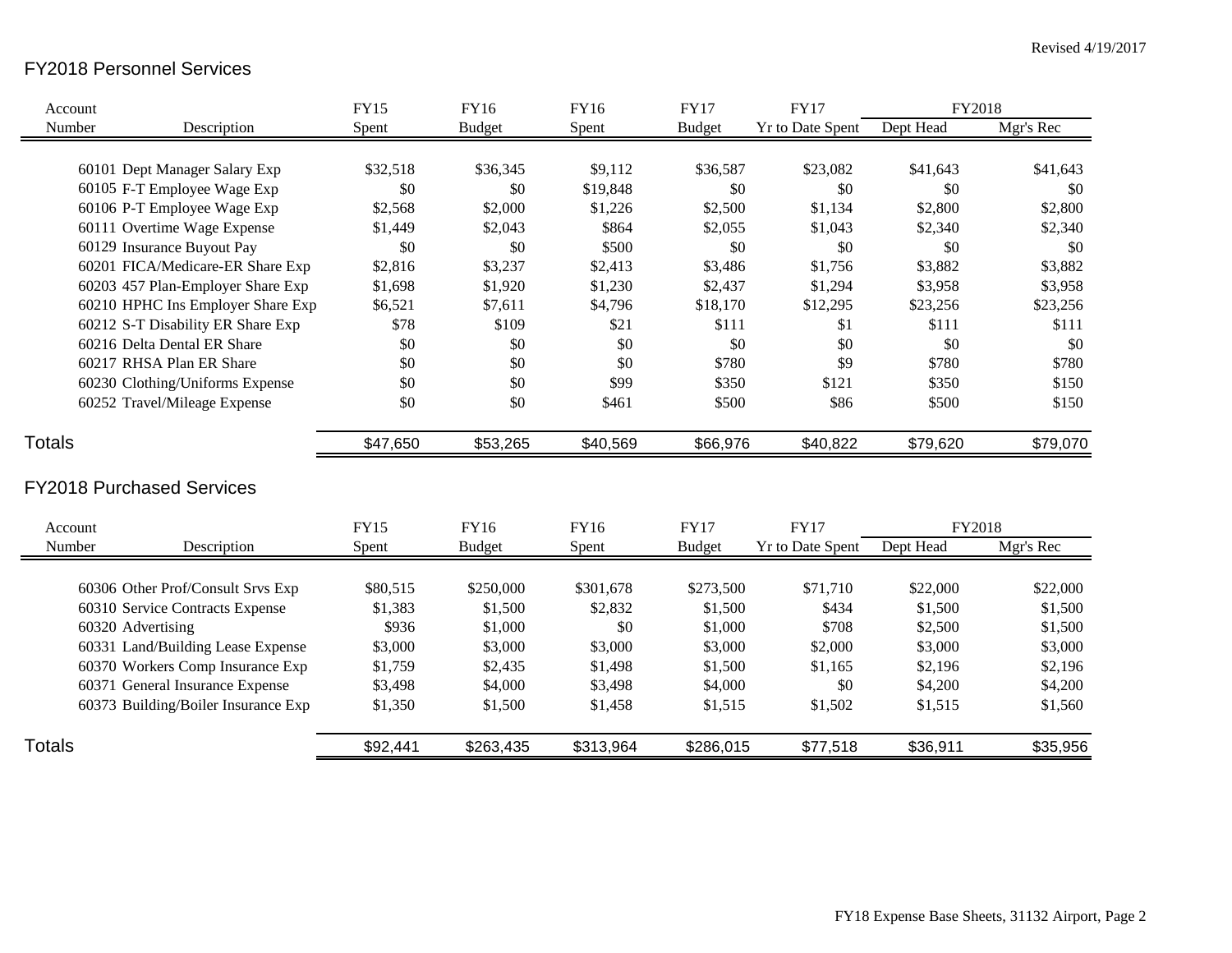# FY2018 Personnel Services

| Account       |                                     | <b>FY15</b> | FY16          | FY16      | <b>FY17</b>   | <b>FY17</b>             | FY2018    |           |
|---------------|-------------------------------------|-------------|---------------|-----------|---------------|-------------------------|-----------|-----------|
| Number        | Description                         | Spent       | <b>Budget</b> | Spent     | <b>Budget</b> | <b>Yr to Date Spent</b> | Dept Head | Mgr's Rec |
|               |                                     |             |               |           |               |                         |           |           |
|               | 60101 Dept Manager Salary Exp       | \$32,518    | \$36,345      | \$9,112   | \$36,587      | \$23,082                | \$41,643  | \$41,643  |
|               | 60105 F-T Employee Wage Exp         | \$0         | \$0           | \$19,848  | \$0           | \$0                     | \$0       | \$0       |
|               | 60106 P-T Employee Wage Exp         | \$2,568     | \$2,000       | \$1,226   | \$2,500       | \$1,134                 | \$2,800   | \$2,800   |
|               | 60111 Overtime Wage Expense         | \$1,449     | \$2,043       | \$864     | \$2,055       | \$1,043                 | \$2,340   | \$2,340   |
|               | 60129 Insurance Buyout Pay          | \$0         | \$0           | \$500     | \$0           | \$0                     | \$0       | \$0       |
|               | 60201 FICA/Medicare-ER Share Exp    | \$2,816     | \$3,237       | \$2,413   | \$3,486       | \$1,756                 | \$3,882   | \$3,882   |
|               | 60203 457 Plan-Employer Share Exp   | \$1,698     | \$1,920       | \$1,230   | \$2,437       | \$1,294                 | \$3,958   | \$3,958   |
|               | 60210 HPHC Ins Employer Share Exp   | \$6,521     | \$7,611       | \$4,796   | \$18,170      | \$12,295                | \$23,256  | \$23,256  |
|               | 60212 S-T Disability ER Share Exp   | \$78        | \$109         | \$21      | \$111         | \$1                     | \$111     | \$111     |
|               | 60216 Delta Dental ER Share         | \$0         | \$0           | \$0       | \$0           | \$0                     | \$0       | \$0       |
|               | 60217 RHSA Plan ER Share            | \$0         | \$0           | \$0       | \$780         | \$9                     | \$780     | \$780     |
|               | 60230 Clothing/Uniforms Expense     | \$0         | \$0           | \$99      | \$350         | \$121                   | \$350     | \$150     |
|               | 60252 Travel/Mileage Expense        | \$0         | \$0           | \$461     | \$500         | \$86                    | \$500     | \$150     |
| <b>Totals</b> |                                     | \$47,650    | \$53,265      | \$40,569  | \$66,976      | \$40,822                | \$79,620  | \$79,070  |
|               | <b>FY2018 Purchased Services</b>    |             |               |           |               |                         |           |           |
| Account       |                                     | <b>FY15</b> | FY16          | FY16      | <b>FY17</b>   | <b>FY17</b>             | FY2018    |           |
| Number        | Description                         | Spent       | <b>Budget</b> | Spent     | <b>Budget</b> | Yr to Date Spent        | Dept Head | Mgr's Rec |
|               | 60306 Other Prof/Consult Srvs Exp   | \$80,515    | \$250,000     | \$301,678 | \$273,500     | \$71,710                | \$22,000  | \$22,000  |
|               | 60310 Service Contracts Expense     | \$1,383     | \$1,500       | \$2,832   | \$1,500       | \$434                   | \$1,500   | \$1,500   |
|               | 60320 Advertising                   | \$936       | \$1,000       | \$0       | \$1,000       | \$708                   | \$2,500   | \$1,500   |
|               | 60331 Land/Building Lease Expense   | \$3,000     | \$3,000       | \$3,000   | \$3,000       | \$2,000                 | \$3,000   | \$3,000   |
|               | 60370 Workers Comp Insurance Exp    | \$1,759     | \$2,435       | \$1,498   | \$1,500       | \$1,165                 | \$2,196   | \$2,196   |
|               | 60371 General Insurance Expense     | \$3,498     | \$4,000       | \$3,498   | \$4,000       | \$0                     | \$4,200   | \$4,200   |
|               | 60373 Building/Boiler Insurance Exp | \$1,350     | \$1,500       | \$1,458   | \$1,515       | \$1,502                 | \$1,515   | \$1,560   |
| <b>Totals</b> |                                     | \$92,441    | \$263,435     | \$313,964 | \$286,015     | \$77,518                | \$36,911  | \$35,956  |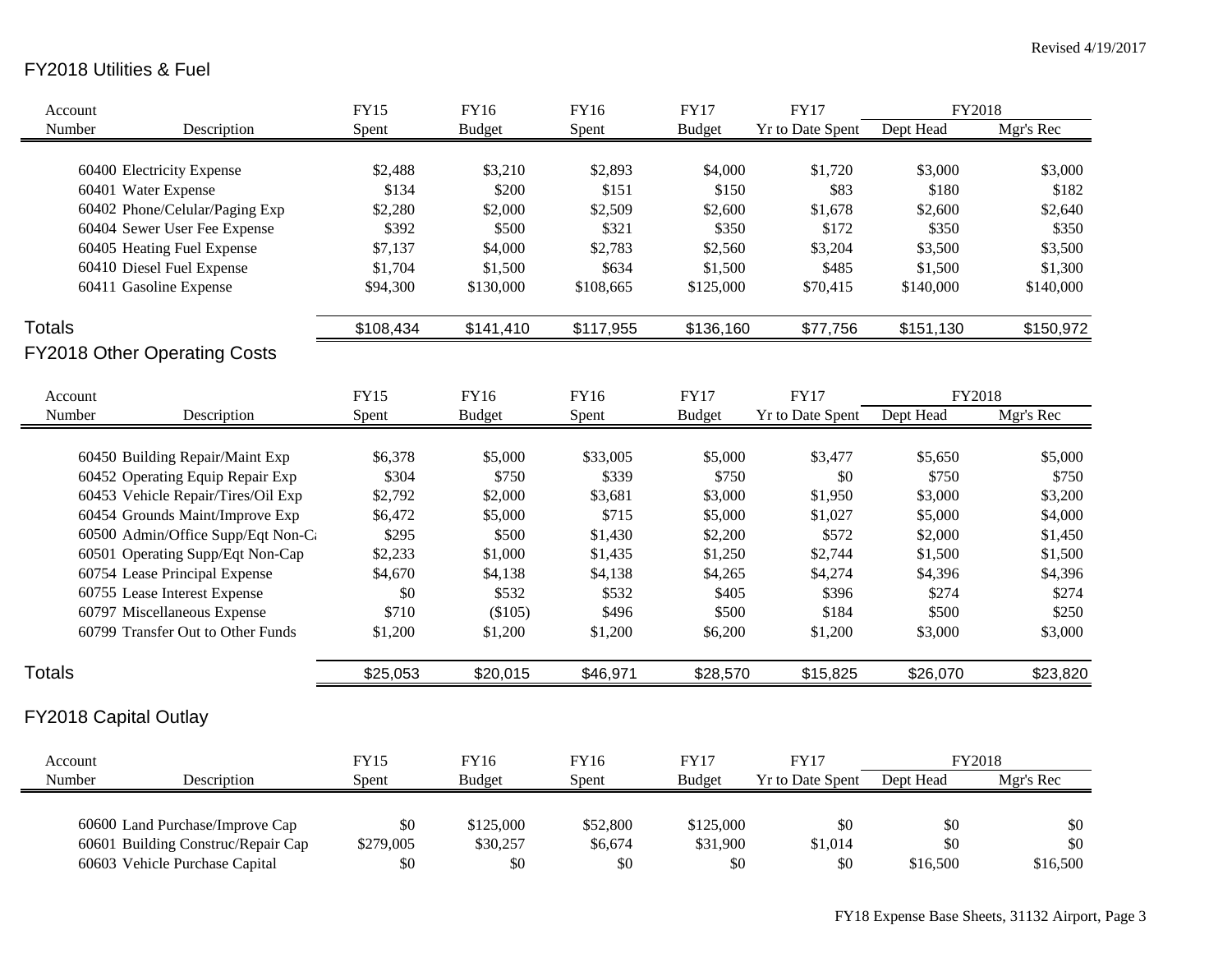## FY2018 Utilities & Fuel

| Account       |                                     | <b>FY15</b> | <b>FY16</b>   | FY16      | <b>FY17</b>   | <b>FY17</b>      | FY2018    |           |
|---------------|-------------------------------------|-------------|---------------|-----------|---------------|------------------|-----------|-----------|
| Number        | Description                         | Spent       | <b>Budget</b> | Spent     | <b>Budget</b> | Yr to Date Spent | Dept Head | Mgr's Rec |
|               |                                     |             |               |           |               |                  |           |           |
|               | 60400 Electricity Expense           | \$2,488     | \$3,210       | \$2,893   | \$4,000       | \$1,720          | \$3,000   | \$3,000   |
|               | 60401 Water Expense                 | \$134       | \$200         | \$151     | \$150         | \$83             | \$180     | \$182     |
|               | 60402 Phone/Celular/Paging Exp      | \$2,280     | \$2,000       | \$2,509   | \$2,600       | \$1,678          | \$2,600   | \$2,640   |
|               | 60404 Sewer User Fee Expense        | \$392       | \$500         | \$321     | \$350         | \$172            | \$350     | \$350     |
|               | 60405 Heating Fuel Expense          | \$7,137     | \$4,000       | \$2,783   | \$2,560       | \$3,204          | \$3,500   | \$3,500   |
|               | 60410 Diesel Fuel Expense           | \$1,704     | \$1,500       | \$634     | \$1,500       | \$485            | \$1,500   | \$1,300   |
|               | 60411 Gasoline Expense              | \$94,300    | \$130,000     | \$108,665 | \$125,000     | \$70,415         | \$140,000 | \$140,000 |
| <b>Totals</b> |                                     | \$108,434   | \$141,410     | \$117,955 | \$136,160     | \$77,756         | \$151,130 | \$150,972 |
|               | <b>FY2018 Other Operating Costs</b> |             |               |           |               |                  |           |           |
| Account       |                                     | <b>FY15</b> | <b>FY16</b>   | FY16      | <b>FY17</b>   | <b>FY17</b>      | FY2018    |           |
| Number        | Description                         | Spent       | <b>Budget</b> | Spent     |               | Yr to Date Spent | Dept Head | Mgr's Rec |
|               |                                     |             |               |           | <b>Budget</b> |                  |           |           |
|               | 60450 Building Repair/Maint Exp     | \$6,378     | \$5,000       | \$33,005  | \$5,000       | \$3,477          | \$5,650   | \$5,000   |
|               | 60452 Operating Equip Repair Exp    | \$304       | \$750         | \$339     | \$750         | \$0              | \$750     | \$750     |
|               | 60453 Vehicle Repair/Tires/Oil Exp  | \$2,792     | \$2,000       | \$3,681   | \$3,000       | \$1,950          | \$3,000   | \$3,200   |
|               | 60454 Grounds Maint/Improve Exp     | \$6,472     | \$5,000       | \$715     | \$5,000       | \$1,027          | \$5,000   | \$4,000   |
|               | 60500 Admin/Office Supp/Eqt Non-Ca  | \$295       | \$500         | \$1,430   | \$2,200       | \$572            | \$2,000   | \$1,450   |
|               | 60501 Operating Supp/Eqt Non-Cap    | \$2,233     | \$1,000       | \$1,435   | \$1,250       | \$2,744          | \$1,500   | \$1,500   |
|               | 60754 Lease Principal Expense       | \$4,670     | \$4,138       | \$4,138   | \$4,265       | \$4,274          | \$4,396   | \$4,396   |
|               | 60755 Lease Interest Expense        | \$0         | \$532         | \$532     | \$405         | \$396            | \$274     | \$274     |
|               | 60797 Miscellaneous Expense         | \$710       | (\$105)       | \$496     | \$500         | \$184            | \$500     | \$250     |
|               | 60799 Transfer Out to Other Funds   | \$1,200     | \$1,200       | \$1,200   | \$6,200       | \$1,200          | \$3,000   | \$3,000   |
|               |                                     |             |               |           |               |                  |           |           |
| <b>Totals</b> |                                     | \$25,053    | \$20,015      | \$46,971  | \$28,570      | \$15,825         | \$26,070  | \$23,820  |
|               | FY2018 Capital Outlay               |             |               |           |               |                  |           |           |
| Account       |                                     | <b>FY15</b> | <b>FY16</b>   | FY16      | <b>FY17</b>   | <b>FY17</b>      | FY2018    |           |
| Number        | Description                         | Spent       | <b>Budget</b> | Spent     | <b>Budget</b> | Yr to Date Spent | Dept Head | Mgr's Rec |
|               |                                     |             |               |           |               |                  |           |           |
|               | 60600 Land Purchase/Improve Cap     | \$0         | \$125,000     | \$52,800  | \$125,000     | \$0              | \$0       | \$0       |
|               | 60601 Building Construc/Repair Cap  | \$279,005   | \$30,257      | \$6,674   | \$31,900      | \$1,014          | \$0       | \$0       |
|               | 60603 Vehicle Purchase Capital      | \$0         | \$0           | \$0       | \$0           | \$0              | \$16,500  | \$16,500  |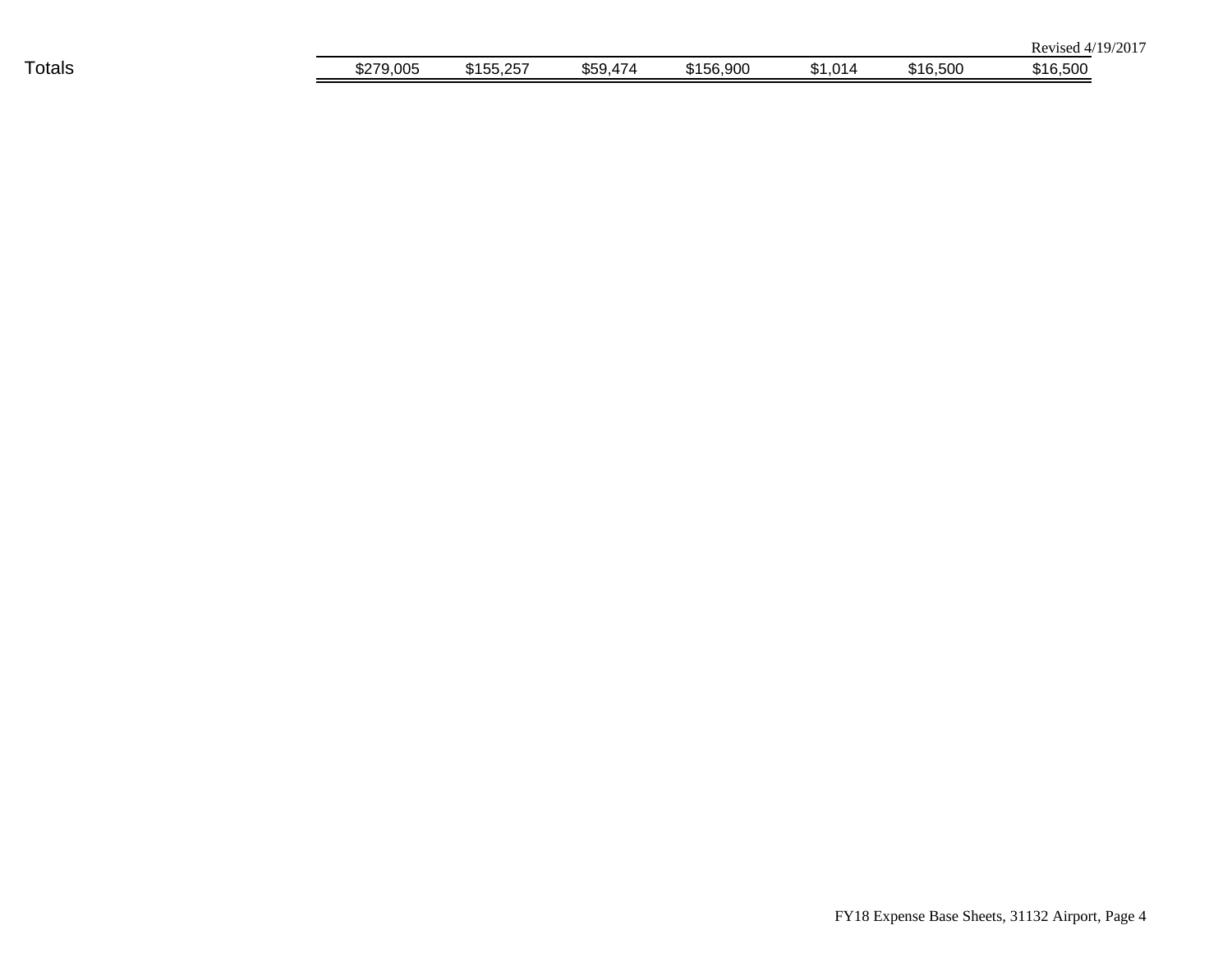|               |               |                  |                      |           |        |          | /2017<br>10.7<br>Revised 4/ |
|---------------|---------------|------------------|----------------------|-----------|--------|----------|-----------------------------|
| <b>Totals</b> | 79,005<br>חדר | 155,257<br>കിറ്റ | \$59<br>474<br>৺৺৺ শ | \$156,900 | 1,014ھ | \$16,500 | \$16,500                    |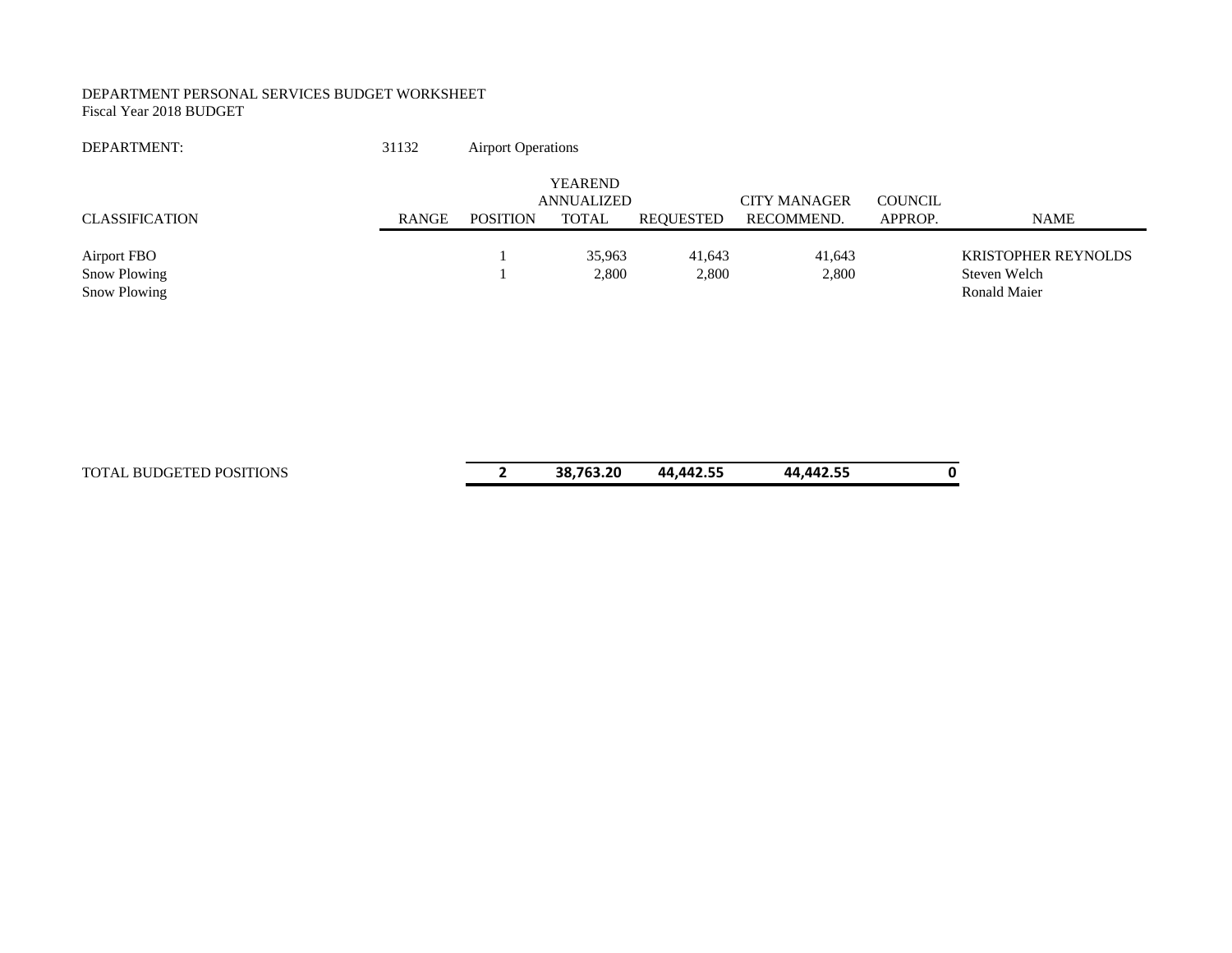#### DEPARTMENT PERSONAL SERVICES BUDGET WORKSHEET Fiscal Year 2018 BUDGET

| DEPARTMENT:                                        | 31132 | <b>Airport Operations</b> |                                                     |                  |                                   |                           |                                                            |
|----------------------------------------------------|-------|---------------------------|-----------------------------------------------------|------------------|-----------------------------------|---------------------------|------------------------------------------------------------|
| <b>CLASSIFICATION</b>                              | RANGE | <b>POSITION</b>           | <b>YEAREND</b><br><b>ANNUALIZED</b><br><b>TOTAL</b> | <b>REQUESTED</b> | <b>CITY MANAGER</b><br>RECOMMEND. | <b>COUNCIL</b><br>APPROP. | <b>NAME</b>                                                |
| <b>Airport FBO</b><br>Snow Plowing<br>Snow Plowing |       |                           | 35,963<br>2,800                                     | 41,643<br>2,800  | 41,643<br>2,800                   |                           | <b>KRISTOPHER REYNOLDS</b><br>Steven Welch<br>Ronald Maier |
| TOTAL BUDGETED POSITIONS                           |       | 2                         | 38,763.20                                           | 44,442.55        | 44,442.55                         |                           | 0                                                          |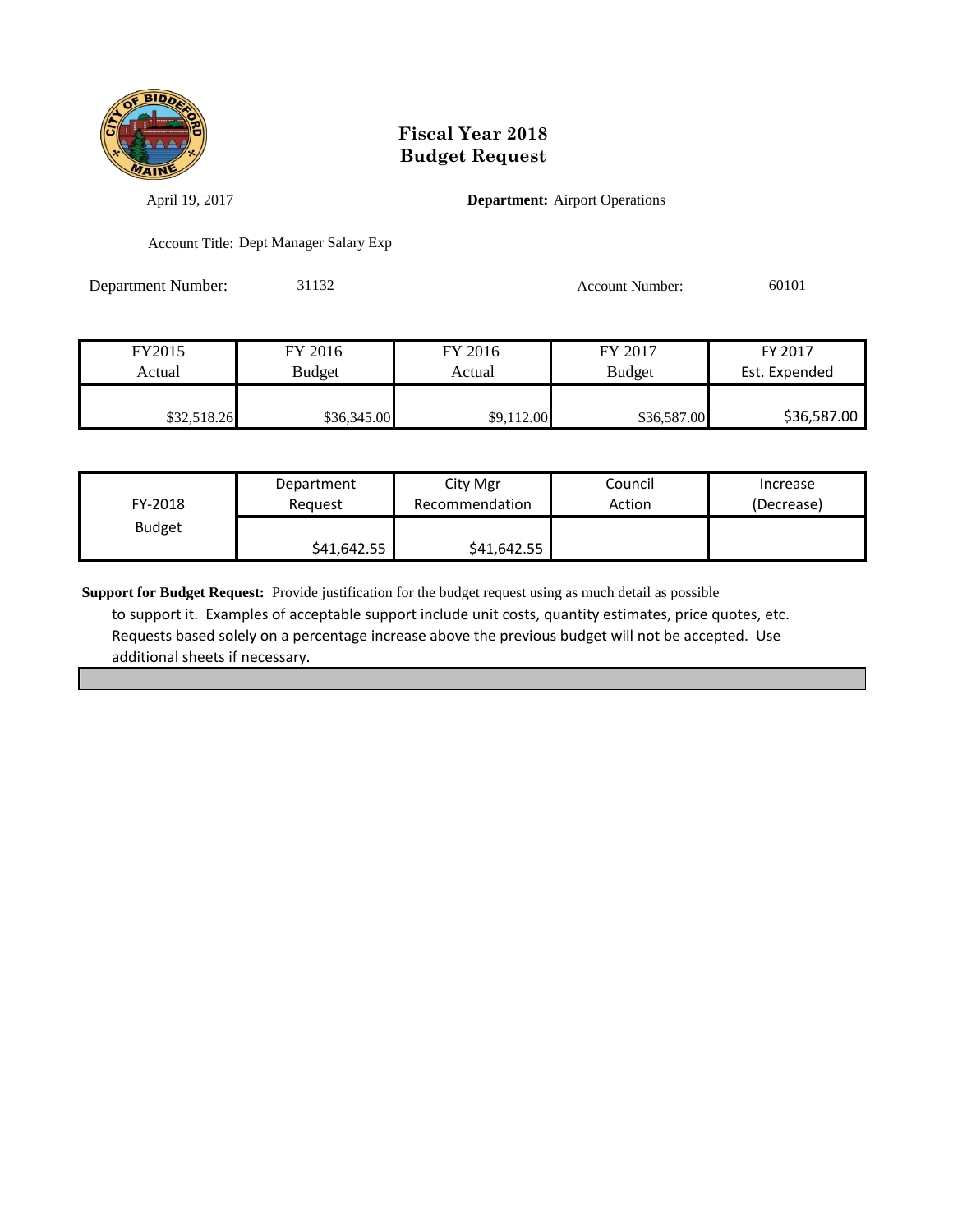

April 19, 2017 **Department:** Airport Operations

Account Title: Dept Manager Salary Exp

Department Number: 31132 Account Number: 60101

| FY2015      | FY 2016       | FY 2016    | FY 2017       | FY 2017       |
|-------------|---------------|------------|---------------|---------------|
| Actual      | <b>Budget</b> | Actual     | <b>Budget</b> | Est. Expended |
|             |               |            |               |               |
| \$32,518.26 | \$36,345.00   | \$9,112.00 | \$36,587.00   | \$36,587.00   |

| FY-2018       | Department  | City Mgr       | Council | Increase   |
|---------------|-------------|----------------|---------|------------|
|               | Reauest     | Recommendation | Action  | (Decrease) |
| <b>Budget</b> | \$41,642.55 | \$41,642.55    |         |            |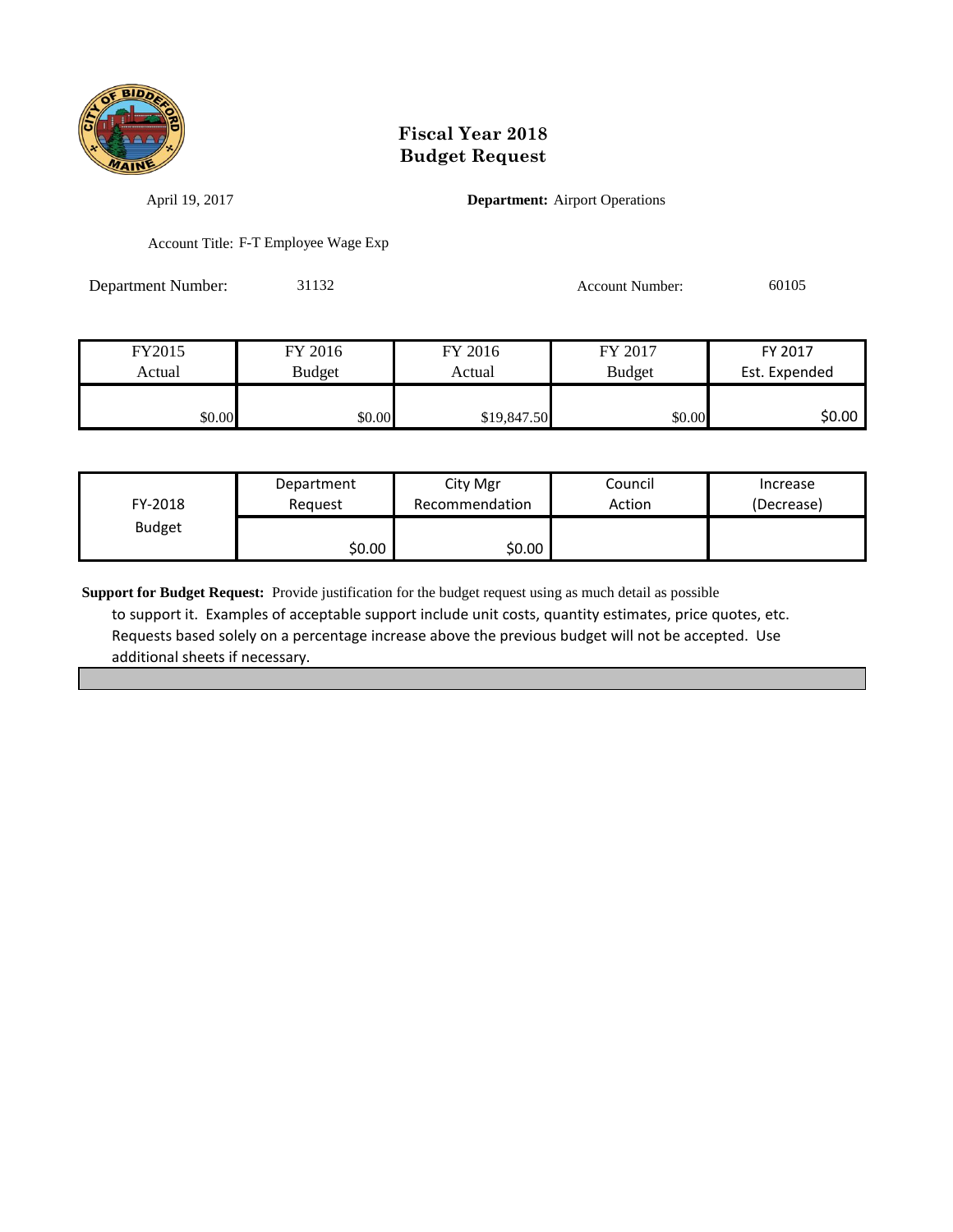

April 19, 2017 **Department:** Airport Operations

Account Title: F-T Employee Wage Exp

Department Number: 31132 Account Number: 60105

| FY2015 | FY 2016       | FY 2016     | FY 2017       | FY 2017       |
|--------|---------------|-------------|---------------|---------------|
| Actual | <b>Budget</b> | Actual      | <b>Budget</b> | Est. Expended |
|        |               |             |               |               |
| \$0.00 | \$0.00        | \$19,847.50 | \$0.00        | \$0.00        |

| FY-2018       | Department | City Mgr       | Council | Increase   |
|---------------|------------|----------------|---------|------------|
|               | Reauest    | Recommendation | Action  | (Decrease) |
| <b>Budget</b> | \$0.00     | \$0.00         |         |            |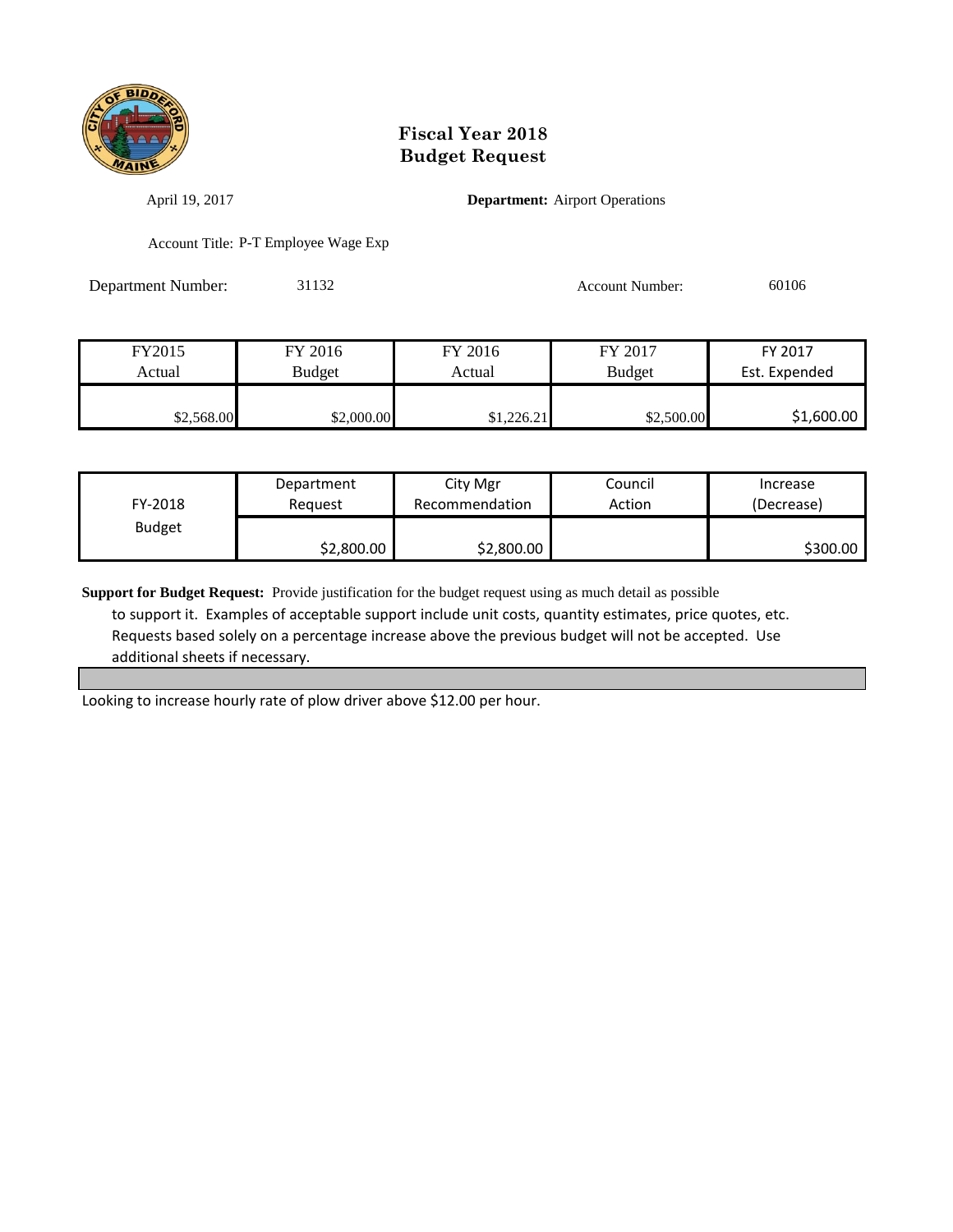

April 19, 2017 **Department:** Airport Operations

Account Title: P-T Employee Wage Exp

Department Number: 31132 Account Number: 60106

| FY2015     | FY 2016    | FY 2016    | FY 2017       | FY 2017       |
|------------|------------|------------|---------------|---------------|
| Actual     | Budget     | Actual     | <b>Budget</b> | Est. Expended |
|            |            |            |               |               |
| \$2,568.00 | \$2,000.00 | \$1,226.21 | \$2,500.00    | \$1,600.00    |

| FY-2018       | Department | City Mgr       | Council | Increase   |
|---------------|------------|----------------|---------|------------|
|               | Reauest    | Recommendation | Action  | (Decrease) |
| <b>Budget</b> | \$2,800.00 | \$2,800.00     |         | \$300.00   |

**Support for Budget Request:** Provide justification for the budget request using as much detail as possible to support it. Examples of acceptable support include unit costs, quantity estimates, price quotes, etc. Requests based solely on a percentage increase above the previous budget will not be accepted. Use additional sheets if necessary.

Looking to increase hourly rate of plow driver above \$12.00 per hour.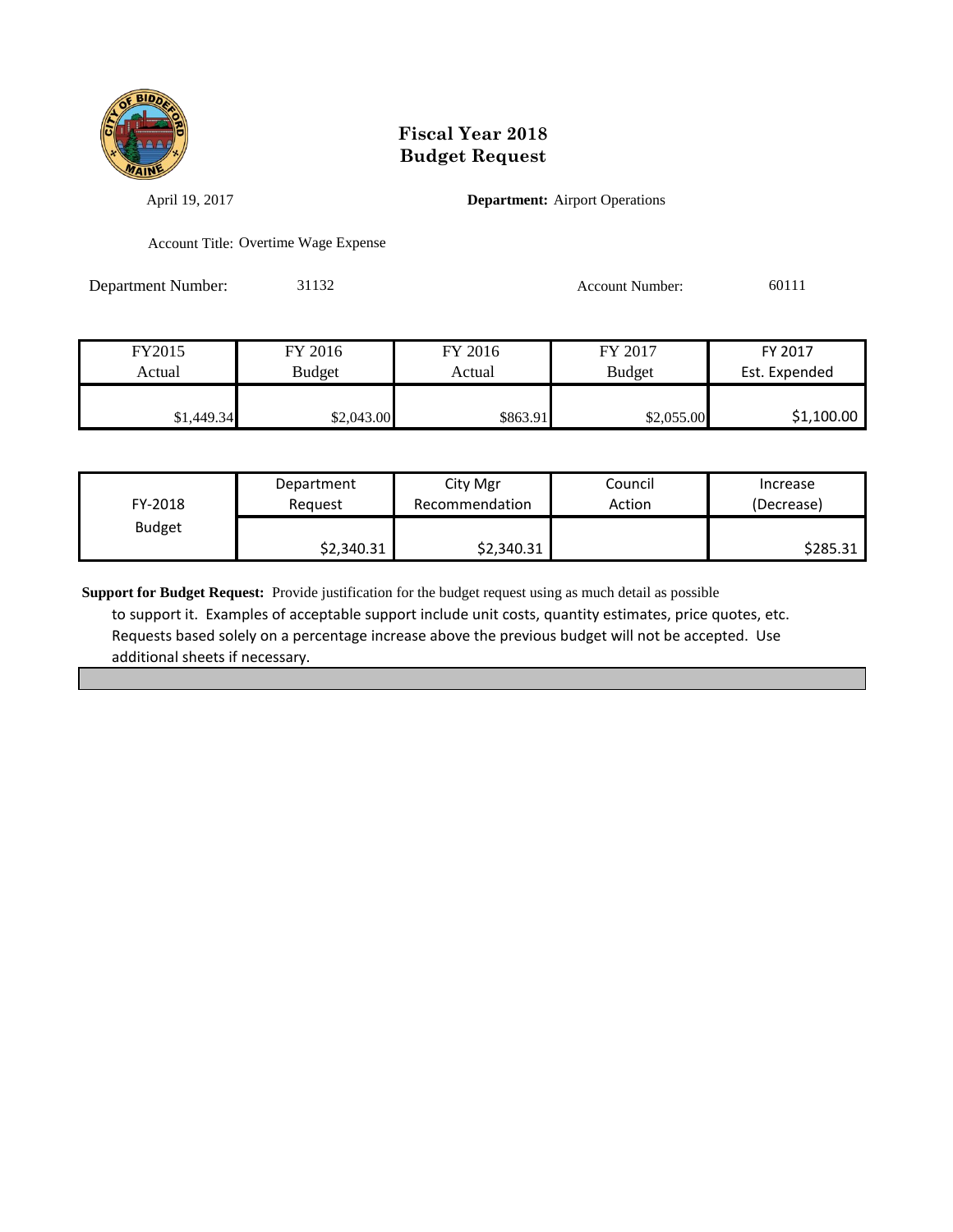

April 19, 2017 **Department:** Airport Operations

Account Title: Overtime Wage Expense

Department Number: 31132 Account Number: 60111

| FY2015     | FY 2016    | FY 2016  | FY 2017       | FY 2017       |
|------------|------------|----------|---------------|---------------|
| Actual     | Budget     | Actual   | <b>Budget</b> | Est. Expended |
|            |            |          |               |               |
| \$1,449.34 | \$2,043.00 | \$863.91 | \$2,055.00    | \$1,100.00    |

| FY-2018       | Department | City Mgr       | Council | Increase   |
|---------------|------------|----------------|---------|------------|
|               | Reauest    | Recommendation | Action  | (Decrease) |
| <b>Budget</b> | \$2,340.31 | \$2,340.31     |         | \$285.31   |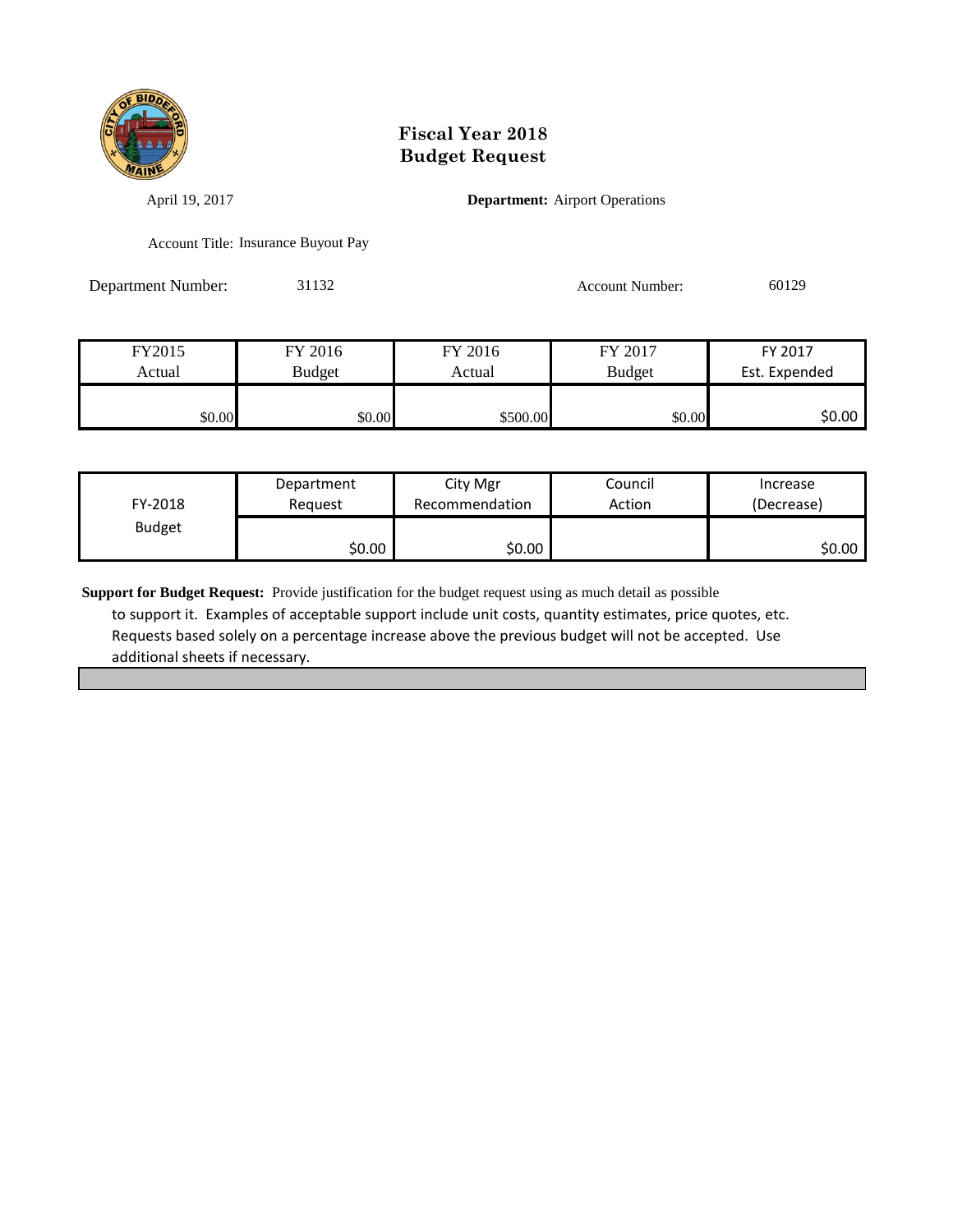

April 19, 2017 **Department:** Airport Operations

Account Title: Insurance Buyout Pay

Department Number: 31132 Account Number: 60129

| FY2015 | FY 2016       | FY 2016  | FY 2017       | FY 2017       |
|--------|---------------|----------|---------------|---------------|
| Actual | <b>Budget</b> | Actual   | <b>Budget</b> | Est. Expended |
|        |               |          |               |               |
| \$0.00 | \$0.00        | \$500.00 | \$0.00        | \$0.00        |

| FY-2018       | Department | City Mgr       | Council | Increase   |
|---------------|------------|----------------|---------|------------|
|               | Reauest    | Recommendation | Action  | (Decrease) |
| <b>Budget</b> | \$0.00     | \$0.00         |         | \$0.00     |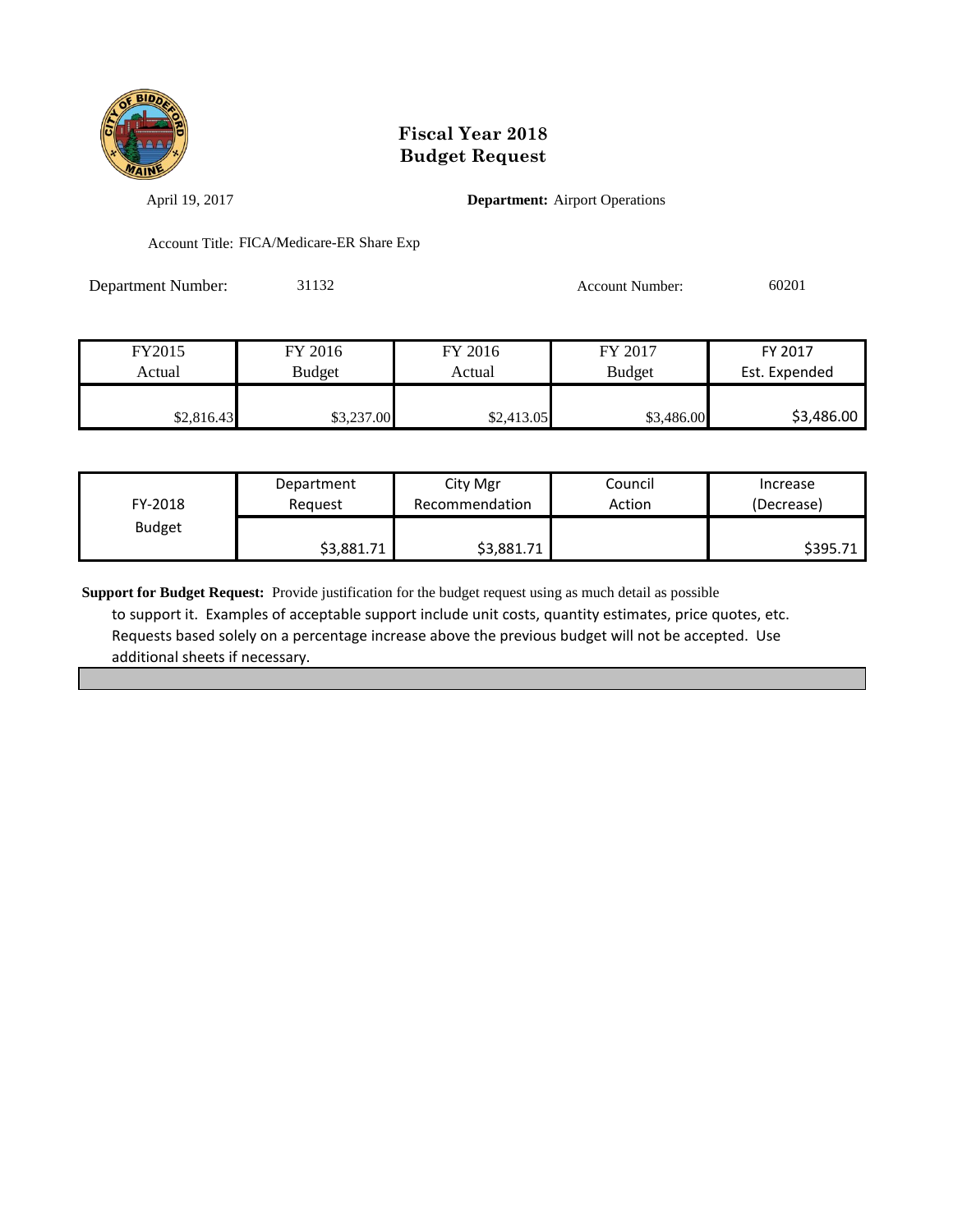

April 19, 2017 **Department:** Airport Operations

Account Title: FICA/Medicare-ER Share Exp

Department Number: 31132 Account Number: 60201

| FY2015     | FY 2016    | FY 2016    | FY 2017       | FY 2017       |
|------------|------------|------------|---------------|---------------|
| Actual     | Budget     | Actual     | <b>Budget</b> | Est. Expended |
|            |            |            |               |               |
| \$2,816.43 | \$3,237.00 | \$2,413.05 | \$3,486.00    | \$3,486.00    |

| FY-2018       | Department | City Mgr       | Council | Increase   |
|---------------|------------|----------------|---------|------------|
|               | Reguest    | Recommendation | Action  | (Decrease) |
| <b>Budget</b> | \$3,881.71 | \$3,881.71     |         | \$395.71   |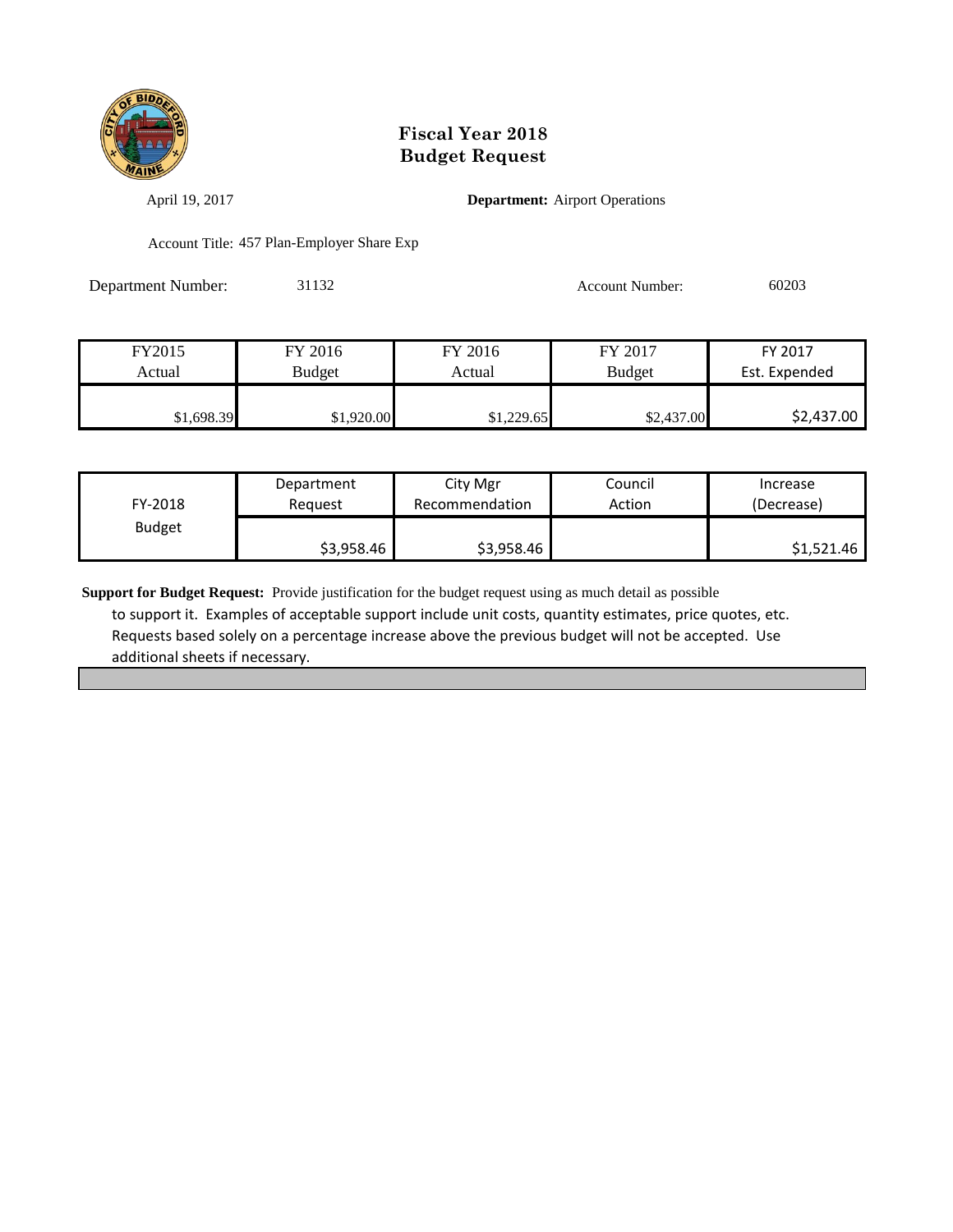

April 19, 2017 **Department:** Airport Operations

Account Title: 457 Plan-Employer Share Exp

| <b>Department Number:</b> | 31132 | <b>Account Number:</b> | 60203 |
|---------------------------|-------|------------------------|-------|
|                           |       |                        |       |

| FY2015     | FY 2016       | FY 2016    | FY 2017       | FY 2017       |
|------------|---------------|------------|---------------|---------------|
| Actual     | <b>Budget</b> | Actual     | <b>Budget</b> | Est. Expended |
|            |               |            |               |               |
| \$1,698.39 | \$1,920.00    | \$1,229.65 | \$2,437.00    | \$2,437.00    |

| FY-2018       | Department | City Mgr       | Council | Increase   |
|---------------|------------|----------------|---------|------------|
|               | Reauest    | Recommendation | Action  | (Decrease) |
| <b>Budget</b> | \$3,958.46 | \$3,958.46     |         | \$1,521.46 |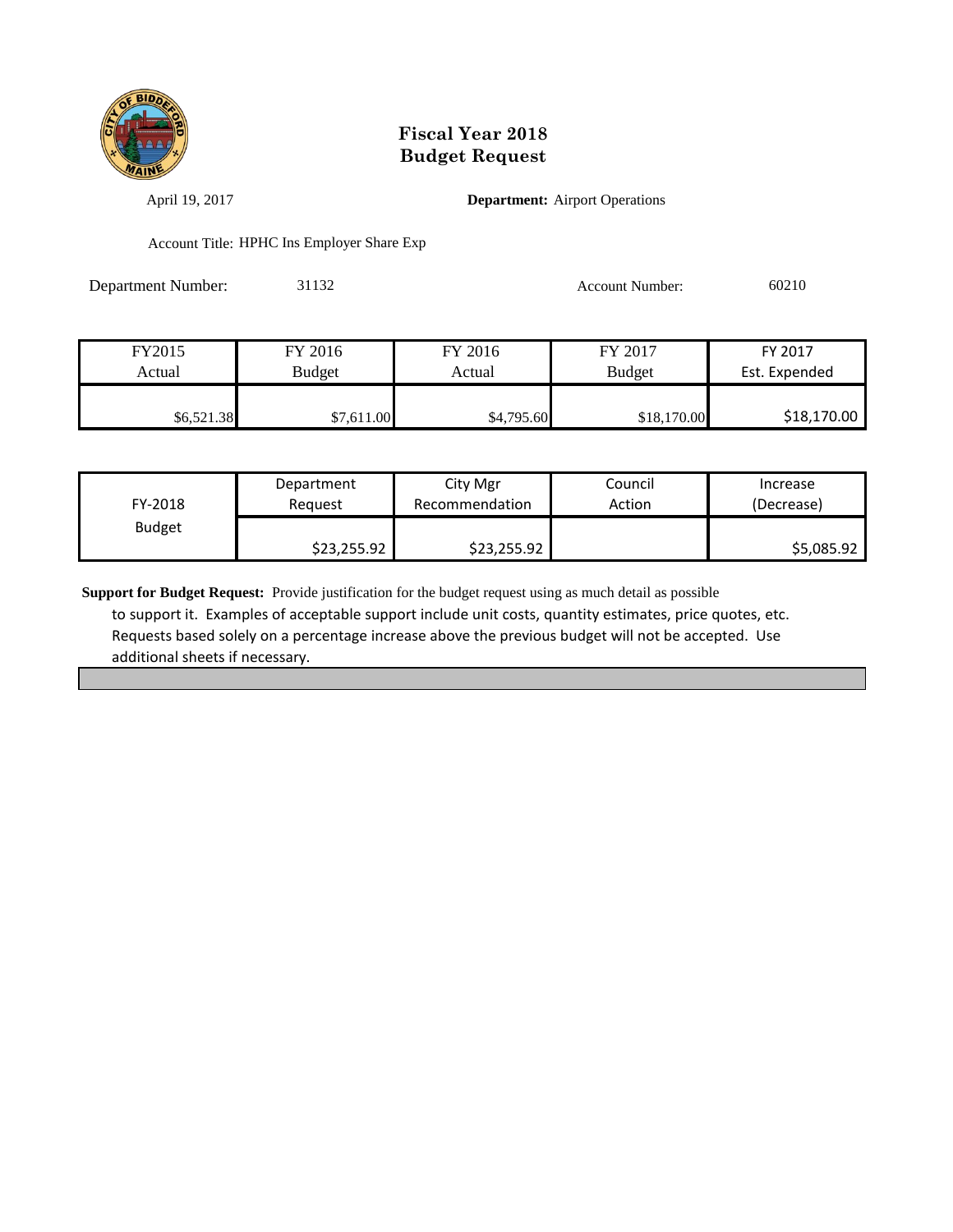

April 19, 2017 **Department:** Airport Operations

Account Title: HPHC Ins Employer Share Exp

Department Number: 31132 Account Number: 60210

| FY2015     | FY 2016       | FY 2016    | FY 2017       | FY 2017       |
|------------|---------------|------------|---------------|---------------|
| Actual     | <b>Budget</b> | Actual     | <b>Budget</b> | Est. Expended |
|            |               |            |               |               |
| \$6,521.38 | \$7.611.00    | \$4,795.60 | \$18,170.00   | \$18,170.00   |

| FY-2018       | Department  | City Mgr       | Council | Increase   |
|---------------|-------------|----------------|---------|------------|
|               | Reauest     | Recommendation | Action  | (Decrease) |
| <b>Budget</b> | \$23,255.92 | \$23,255.92    |         | \$5,085.92 |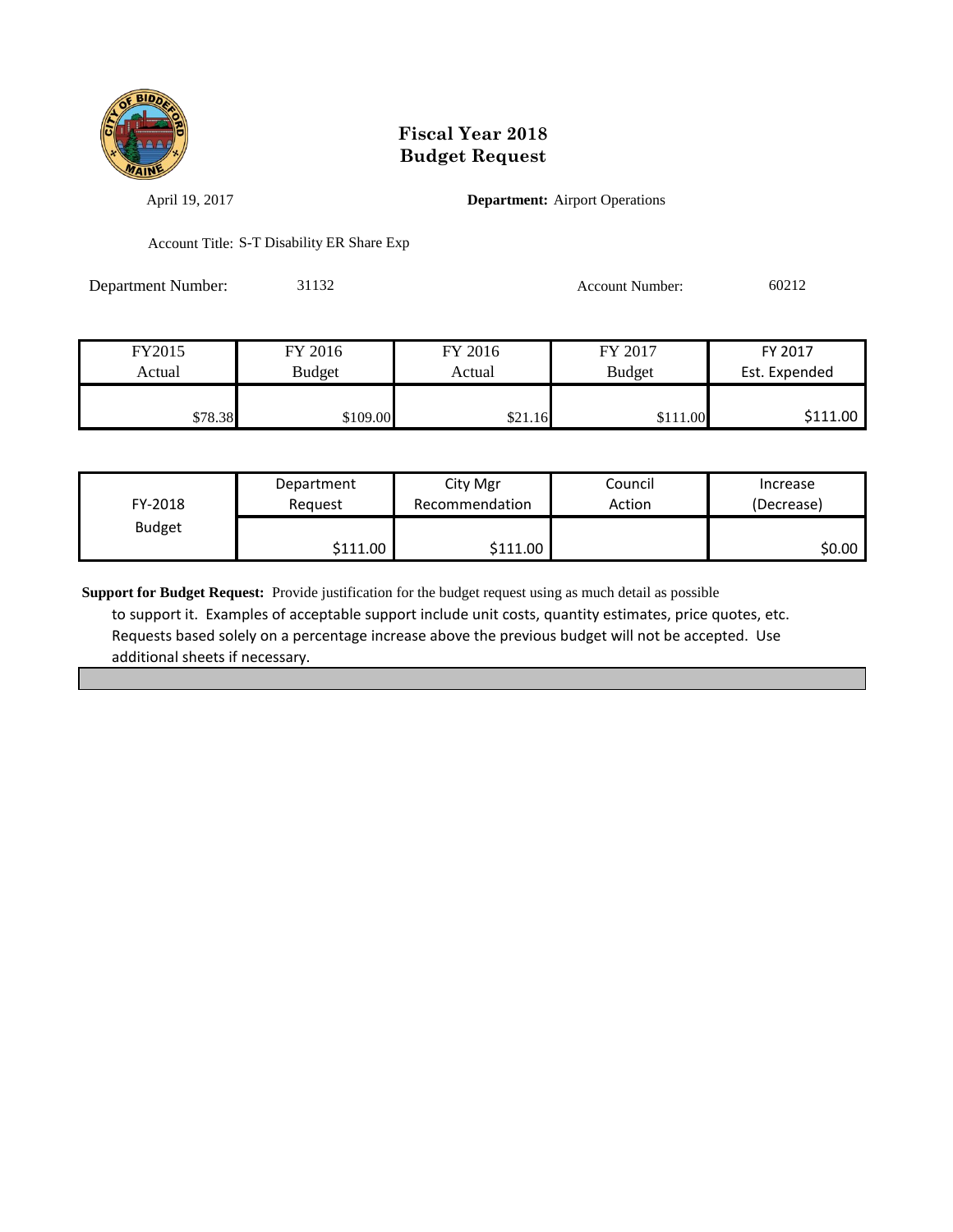

April 19, 2017 **Department:** Airport Operations

Account Title: S-T Disability ER Share Exp

Department Number: 31132 Account Number: 60212

| FY2015  | FY 2016       | FY 2016 | FY 2017       | FY 2017       |
|---------|---------------|---------|---------------|---------------|
| Actual  | <b>Budget</b> | Actual  | <b>Budget</b> | Est. Expended |
|         |               |         |               |               |
| \$78.38 | \$109.00      | \$21.16 | \$111.00      | \$111.00      |

| FY-2018       | Department            | City Mgr       | Council | Increase   |
|---------------|-----------------------|----------------|---------|------------|
|               | Reguest               | Recommendation | Action  | (Decrease) |
| <b>Budget</b> | \$111.00 <sub>1</sub> | \$111.00       |         | SO.OO I    |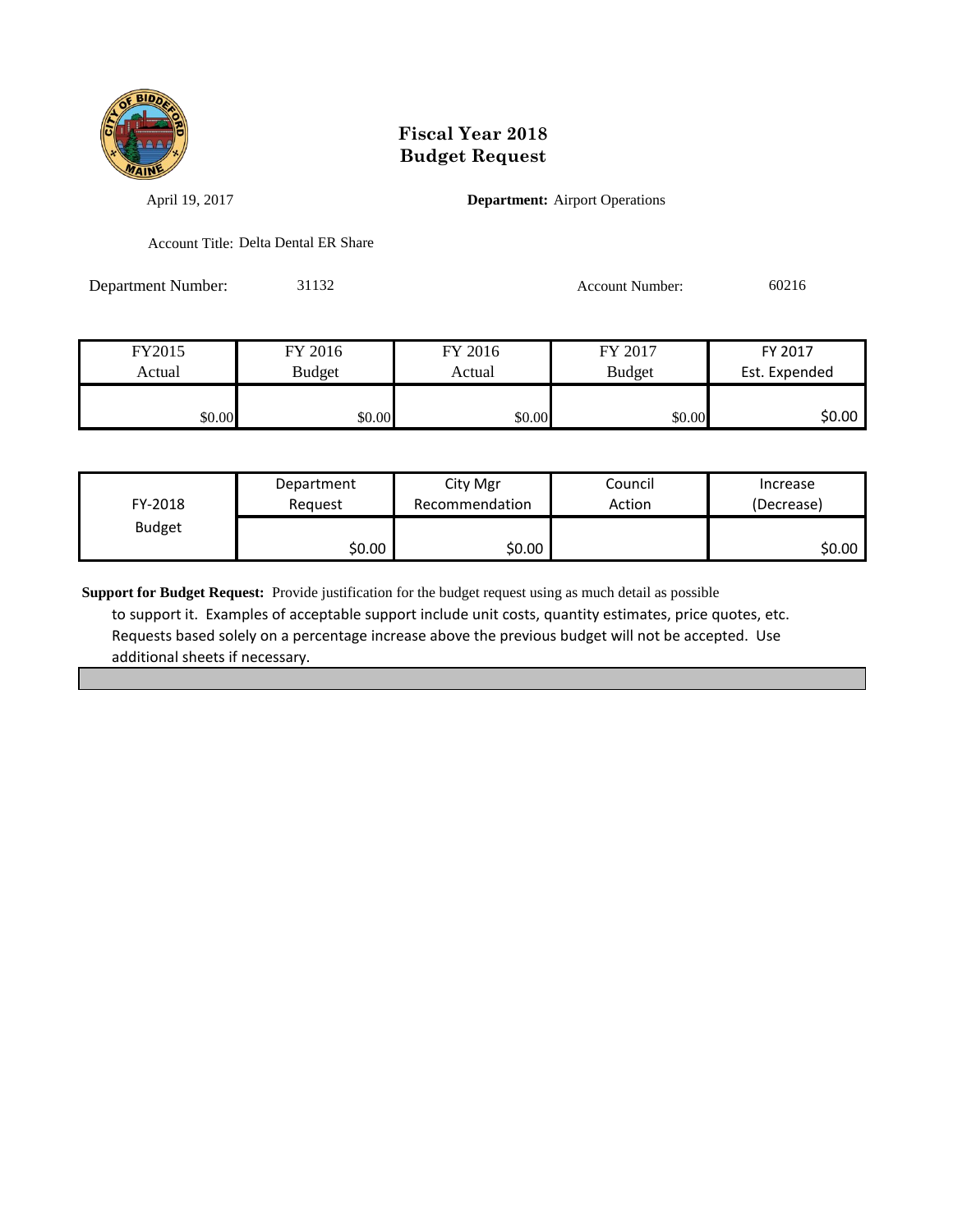

April 19, 2017 **Department:** Airport Operations

Account Title: Delta Dental ER Share

Department Number: 31132 Account Number: 60216

| FY2015 | FY 2016 | FY 2016 | FY 2017 | FY 2017       |
|--------|---------|---------|---------|---------------|
| Actual | Budget  | Actual  | Budget  | Est. Expended |
|        |         |         |         |               |
| \$0.00 | \$0.00  | \$0.00  | \$0.00  | \$0.00 l      |

| FY-2018       | Department | City Mgr       | Council | Increase   |
|---------------|------------|----------------|---------|------------|
|               | Reauest    | Recommendation | Action  | (Decrease) |
| <b>Budget</b> | \$0.00     | \$0.00         |         | ا 50.00    |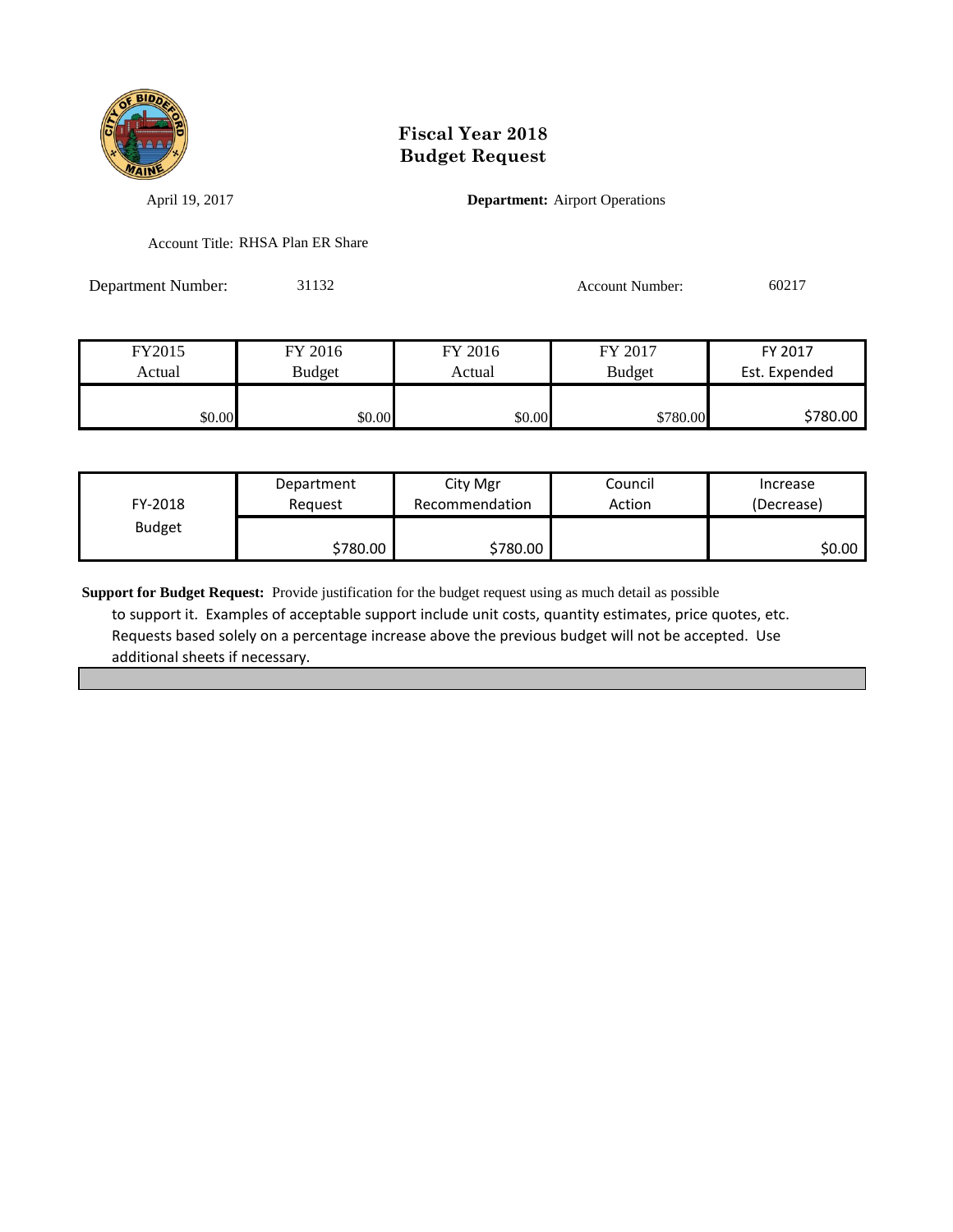

April 19, 2017 **Department:** Airport Operations

Account Title: RHSA Plan ER Share

Department Number: 31132 Account Number: 60217

| FY2015 | FY 2016 | FY 2016 | FY 2017       | FY 2017       |
|--------|---------|---------|---------------|---------------|
| Actual | Budget  | Actual  | <b>Budget</b> | Est. Expended |
|        |         |         |               |               |
| \$0.00 | \$0.00  | \$0.00  | \$780.00      | \$780.00      |

| FY-2018       | Department | City Mgr       | Council | Increase   |
|---------------|------------|----------------|---------|------------|
|               | Reauest    | Recommendation | Action  | (Decrease) |
| <b>Budget</b> | \$780.00 ∦ | \$780.00       |         | \$0.00     |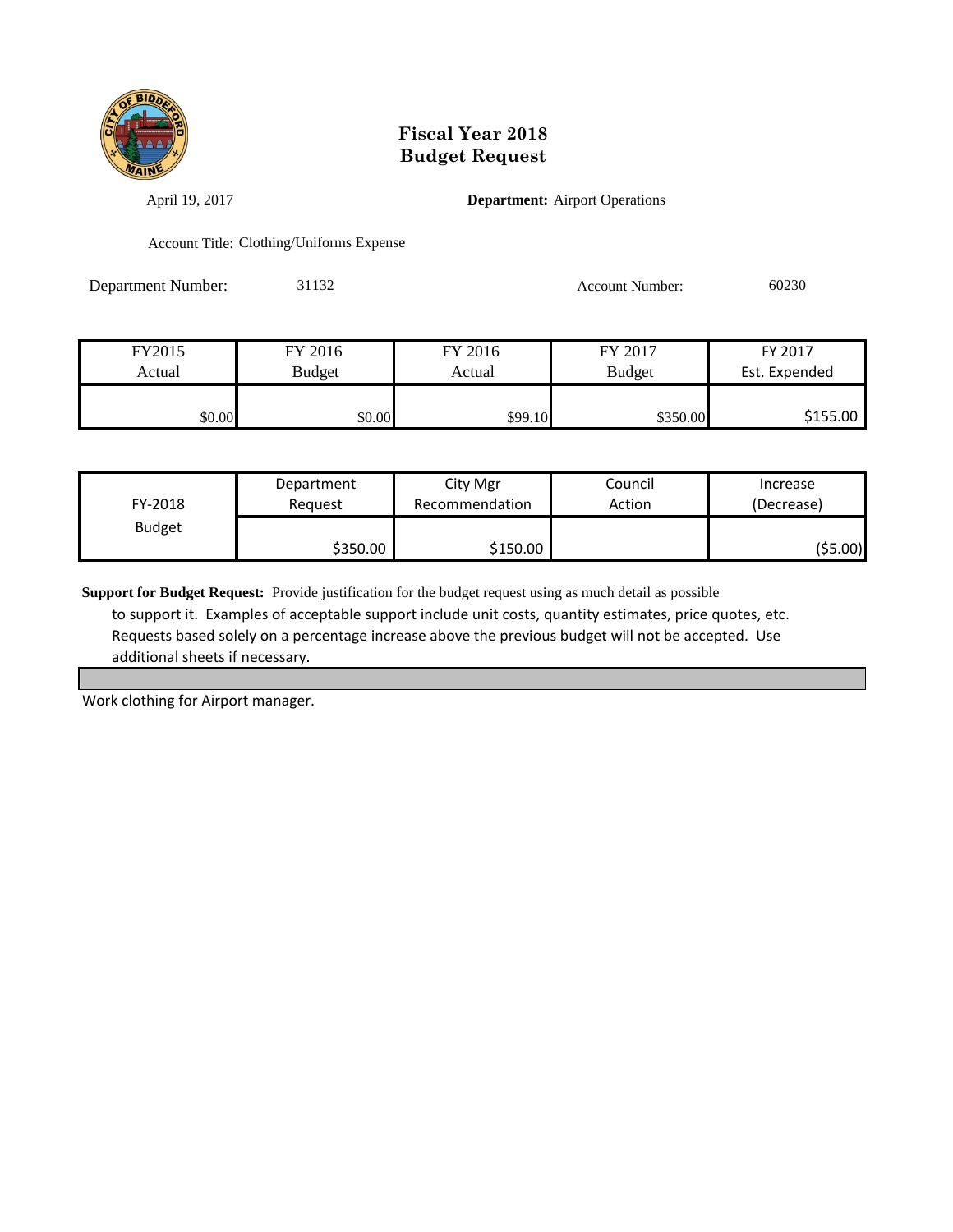

April 19, 2017 **Department:** Airport Operations

Account Title: Clothing/Uniforms Expense

Department Number: 31132 Account Number: 60230

| FY2015 | FY 2016       | FY 2016 | FY 2017       | FY 2017       |
|--------|---------------|---------|---------------|---------------|
| Actual | <b>Budget</b> | Actual  | <b>Budget</b> | Est. Expended |
|        |               |         |               |               |
| \$0.00 | \$0.00        | \$99.10 | \$350.00      | \$155.00      |

| FY-2018       | Department | City Mgr       | Council | Increase   |
|---------------|------------|----------------|---------|------------|
|               | Reauest    | Recommendation | Action  | (Decrease) |
| <b>Budget</b> | \$350.00   | \$150.00       |         | (\$5.00)   |

**Support for Budget Request:** Provide justification for the budget request using as much detail as possible to support it. Examples of acceptable support include unit costs, quantity estimates, price quotes, etc. Requests based solely on a percentage increase above the previous budget will not be accepted. Use additional sheets if necessary.

Work clothing for Airport manager.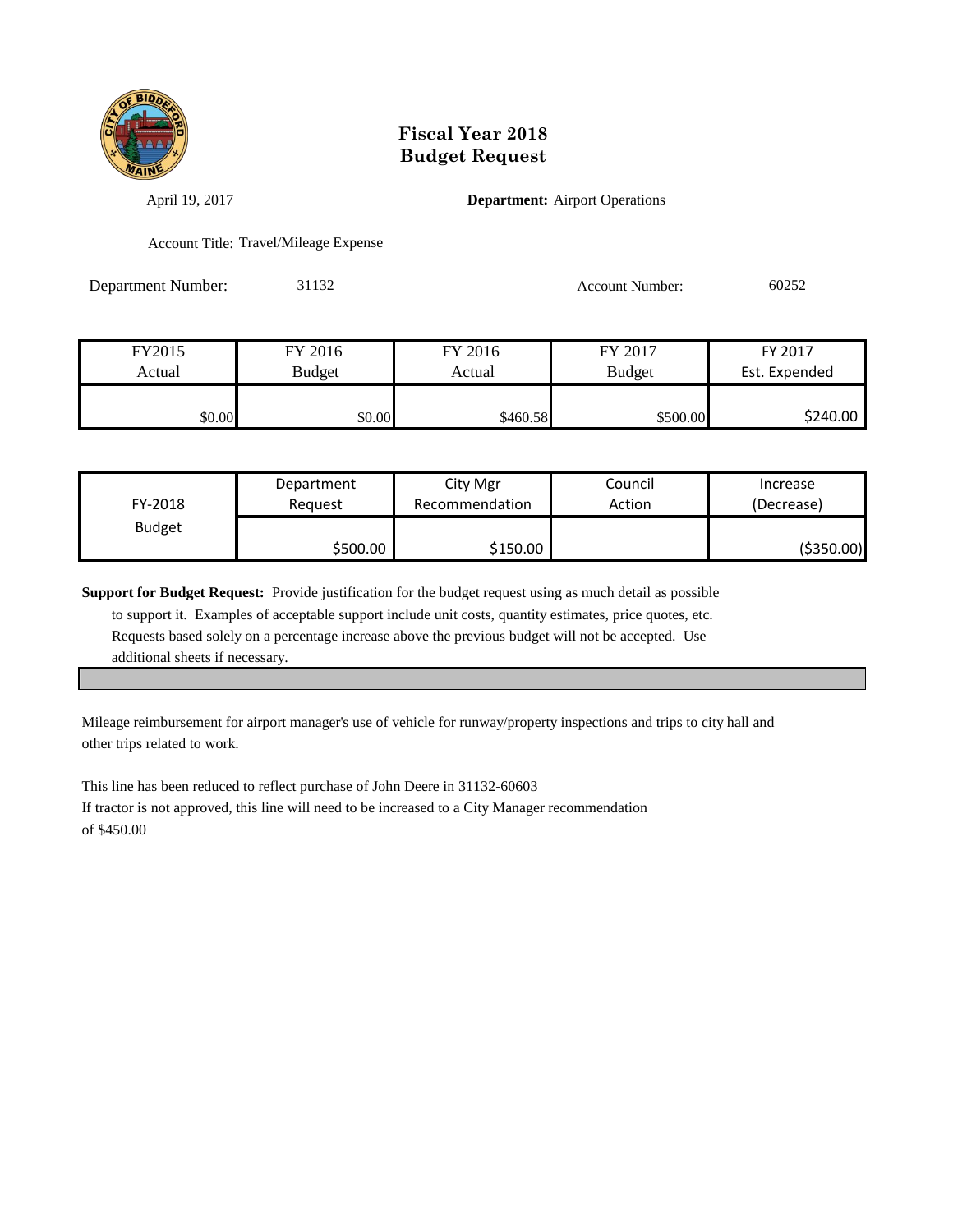

April 19, 2017 **Department:** Airport Operations

Account Title: Travel/Mileage Expense

Department Number: 31132 Account Number: 60252

| FY2015 | FY 2016 | FY 2016  | FY 2017       | FY 2017       |
|--------|---------|----------|---------------|---------------|
| Actual | Budget  | Actual   | <b>Budget</b> | Est. Expended |
|        |         |          |               |               |
| \$0.00 | \$0.00  | \$460.58 | \$500.00      | \$240.00      |

| FY-2018       | Department | City Mgr       | Council | Increase   |
|---------------|------------|----------------|---------|------------|
|               | Reauest    | Recommendation | Action  | (Decrease) |
| <b>Budget</b> | \$500.00   | \$150.00       |         | (\$350.00) |

**Support for Budget Request:** Provide justification for the budget request using as much detail as possible

 to support it. Examples of acceptable support include unit costs, quantity estimates, price quotes, etc. Requests based solely on a percentage increase above the previous budget will not be accepted. Use additional sheets if necessary.

Mileage reimbursement for airport manager's use of vehicle for runway/property inspections and trips to city hall and other trips related to work.

This line has been reduced to reflect purchase of John Deere in 31132-60603 If tractor is not approved, this line will need to be increased to a City Manager recommendation of \$450.00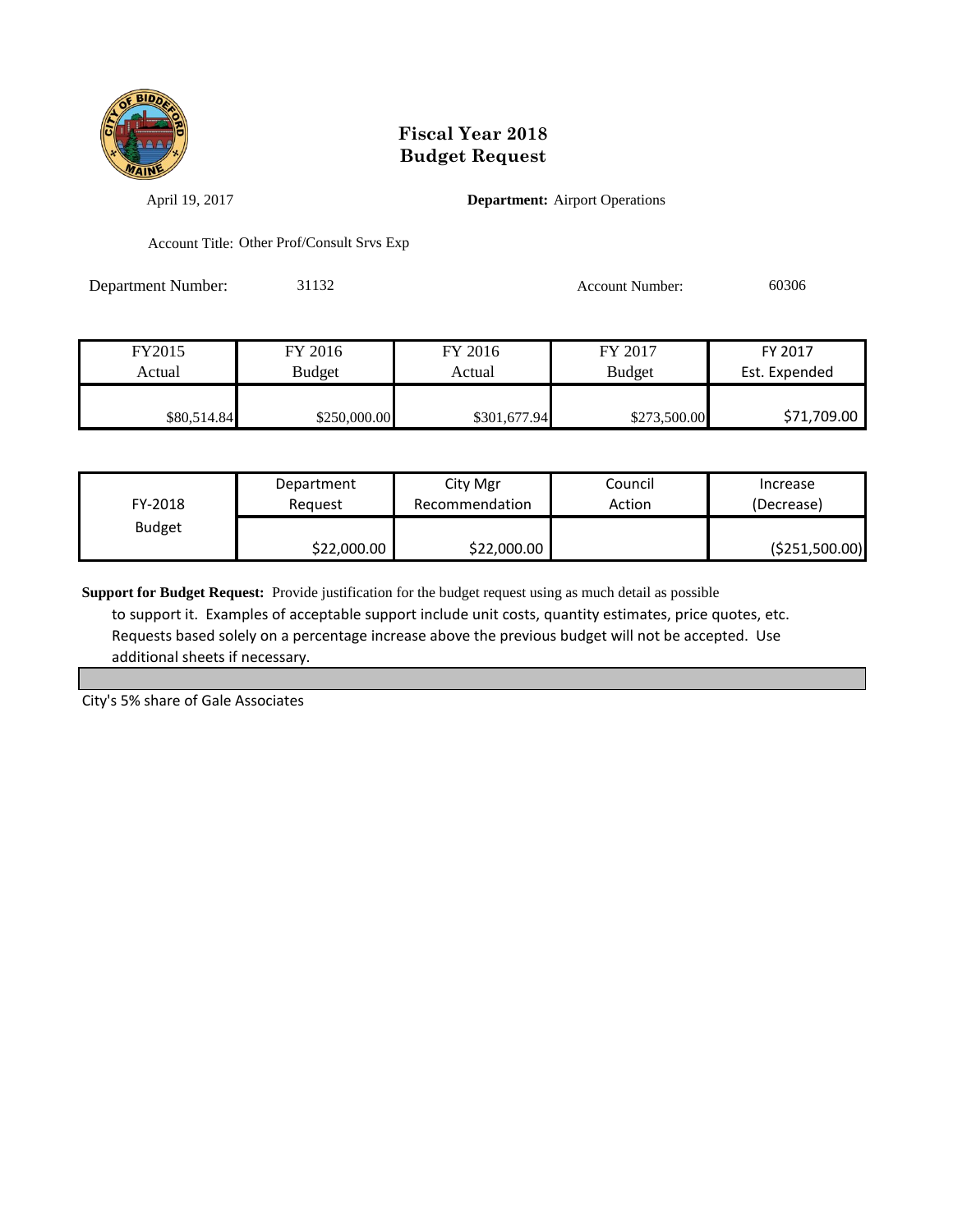

April 19, 2017 **Department:** Airport Operations

Account Title: Other Prof/Consult Srvs Exp

Department Number: 31132 Account Number: 60306

| FY2015      | FY 2016       | FY 2016      | FY 2017       | FY 2017       |
|-------------|---------------|--------------|---------------|---------------|
| Actual      | <b>Budget</b> | Actual       | <b>Budget</b> | Est. Expended |
|             |               |              |               |               |
| \$80,514.84 | \$250,000.00  | \$301,677.94 | \$273,500.00  | \$71,709.00   |

| FY-2018       | Department  | City Mgr       | Council | Increase        |
|---------------|-------------|----------------|---------|-----------------|
|               | Reauest     | Recommendation | Action  | (Decrease)      |
| <b>Budget</b> | \$22,000.00 | \$22,000.00    |         | ( \$251,500.00) |

**Support for Budget Request:** Provide justification for the budget request using as much detail as possible to support it. Examples of acceptable support include unit costs, quantity estimates, price quotes, etc. Requests based solely on a percentage increase above the previous budget will not be accepted. Use additional sheets if necessary.

City's 5% share of Gale Associates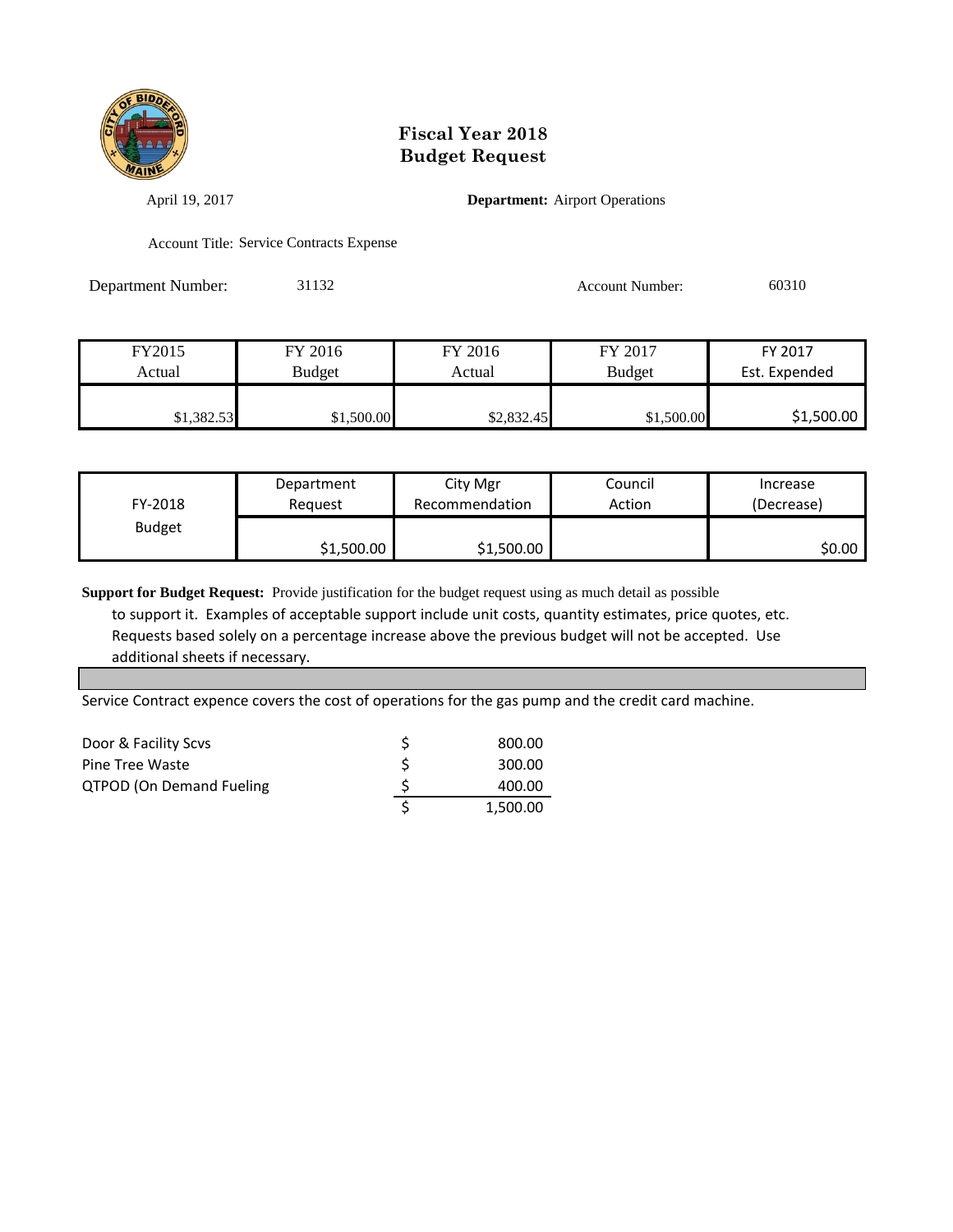

April 19, 2017 **Department:** Airport Operations

Account Title: Service Contracts Expense

Department Number: 31132 Account Number: 60310

| FY2015     | FY 2016    | FY 2016    | FY 2017       | FY 2017       |
|------------|------------|------------|---------------|---------------|
| Actual     | Budget     | Actual     | <b>Budget</b> | Est. Expended |
|            |            |            |               |               |
| \$1,382.53 | \$1,500.00 | \$2,832.45 | \$1,500.00    | \$1,500.00    |

| FY-2018       | Department | City Mgr       | Council | Increase   |
|---------------|------------|----------------|---------|------------|
|               | Reauest    | Recommendation | Action  | (Decrease) |
| <b>Budget</b> | \$1,500.00 | \$1,500.00     |         | ا 50.00    |

**Support for Budget Request:** Provide justification for the budget request using as much detail as possible to support it. Examples of acceptable support include unit costs, quantity estimates, price quotes, etc. Requests based solely on a percentage increase above the previous budget will not be accepted. Use additional sheets if necessary.

Service Contract expence covers the cost of operations for the gas pump and the credit card machine.

| Door & Facility Scvs            | 800.00   |
|---------------------------------|----------|
| <b>Pine Tree Waste</b>          | 300.00   |
| <b>QTPOD (On Demand Fueling</b> | 400.00   |
|                                 | 1.500.00 |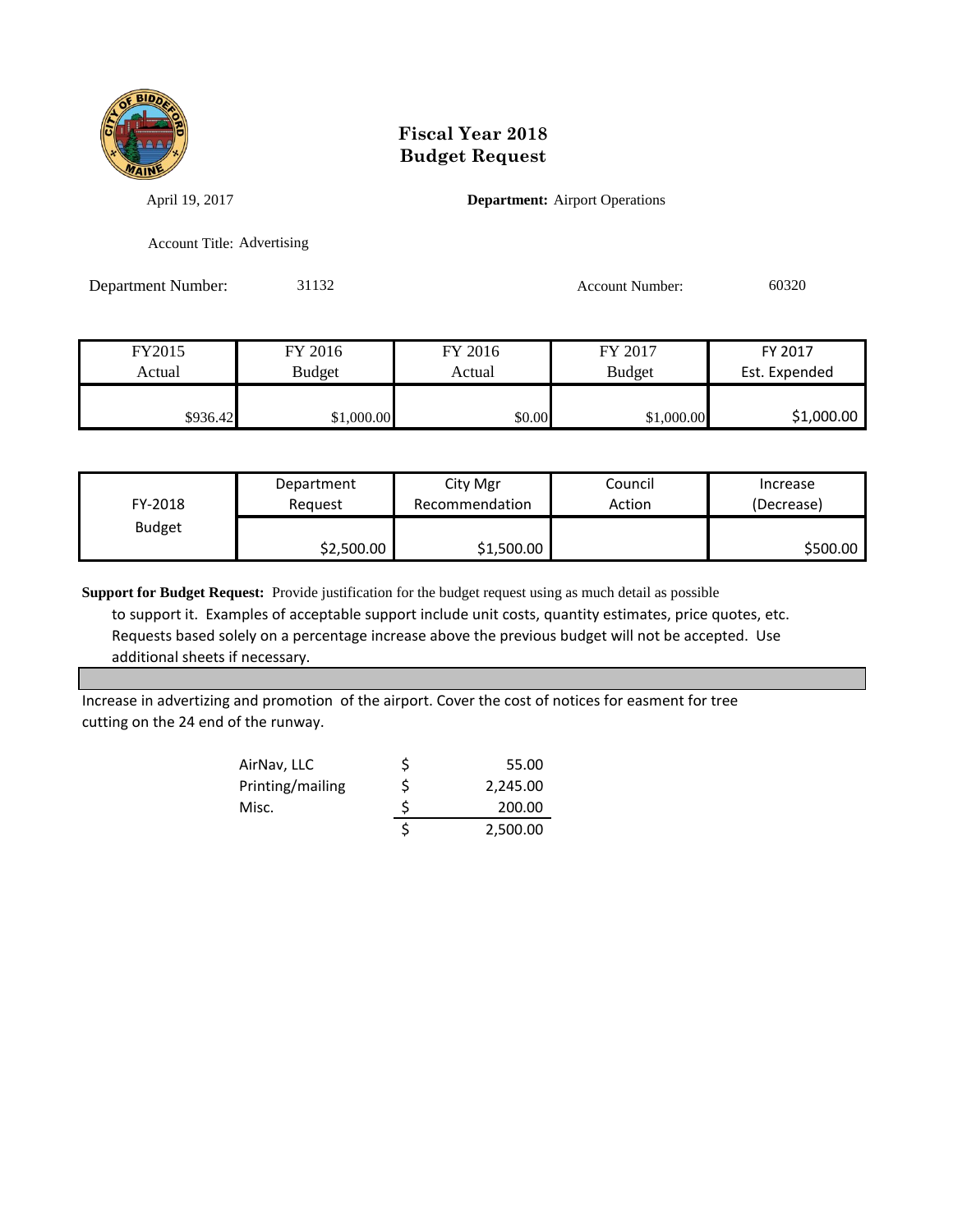

April 19, 2017 **Department:** Airport Operations

Account Title: Advertising

Department Number: 31132 Account Number: 60320

| FY2015   | FY 2016    | FY 2016 | FY 2017       | FY 2017       |
|----------|------------|---------|---------------|---------------|
| Actual   | Budget     | Actual  | <b>Budget</b> | Est. Expended |
|          |            |         |               |               |
| \$936.42 | \$1,000.00 | \$0.00  | \$1,000.00    | \$1,000.00    |

| FY-2018       | Department | City Mgr       | Council | Increase   |
|---------------|------------|----------------|---------|------------|
|               | Reauest    | Recommendation | Action  | (Decrease) |
| <b>Budget</b> | \$2,500.00 | \$1,500.00     |         | \$500.00   |

**Support for Budget Request:** Provide justification for the budget request using as much detail as possible to support it. Examples of acceptable support include unit costs, quantity estimates, price quotes, etc.

 Requests based solely on a percentage increase above the previous budget will not be accepted. Use additional sheets if necessary.

Increase in advertizing and promotion of the airport. Cover the cost of notices for easment for tree cutting on the 24 end of the runway.

| AirNav, LLC      |   | 55.00    |
|------------------|---|----------|
| Printing/mailing | Ś | 2,245.00 |
| Misc.            | Ś | 200.00   |
|                  |   | 2,500.00 |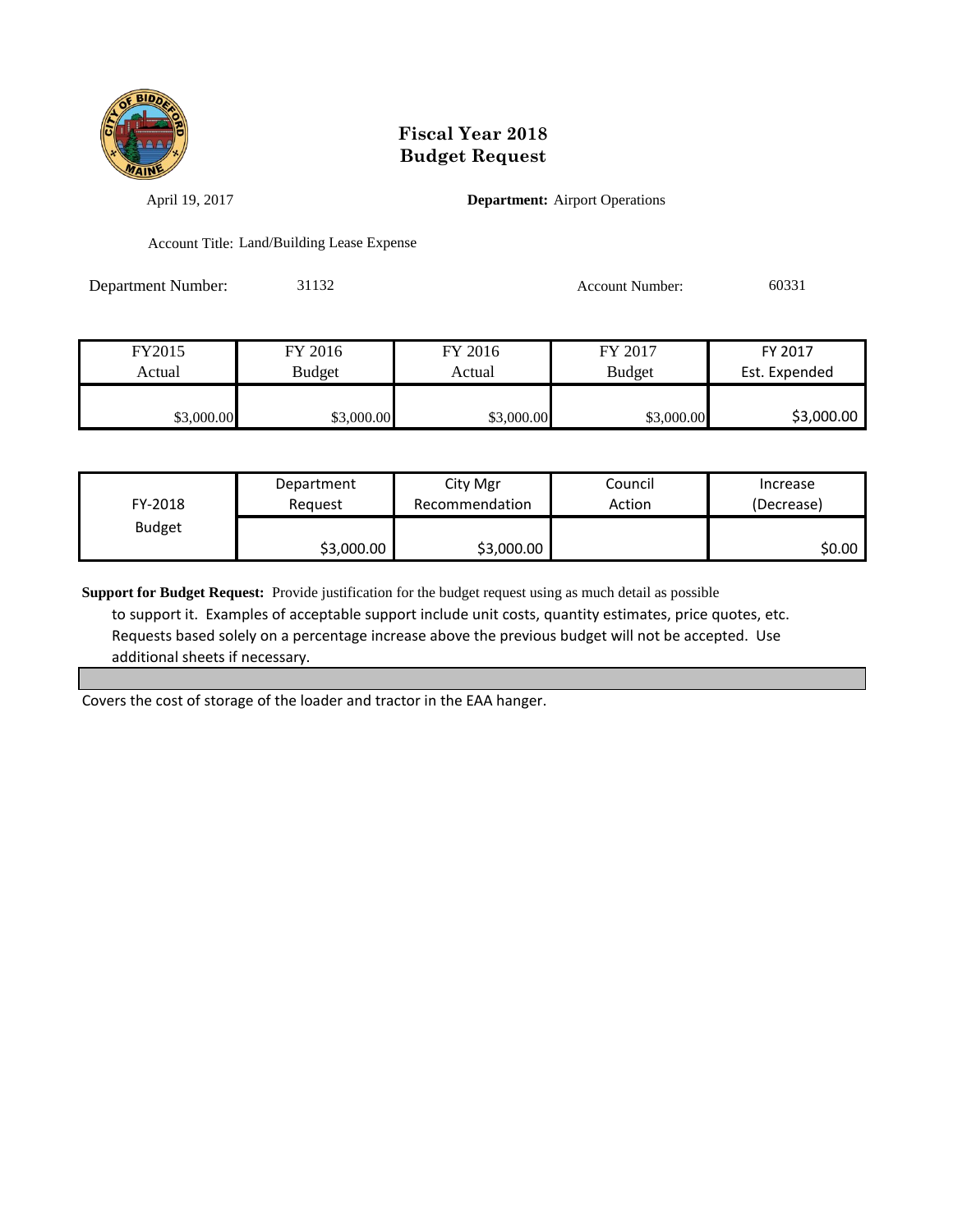

April 19, 2017 **Department:** Airport Operations

Account Title: Land/Building Lease Expense

Department Number: 31132 Account Number: 60331

| FY2015     | FY 2016    | FY 2016    | FY 2017       | FY 2017       |
|------------|------------|------------|---------------|---------------|
| Actual     | Budget     | Actual     | <b>Budget</b> | Est. Expended |
|            |            |            |               |               |
| \$3,000.00 | \$3,000.00 | \$3,000.00 | \$3,000.00    | \$3,000.00    |

| FY-2018       | Department | City Mgr       | Council | Increase   |
|---------------|------------|----------------|---------|------------|
|               | Reauest    | Recommendation | Action  | (Decrease) |
| <b>Budget</b> | \$3,000.00 | \$3,000.00     |         | \$0.00     |

**Support for Budget Request:** Provide justification for the budget request using as much detail as possible to support it. Examples of acceptable support include unit costs, quantity estimates, price quotes, etc. Requests based solely on a percentage increase above the previous budget will not be accepted. Use additional sheets if necessary.

Covers the cost of storage of the loader and tractor in the EAA hanger.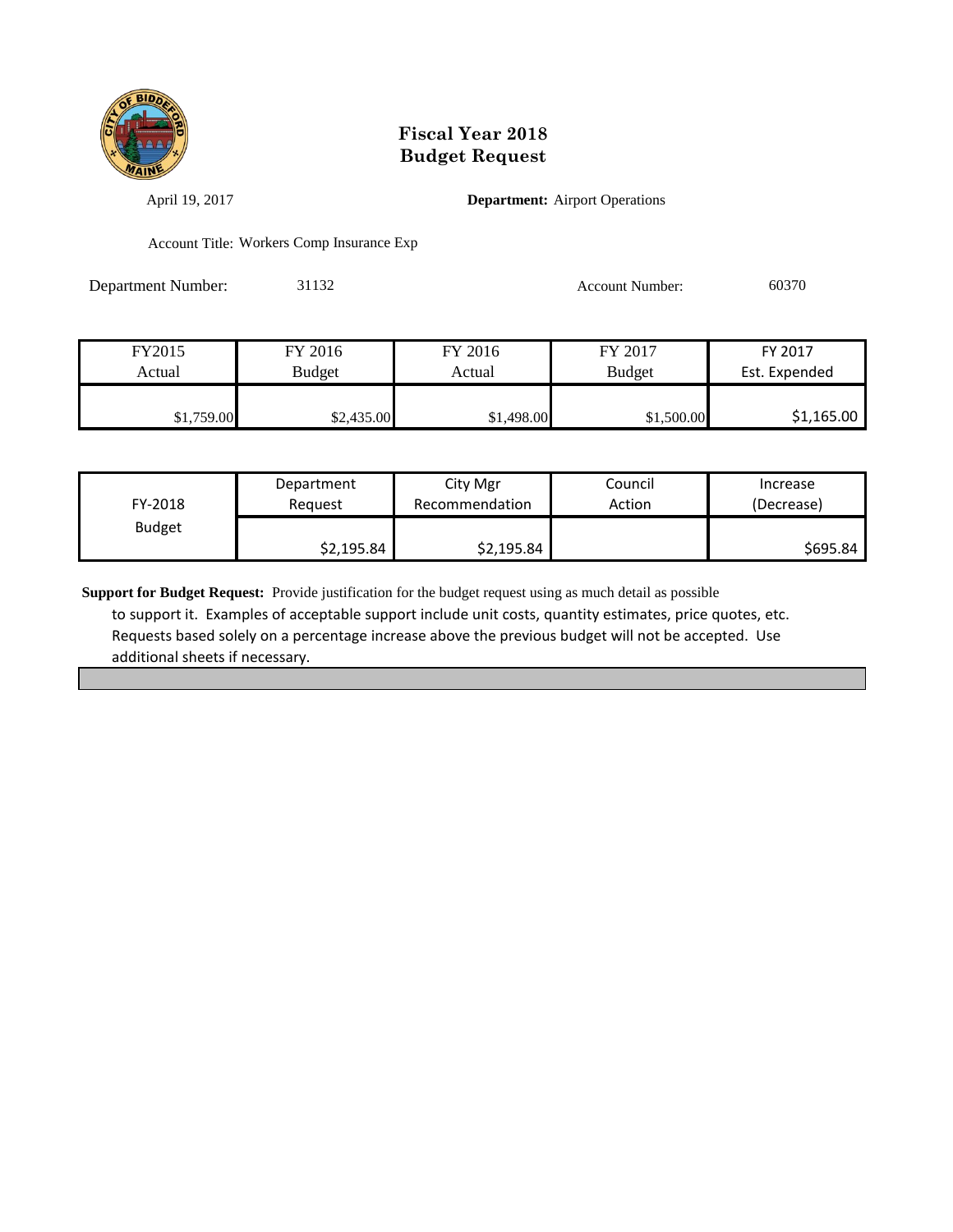

April 19, 2017 **Department:** Airport Operations

Account Title: Workers Comp Insurance Exp

Department Number: 31132 Account Number: 60370

| FY2015     | FY 2016    | FY 2016    | FY 2017       | FY 2017       |
|------------|------------|------------|---------------|---------------|
| Actual     | Budget     | Actual     | <b>Budget</b> | Est. Expended |
|            |            |            |               |               |
| \$1,759.00 | \$2,435.00 | \$1,498.00 | \$1,500.00    | \$1,165.00    |

| FY-2018       | Department | City Mgr       | Council | Increase   |
|---------------|------------|----------------|---------|------------|
|               | Reauest    | Recommendation | Action  | (Decrease) |
| <b>Budget</b> | \$2,195.84 | \$2,195.84     |         | \$695.84   |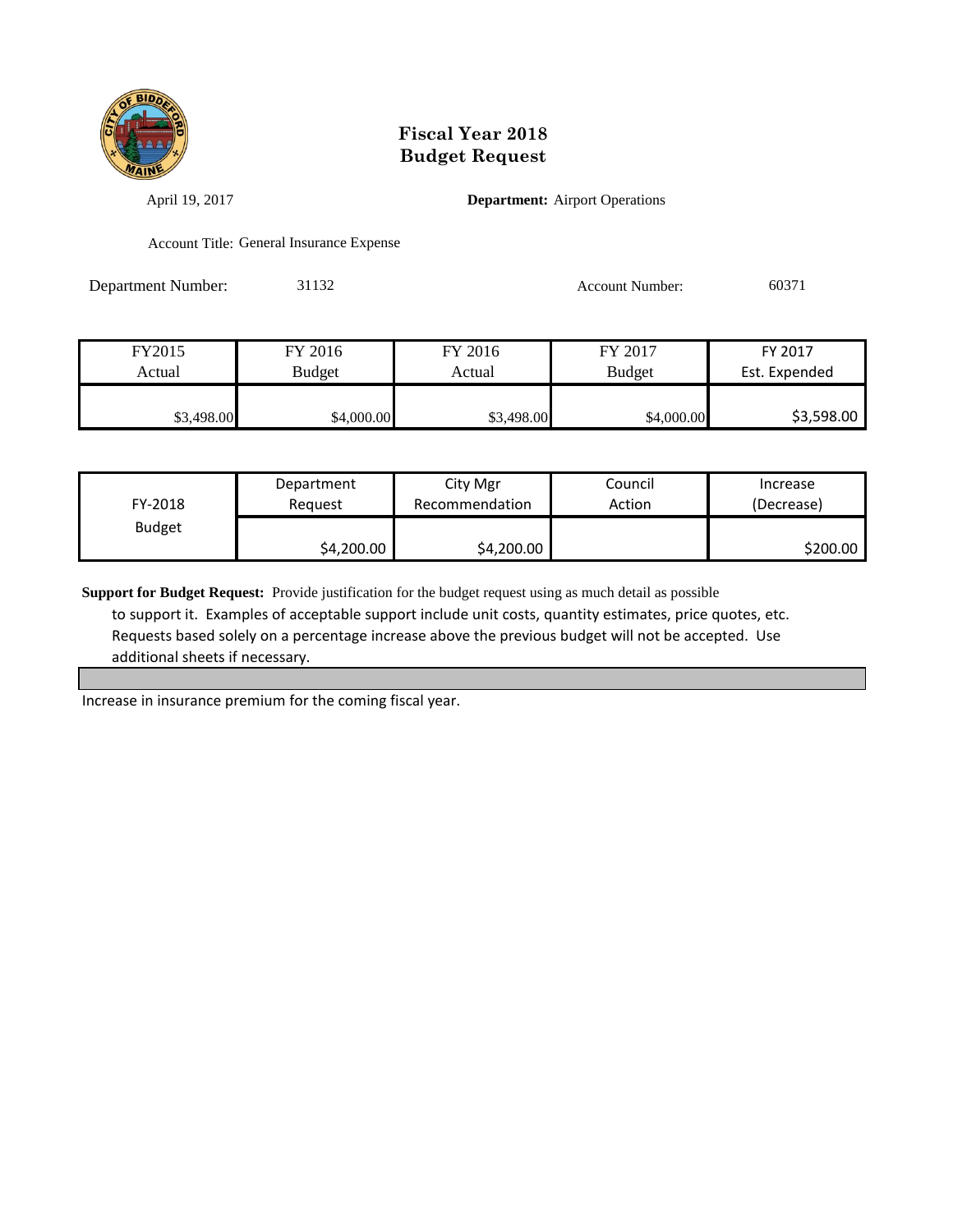

April 19, 2017 **Department:** Airport Operations

Account Title: General Insurance Expense

Department Number: 31132 Account Number: 60371

| FY2015     | FY 2016    | FY 2016    | FY 2017       | FY 2017       |
|------------|------------|------------|---------------|---------------|
| Actual     | Budget     | Actual     | <b>Budget</b> | Est. Expended |
|            |            |            |               |               |
| \$3,498.00 | \$4,000.00 | \$3,498.00 | \$4,000.00    | \$3,598.00    |

| FY-2018       | Department | City Mgr       | Council | Increase   |
|---------------|------------|----------------|---------|------------|
|               | Reauest    | Recommendation | Action  | (Decrease) |
| <b>Budget</b> | \$4,200.00 | \$4,200.00     |         | \$200.00   |

**Support for Budget Request:** Provide justification for the budget request using as much detail as possible to support it. Examples of acceptable support include unit costs, quantity estimates, price quotes, etc. Requests based solely on a percentage increase above the previous budget will not be accepted. Use additional sheets if necessary.

Increase in insurance premium for the coming fiscal year.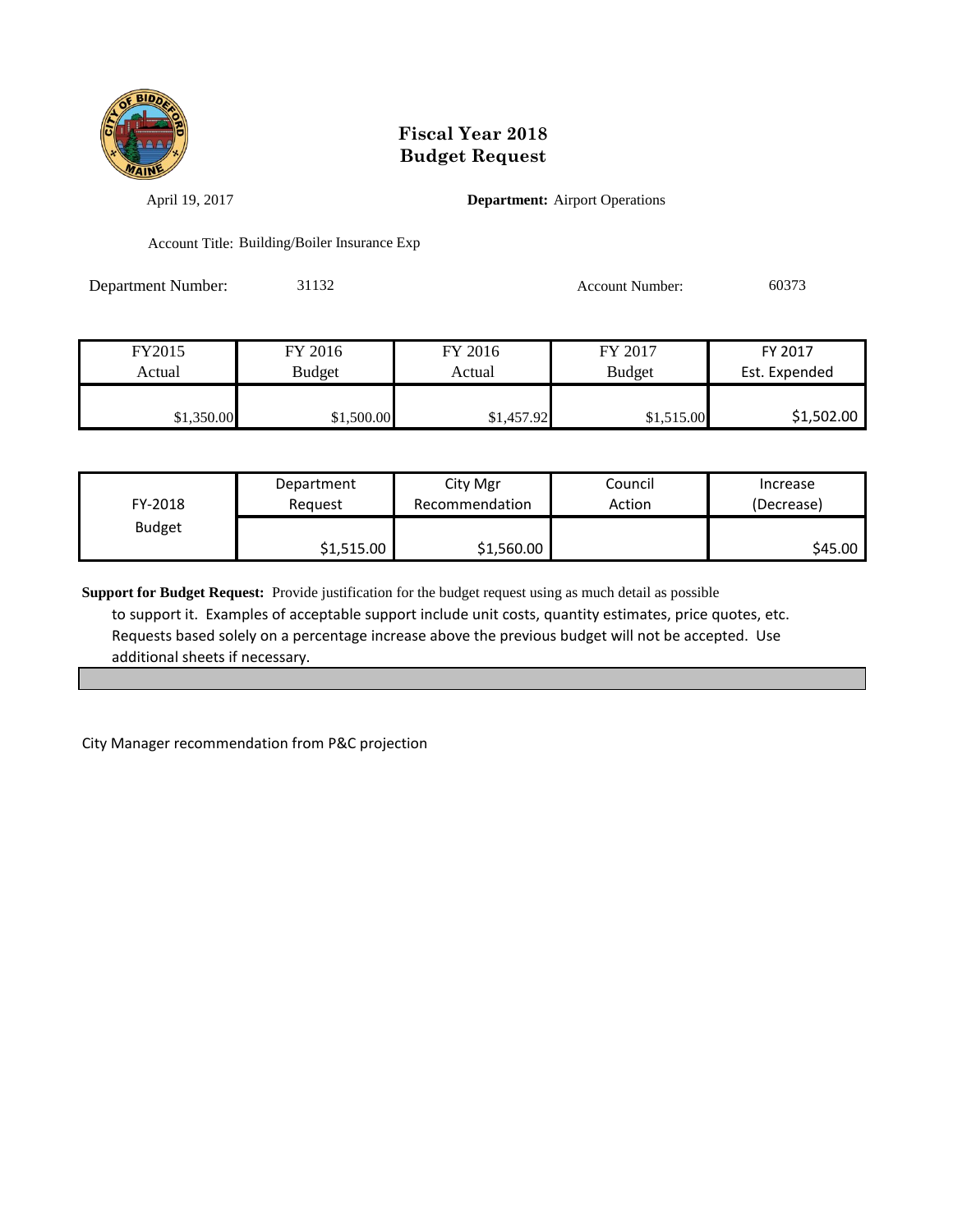

April 19, 2017 **Department:** Airport Operations

Account Title: Building/Boiler Insurance Exp

Department Number: 31132 Account Number: 60373

| FY2015     | FY 2016       | FY 2016    | FY 2017       | FY 2017       |
|------------|---------------|------------|---------------|---------------|
| Actual     | <b>Budget</b> | Actual     | <b>Budget</b> | Est. Expended |
|            |               |            |               |               |
| \$1,350.00 | \$1,500.00    | \$1,457.92 | \$1,515.00    | \$1,502.00    |

| FY-2018       | Department | City Mgr       | Council | Increase   |
|---------------|------------|----------------|---------|------------|
|               | Reguest    | Recommendation | Action  | (Decrease) |
| <b>Budget</b> | \$1,515.00 | \$1,560.00     |         | \$45.00    |

**Support for Budget Request:** Provide justification for the budget request using as much detail as possible to support it. Examples of acceptable support include unit costs, quantity estimates, price quotes, etc. Requests based solely on a percentage increase above the previous budget will not be accepted. Use additional sheets if necessary.

City Manager recommendation from P&C projection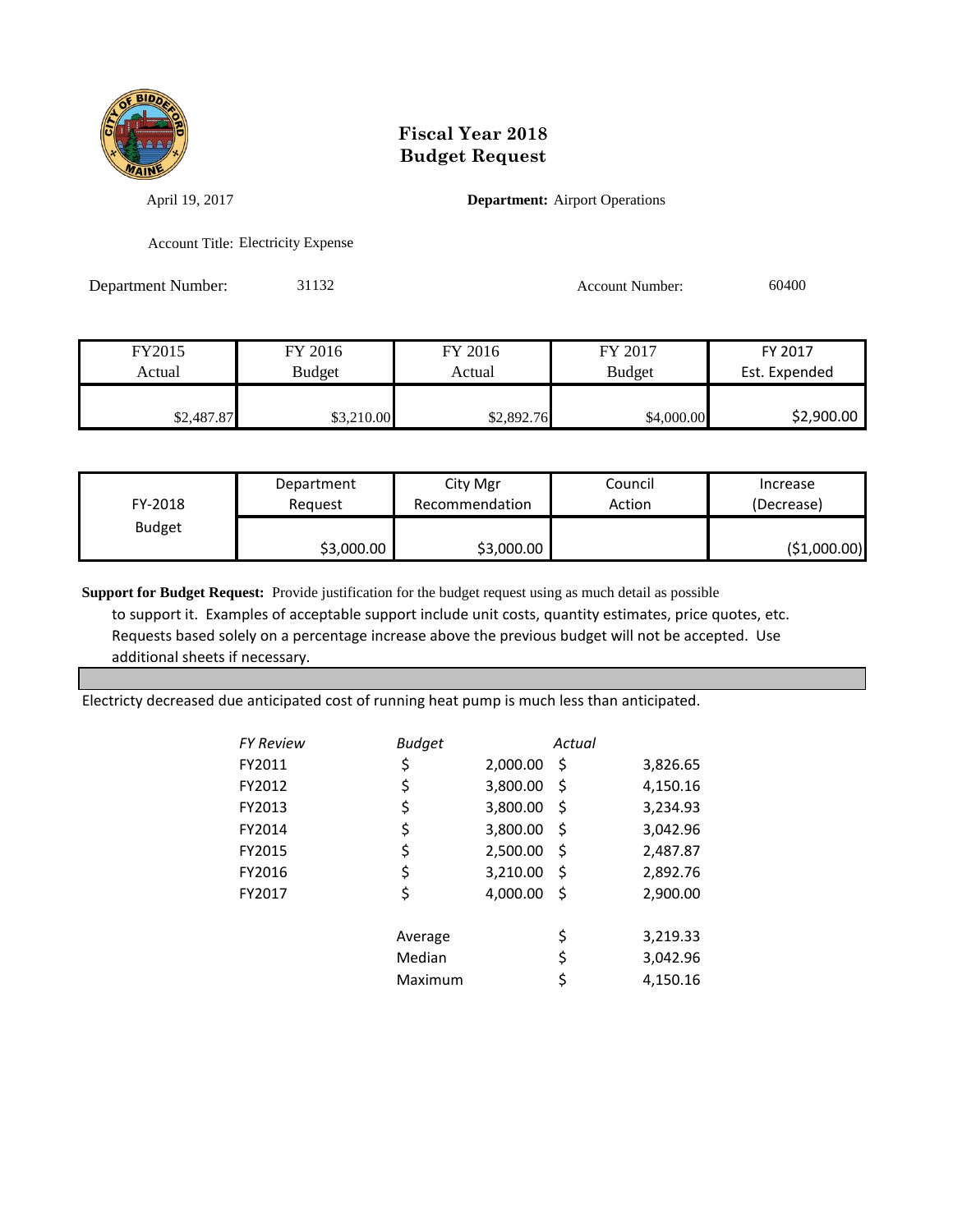

April 19, 2017 **Department:** Airport Operations

Account Title: Electricity Expense

Department Number: 31132 Account Number: 60400

| FY2015     | FY 2016    | FY 2016    | FY 2017       | FY 2017       |
|------------|------------|------------|---------------|---------------|
| Actual     | Budget     | Actual     | <b>Budget</b> | Est. Expended |
|            |            |            |               |               |
| \$2,487.87 | \$3,210.00 | \$2,892.76 | \$4,000.00    | \$2,900.00    |

| FY-2018       | Department | City Mgr       | Council | Increase     |
|---------------|------------|----------------|---------|--------------|
|               | Reauest    | Recommendation | Action  | (Decrease)   |
| <b>Budget</b> | \$3,000.00 | \$3,000.00     |         | (\$1,000.00) |

**Support for Budget Request:** Provide justification for the budget request using as much detail as possible to support it. Examples of acceptable support include unit costs, quantity estimates, price quotes, etc. Requests based solely on a percentage increase above the previous budget will not be accepted. Use additional sheets if necessary.

Electricty decreased due anticipated cost of running heat pump is much less than anticipated.

| FY Review | <b>Budget</b> |          | Actual |          |
|-----------|---------------|----------|--------|----------|
| FY2011    | \$            | 2,000.00 | \$     | 3,826.65 |
| FY2012    | \$            | 3,800.00 | \$     | 4,150.16 |
| FY2013    | \$            | 3,800.00 | \$     | 3,234.93 |
| FY2014    | \$            | 3,800.00 | \$     | 3,042.96 |
| FY2015    | \$            | 2,500.00 | \$     | 2,487.87 |
| FY2016    | \$            | 3,210.00 | \$     | 2,892.76 |
| FY2017    | \$            | 4,000.00 | \$     | 2,900.00 |
|           | Average       |          | \$     | 3,219.33 |
|           | Median        |          | \$     | 3,042.96 |
|           | Maximum       |          | \$     | 4.150.16 |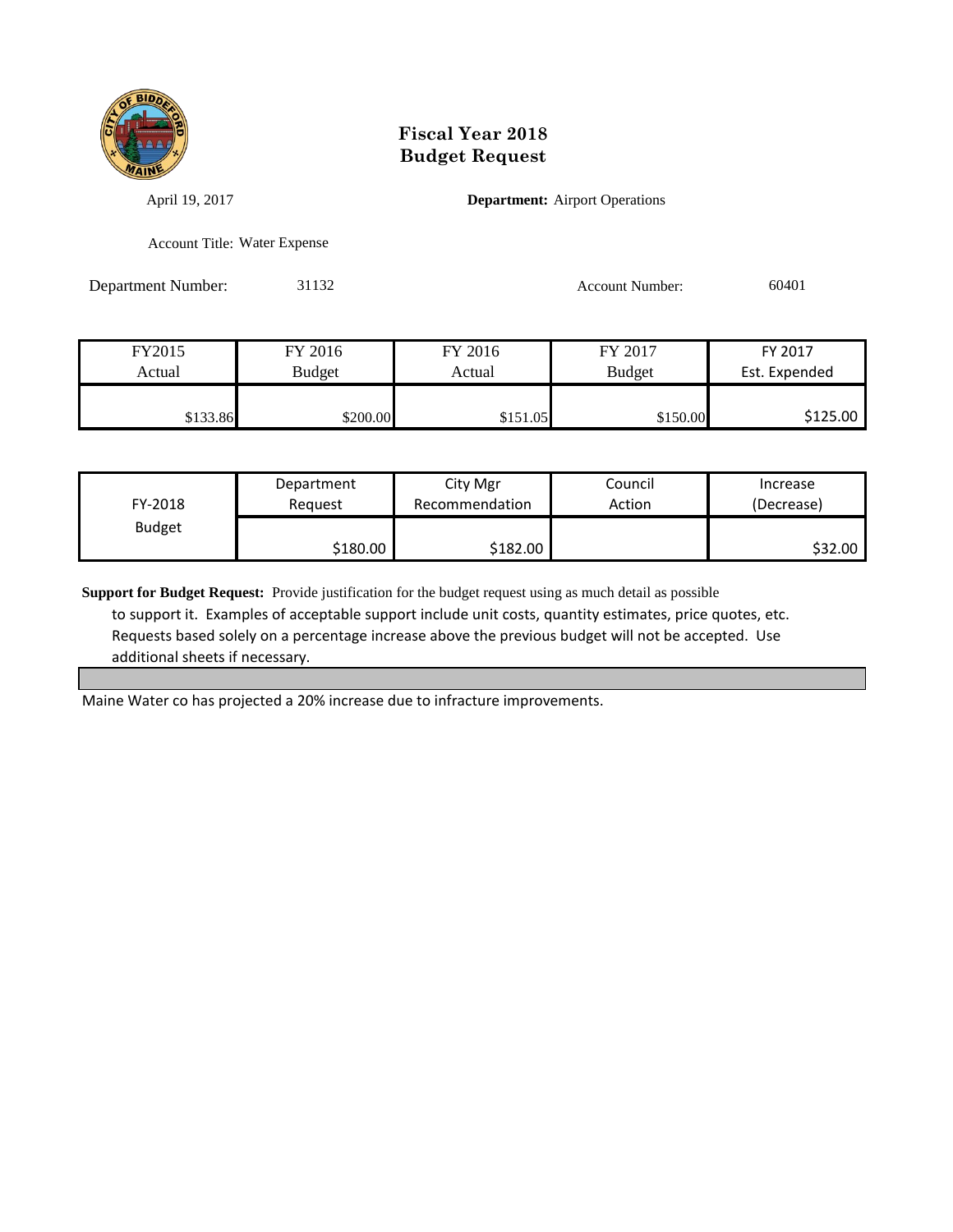

April 19, 2017 **Department:** Airport Operations

Account Title: Water Expense

Department Number: 31132 Account Number: 60401

| FY2015   | FY 2016       | FY 2016  | FY 2017       | FY 2017       |
|----------|---------------|----------|---------------|---------------|
| Actual   | <b>Budget</b> | Actual   | <b>Budget</b> | Est. Expended |
|          |               |          |               |               |
| \$133.86 | \$200.00      | \$151.05 | \$150.00      | \$125.00      |

| FY-2018       | Department | City Mgr       | Council | Increase   |
|---------------|------------|----------------|---------|------------|
|               | Reauest    | Recommendation | Action  | (Decrease) |
| <b>Budget</b> | \$180.00   | \$182.00       |         | \$32.00    |

**Support for Budget Request:** Provide justification for the budget request using as much detail as possible to support it. Examples of acceptable support include unit costs, quantity estimates, price quotes, etc. Requests based solely on a percentage increase above the previous budget will not be accepted. Use additional sheets if necessary.

Maine Water co has projected a 20% increase due to infracture improvements.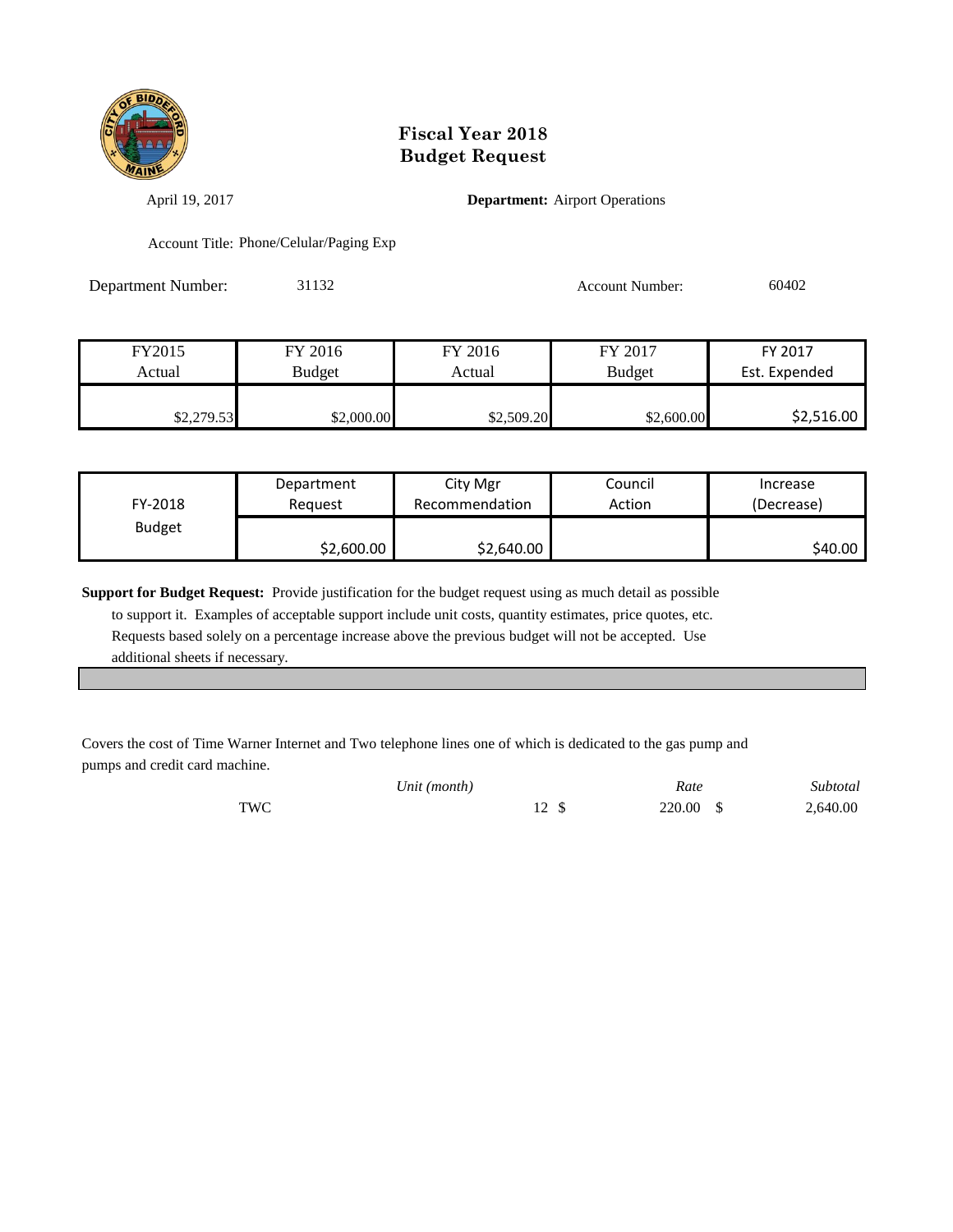

April 19, 2017 **Department:** Airport Operations

Account Title: Phone/Celular/Paging Exp

Department Number: 31132 Account Number: 60402

| FY2015     | FY 2016       | FY 2016    | FY 2017       | FY 2017       |
|------------|---------------|------------|---------------|---------------|
| Actual     | <b>Budget</b> | Actual     | <b>Budget</b> | Est. Expended |
|            |               |            |               |               |
| \$2,279.53 | \$2,000.00    | \$2,509.20 | \$2,600.00    | \$2,516.00    |

| FY-2018       | Department | City Mgr       | Council | Increase   |
|---------------|------------|----------------|---------|------------|
|               | Reguest    | Recommendation | Action  | (Decrease) |
| <b>Budget</b> | \$2,600.00 | \$2,640.00     |         | \$40.00    |

**Support for Budget Request:** Provide justification for the budget request using as much detail as possible

 to support it. Examples of acceptable support include unit costs, quantity estimates, price quotes, etc. Requests based solely on a percentage increase above the previous budget will not be accepted. Use additional sheets if necessary.

Covers the cost of Time Warner Internet and Two telephone lines one of which is dedicated to the gas pump and pumps and credit card machine.

|     | Unit (month) | Rate      | Subtotal |
|-----|--------------|-----------|----------|
| TWC |              | 220.00 \$ | 2,640.00 |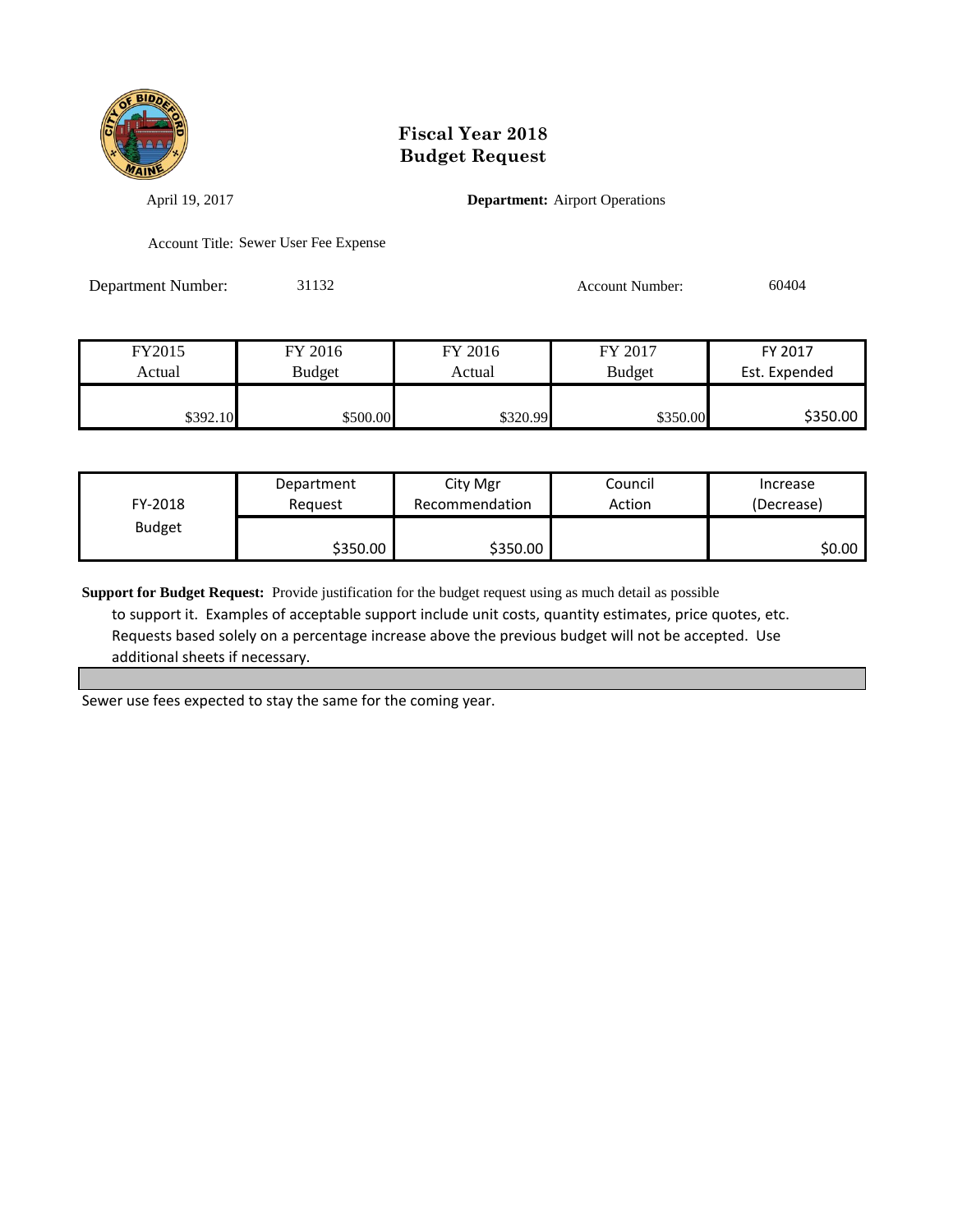

April 19, 2017 **Department:** Airport Operations

Account Title: Sewer User Fee Expense

Department Number: 31132 Account Number: 60404

| FY2015   | FY 2016  | FY 2016  | FY 2017       | FY 2017       |
|----------|----------|----------|---------------|---------------|
| Actual   | Budget   | Actual   | <b>Budget</b> | Est. Expended |
|          |          |          |               |               |
| \$392.10 | \$500.00 | \$320.99 | \$350.00      | \$350.00      |

| FY-2018       | Department | City Mgr       | Council | Increase   |
|---------------|------------|----------------|---------|------------|
|               | Reauest    | Recommendation | Action  | (Decrease) |
| <b>Budget</b> | \$350.00   | \$350.00       |         | \$0.00     |

**Support for Budget Request:** Provide justification for the budget request using as much detail as possible to support it. Examples of acceptable support include unit costs, quantity estimates, price quotes, etc. Requests based solely on a percentage increase above the previous budget will not be accepted. Use additional sheets if necessary.

Sewer use fees expected to stay the same for the coming year.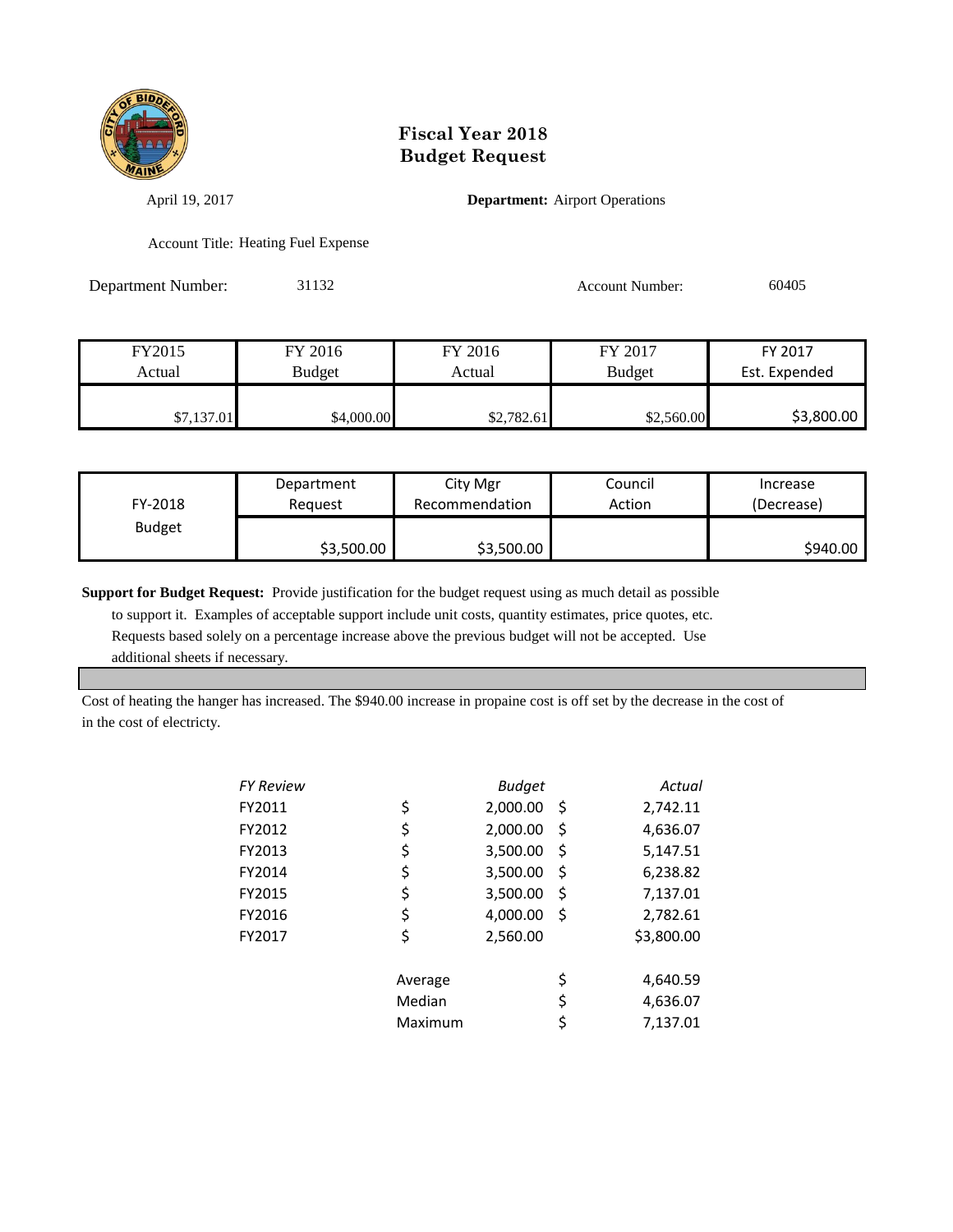

April 19, 2017 **Department:** Airport Operations

Account Title: Heating Fuel Expense

Department Number: 31132 Account Number: 60405

| FY2015     | FY 2016       | FY 2016    | FY 2017       | FY 2017       |
|------------|---------------|------------|---------------|---------------|
| Actual     | <b>Budget</b> | Actual     | <b>Budget</b> | Est. Expended |
|            |               |            |               |               |
| \$7,137.01 | \$4,000.00    | \$2,782.61 | \$2,560.00    | \$3,800.00    |

| FY-2018       | Department | City Mgr       | Council | Increase   |
|---------------|------------|----------------|---------|------------|
|               | Reguest    | Recommendation | Action  | (Decrease) |
| <b>Budget</b> | \$3,500.00 | \$3,500.00     |         | \$940.00   |

**Support for Budget Request:** Provide justification for the budget request using as much detail as possible

 to support it. Examples of acceptable support include unit costs, quantity estimates, price quotes, etc. Requests based solely on a percentage increase above the previous budget will not be accepted. Use additional sheets if necessary.

Cost of heating the hanger has increased. The \$940.00 increase in propaine cost is off set by the decrease in the cost of in the cost of electricty.

| FY Review |         | <b>Budget</b> |    | Actual     |
|-----------|---------|---------------|----|------------|
| FY2011    | \$      | 2,000.00      | S  | 2,742.11   |
| FY2012    | \$      | 2,000.00      | \$ | 4,636.07   |
| FY2013    | \$      | 3,500.00      | \$ | 5,147.51   |
| FY2014    | \$      | 3,500.00      | \$ | 6,238.82   |
| FY2015    | \$      | 3,500.00      | \$ | 7,137.01   |
| FY2016    | \$      | 4,000.00      | \$ | 2,782.61   |
| FY2017    | \$      | 2,560.00      |    | \$3,800.00 |
|           | Average |               | \$ | 4,640.59   |
|           | Median  |               | \$ | 4,636.07   |
|           | Maximum |               | \$ | 7,137.01   |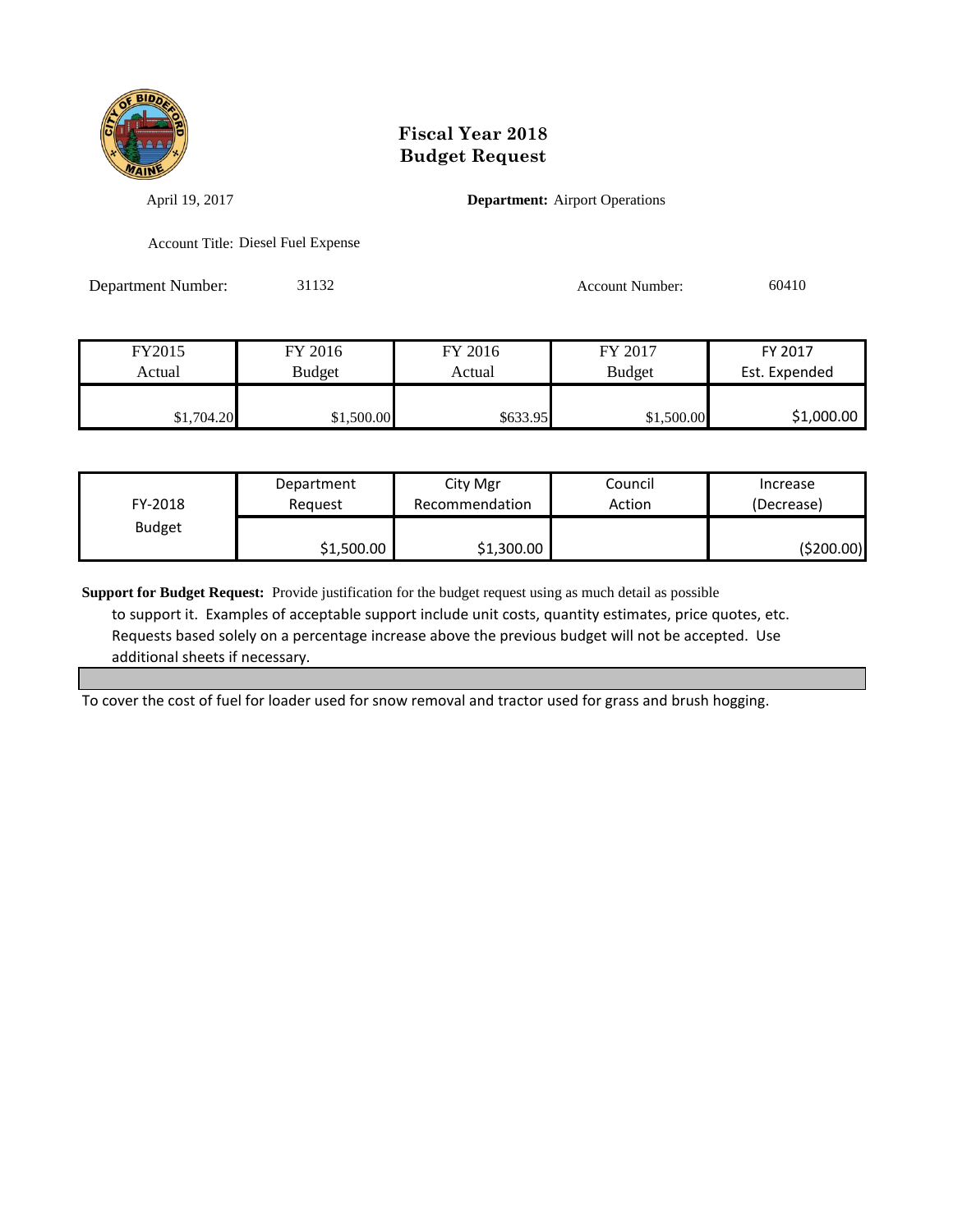

April 19, 2017 **Department:** Airport Operations

Account Title: Diesel Fuel Expense

Department Number: 31132 Account Number: 60410

FY2015 FY 2016 FY 2016 FY 2017 FY 2017 Actual Budget Actual Budget Est. Expended \$1,704.20 \$1,500.00 \$633.95 \$1,500.00 \$1,000.00

| FY-2018       | Department | City Mgr       | Council | Increase    |
|---------------|------------|----------------|---------|-------------|
|               | Reauest    | Recommendation | Action  | (Decrease)  |
| <b>Budget</b> | \$1,500.00 | \$1,300.00     |         | ( \$200.00] |

**Support for Budget Request:** Provide justification for the budget request using as much detail as possible to support it. Examples of acceptable support include unit costs, quantity estimates, price quotes, etc. Requests based solely on a percentage increase above the previous budget will not be accepted. Use additional sheets if necessary.

To cover the cost of fuel for loader used for snow removal and tractor used for grass and brush hogging.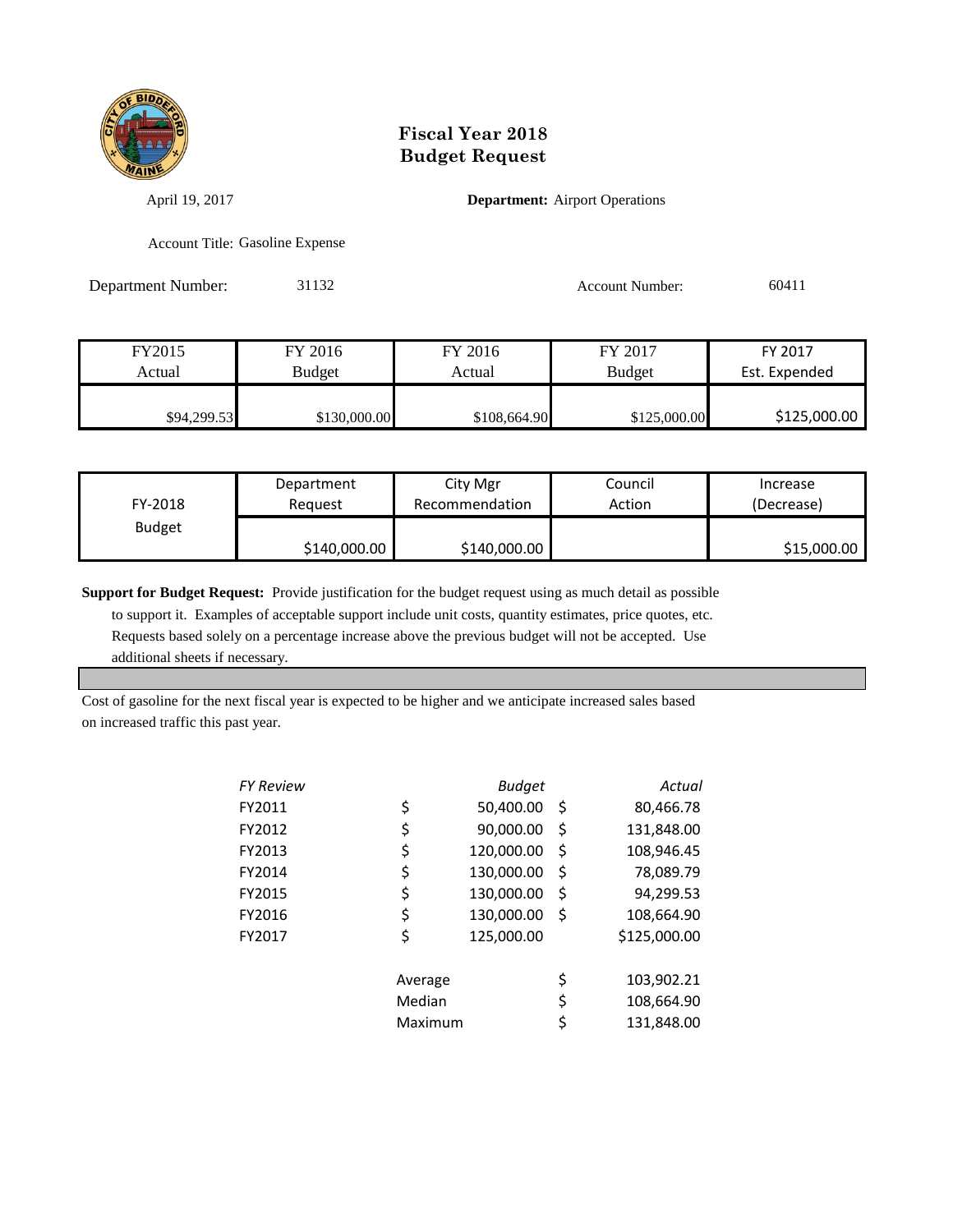

April 19, 2017 **Department:** Airport Operations

Account Title: Gasoline Expense

Department Number: 31132 Account Number: 60411

| FY2015      | FY 2016       | FY 2016      | FY 2017       | FY 2017       |
|-------------|---------------|--------------|---------------|---------------|
| Actual      | <b>Budget</b> | Actual       | <b>Budget</b> | Est. Expended |
| \$94,299.53 | \$130,000.00  | \$108,664.90 | \$125,000.00  | \$125,000.00  |

| FY-2018       | Department   | City Mgr       | Council | Increase    |
|---------------|--------------|----------------|---------|-------------|
|               | Reauest      | Recommendation | Action  | (Decrease)  |
| <b>Budget</b> | \$140,000.00 | \$140,000.00   |         | \$15,000.00 |

**Support for Budget Request:** Provide justification for the budget request using as much detail as possible to support it. Examples of acceptable support include unit costs, quantity estimates, price quotes, etc. Requests based solely on a percentage increase above the previous budget will not be accepted. Use additional sheets if necessary.

Cost of gasoline for the next fiscal year is expected to be higher and we anticipate increased sales based on increased traffic this past year.

| FY Review |         | <b>Budget</b> |     | Actual       |
|-----------|---------|---------------|-----|--------------|
| FY2011    | \$      | 50,400.00     | \$, | 80,466.78    |
| FY2012    | \$      | 90,000.00     | \$  | 131,848.00   |
| FY2013    | \$      | 120,000.00    | Ş   | 108,946.45   |
| FY2014    | \$      | 130,000.00    | \$  | 78,089.79    |
| FY2015    | \$      | 130,000.00    | \$  | 94,299.53    |
| FY2016    | \$      | 130,000.00    | \$  | 108,664.90   |
| FY2017    | \$      | 125,000.00    |     | \$125,000.00 |
|           | Average |               | \$  | 103,902.21   |
|           | Median  |               | \$  | 108,664.90   |
|           | Maximum |               | \$  | 131,848.00   |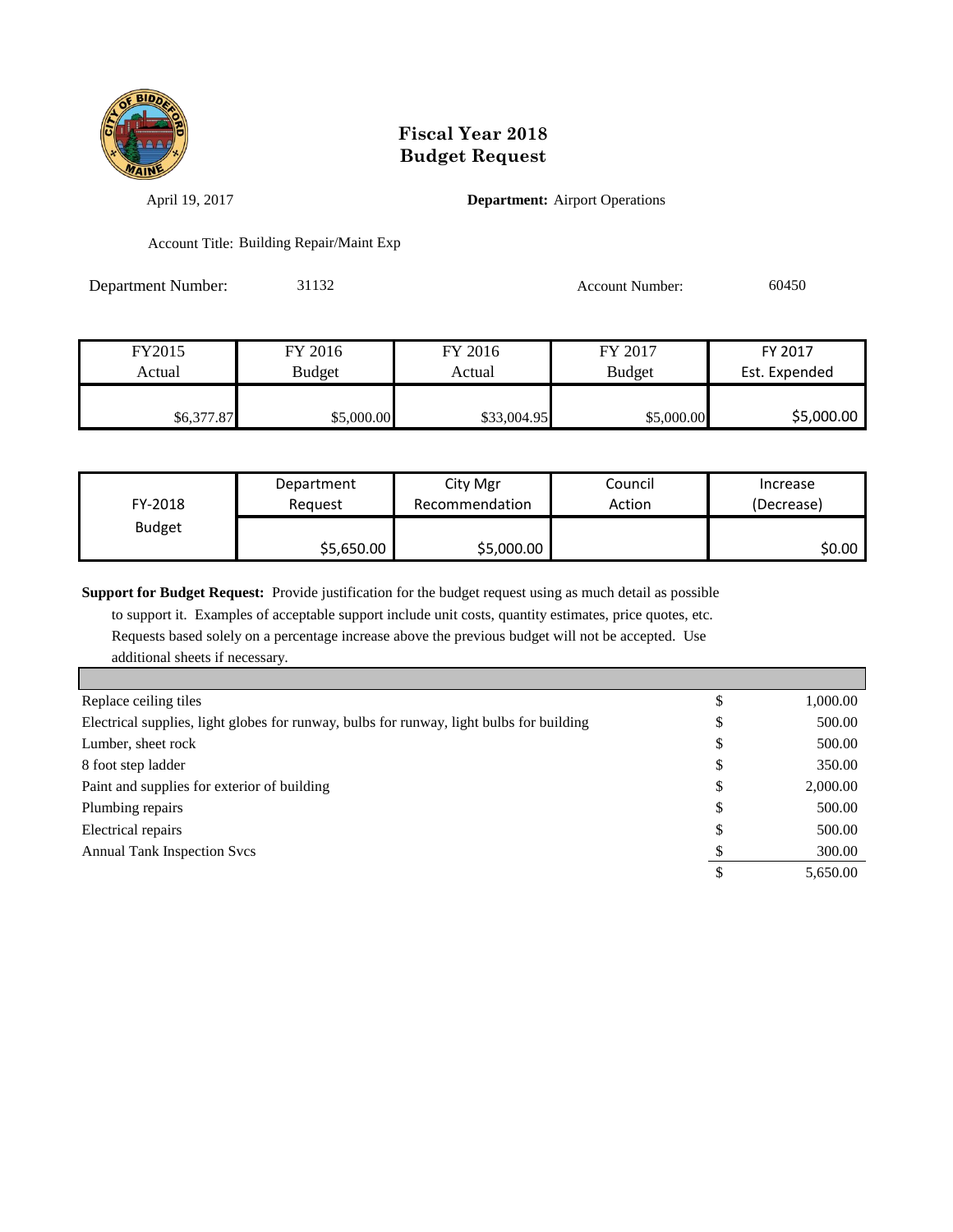

April 19, 2017 **Department:** Airport Operations

Account Title: Building Repair/Maint Exp

Department Number: 31132 Account Number: 60450

| FY2015     | FY 2016       | FY 2016     | FY 2017       | FY 2017       |
|------------|---------------|-------------|---------------|---------------|
| Actual     | <b>Budget</b> | Actual      | <b>Budget</b> | Est. Expended |
|            |               |             |               |               |
| \$6,377.87 | \$5,000.00    | \$33,004.95 | \$5,000.00    | \$5,000.00    |

| FY-2018       | Department | City Mgr       | Council | Increase   |
|---------------|------------|----------------|---------|------------|
|               | Reauest    | Recommendation | Action  | (Decrease) |
| <b>Budget</b> | \$5,650.00 | \$5,000.00     |         | \$0.00     |

**Support for Budget Request:** Provide justification for the budget request using as much detail as possible

 to support it. Examples of acceptable support include unit costs, quantity estimates, price quotes, etc. Requests based solely on a percentage increase above the previous budget will not be accepted. Use additional sheets if necessary.

| Replace ceiling tiles                                                                    |    | 1,000.00 |
|------------------------------------------------------------------------------------------|----|----------|
| Electrical supplies, light globes for runway, bulbs for runway, light bulbs for building | ◡  | 500.00   |
| Lumber, sheet rock                                                                       | D  | 500.00   |
| 8 foot step ladder                                                                       | Φ  | 350.00   |
| Paint and supplies for exterior of building                                              | Φ  | 2,000.00 |
| Plumbing repairs                                                                         | D  | 500.00   |
| Electrical repairs                                                                       | ۰D | 500.00   |
| <b>Annual Tank Inspection Svcs</b>                                                       |    | 300.00   |
|                                                                                          |    | 5,650.00 |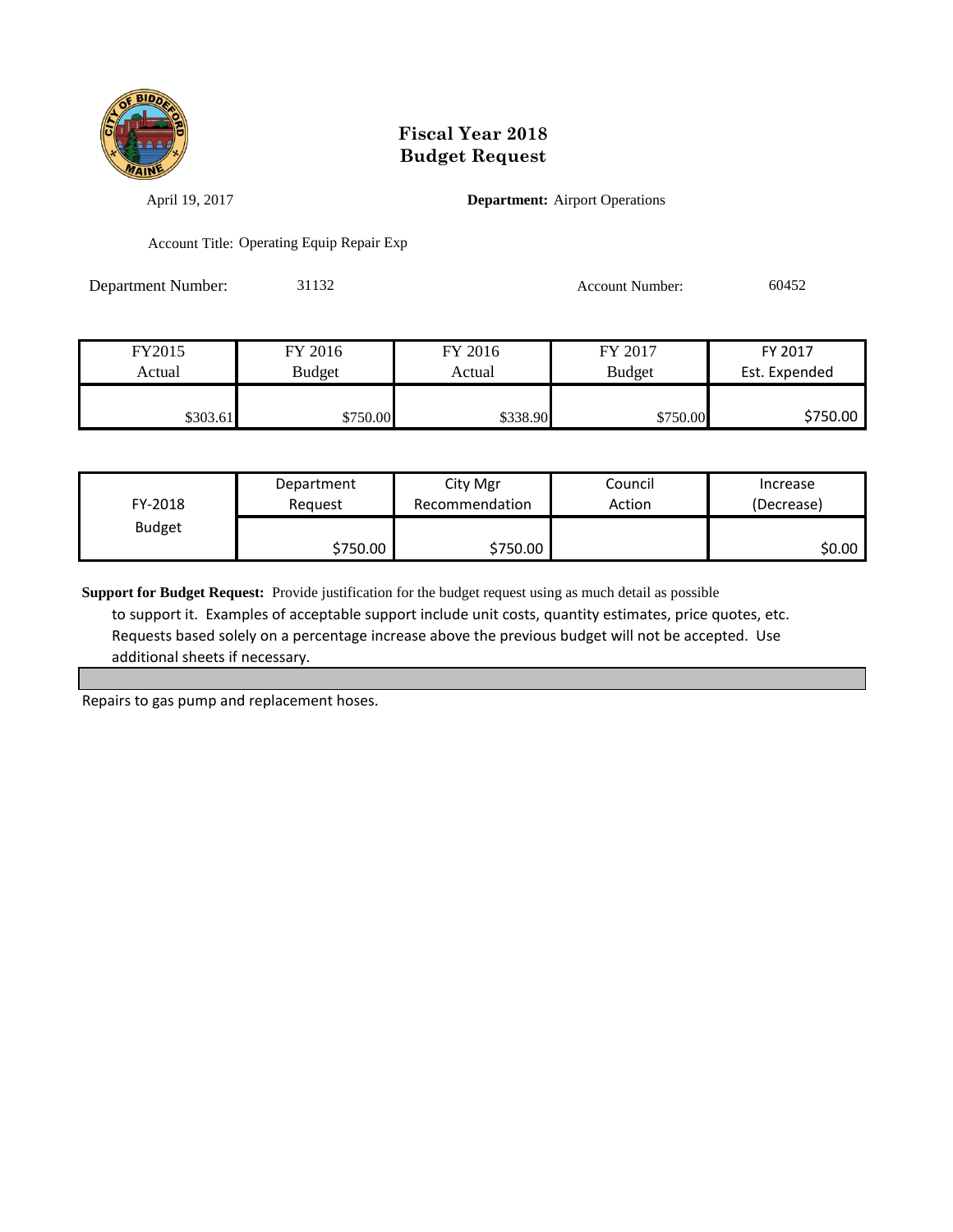

April 19, 2017 **Department:** Airport Operations

Account Title: Operating Equip Repair Exp

Department Number: 31132 Account Number: 60452

| FY2015   | FY 2016  | FY 2016  | FY 2017       | FY 2017       |
|----------|----------|----------|---------------|---------------|
| Actual   | Budget   | Actual   | <b>Budget</b> | Est. Expended |
|          |          |          |               |               |
| \$303.61 | \$750.00 | \$338.90 | \$750.00      | \$750.00      |

| FY-2018       | Department | City Mgr       | Council | Increase   |
|---------------|------------|----------------|---------|------------|
|               | Reauest    | Recommendation | Action  | (Decrease) |
| <b>Budget</b> | \$750.00   | \$750.00       |         | \$0.00     |

**Support for Budget Request:** Provide justification for the budget request using as much detail as possible to support it. Examples of acceptable support include unit costs, quantity estimates, price quotes, etc. Requests based solely on a percentage increase above the previous budget will not be accepted. Use additional sheets if necessary.

Repairs to gas pump and replacement hoses.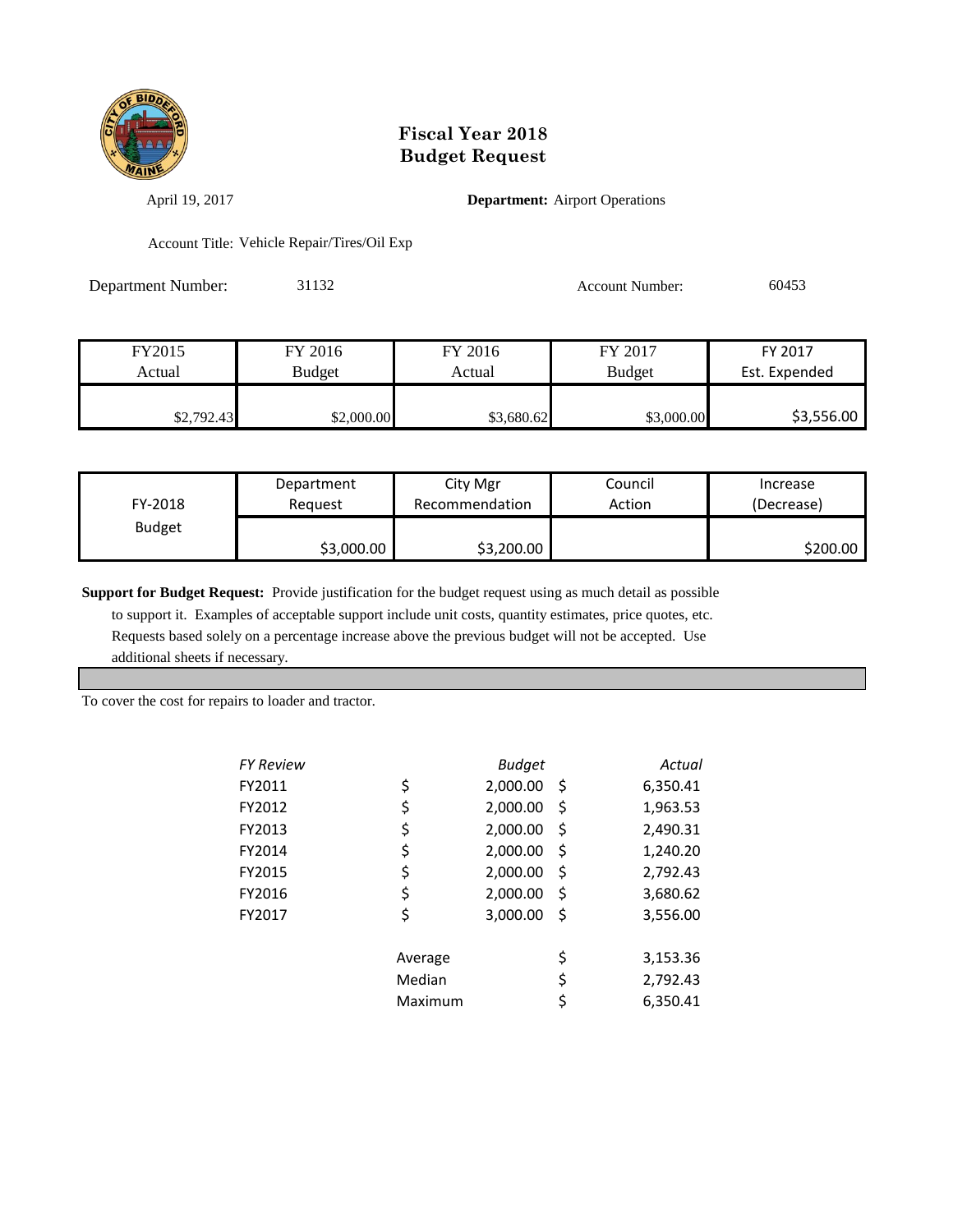

April 19, 2017 **Department:** Airport Operations

Account Title: Vehicle Repair/Tires/Oil Exp

Department Number: 31132 Account Number: 60453

| FY2015     | FY 2016       | FY 2016    | FY 2017       | FY 2017       |
|------------|---------------|------------|---------------|---------------|
| Actual     | <b>Budget</b> | Actual     | <b>Budget</b> | Est. Expended |
|            |               |            |               |               |
| \$2,792.43 | \$2,000.00    | \$3,680.62 | \$3,000.00    | \$3,556.00    |

| FY-2018       | Department | City Mgr       | Council | Increase   |
|---------------|------------|----------------|---------|------------|
|               | Reauest    | Recommendation | Action  | (Decrease) |
| <b>Budget</b> | \$3,000.00 | \$3,200.00     |         | \$200.00   |

**Support for Budget Request:** Provide justification for the budget request using as much detail as possible

 to support it. Examples of acceptable support include unit costs, quantity estimates, price quotes, etc. Requests based solely on a percentage increase above the previous budget will not be accepted. Use additional sheets if necessary.

To cover the cost for repairs to loader and tractor.

| FY Review |         | <b>Budget</b> |      | Actual   |
|-----------|---------|---------------|------|----------|
| FY2011    | \$      | 2,000.00      | - \$ | 6,350.41 |
| FY2012    | \$      | 2,000.00      | \$   | 1,963.53 |
| FY2013    | \$      | 2,000.00      | \$   | 2,490.31 |
| FY2014    | \$      | 2,000.00      | S    | 1,240.20 |
| FY2015    | \$      | 2,000.00      | \$   | 2,792.43 |
| FY2016    | \$      | 2,000.00      | S    | 3,680.62 |
| FY2017    | \$      | 3,000.00      | Ś    | 3,556.00 |
|           |         |               |      |          |
|           | Average |               | \$   | 3,153.36 |
|           | Median  |               | \$   | 2,792.43 |

Maximum \$ 6,350.41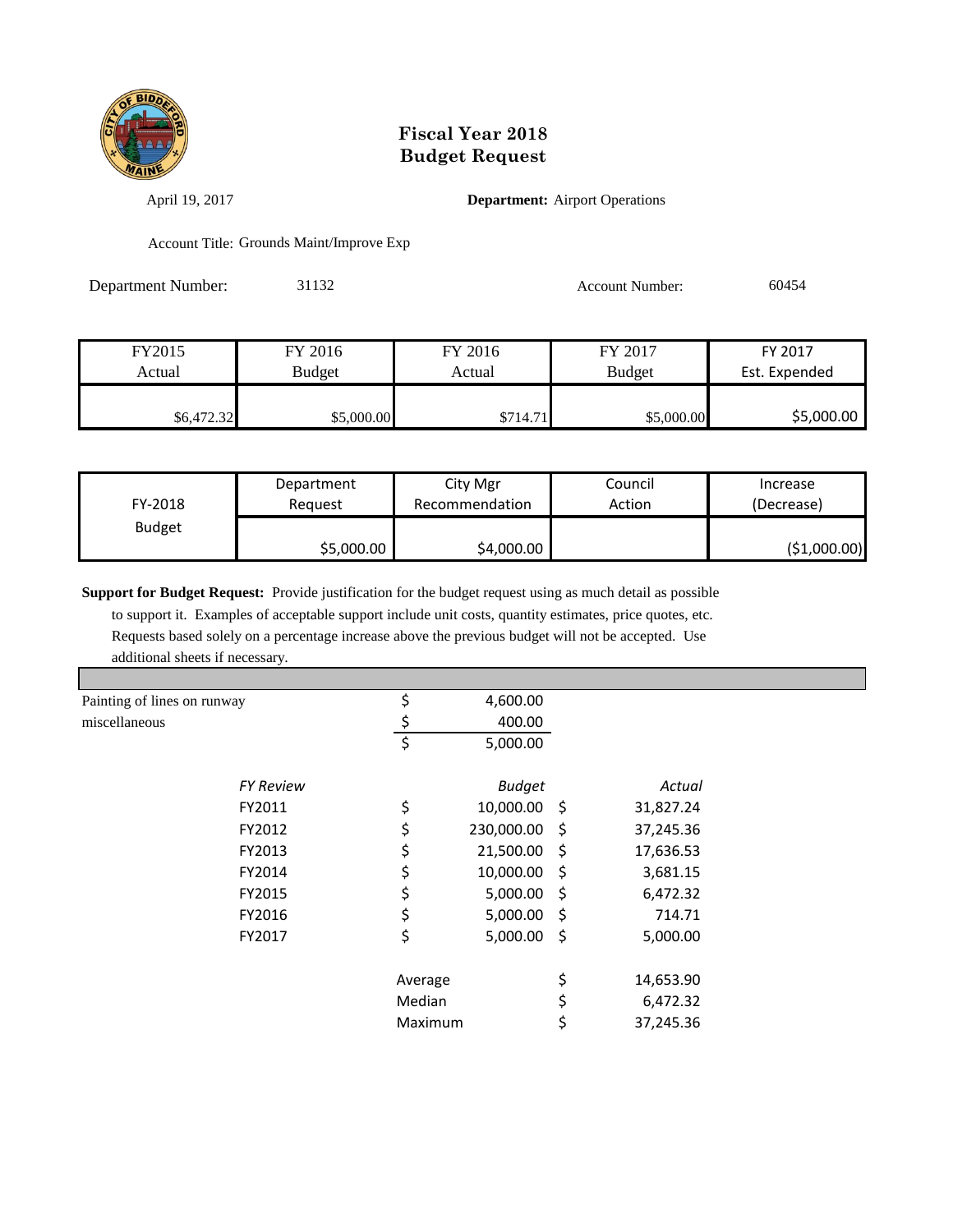

April 19, 2017 **Department:** Airport Operations

Account Title: Grounds Maint/Improve Exp

Department Number: 31132 Account Number: 60454

| FY2015     | FY 2016       | FY 2016  | FY 2017       | FY 2017       |
|------------|---------------|----------|---------------|---------------|
| Actual     | <b>Budget</b> | Actual   | <b>Budget</b> | Est. Expended |
|            |               |          |               |               |
| \$6,472.32 | \$5,000.00    | \$714.71 | \$5,000.00    | \$5,000.00    |

| FY-2018       | Department | City Mgr       | Council | Increase      |
|---------------|------------|----------------|---------|---------------|
|               | Reauest    | Recommendation | Action  | (Decrease)    |
| <b>Budget</b> | \$5,000.00 | \$4,000.00     |         | ( \$1,000.00) |

**Support for Budget Request:** Provide justification for the budget request using as much detail as possible

 to support it. Examples of acceptable support include unit costs, quantity estimates, price quotes, etc. Requests based solely on a percentage increase above the previous budget will not be accepted. Use additional sheets if necessary.

| Painting of lines on runway |                  | \$      | 4,600.00      |                 |  |
|-----------------------------|------------------|---------|---------------|-----------------|--|
| miscellaneous               |                  | Ş       | 400.00        |                 |  |
|                             |                  | $\zeta$ | 5,000.00      |                 |  |
|                             | <b>FY Review</b> |         | <b>Budget</b> | Actual          |  |
|                             | FY2011           | \$      | 10,000.00 \$  | 31,827.24       |  |
|                             | FY2012           | \$      | 230,000.00 \$ | 37,245.36       |  |
|                             | FY2013           | \$      | 21,500.00 \$  | 17,636.53       |  |
|                             | FY2014           | \$      | 10,000.00 \$  | 3,681.15        |  |
|                             | FY2015           | \$      | $5,000.00$ \$ | 6,472.32        |  |
|                             | FY2016           | \$      | $5,000.00$ \$ | 714.71          |  |
|                             | FY2017           | \$      | $5,000.00$ \$ | 5,000.00        |  |
|                             |                  | Average |               | \$<br>14,653.90 |  |
|                             |                  | Median  |               | \$<br>6,472.32  |  |
|                             |                  | Maximum |               | \$<br>37,245.36 |  |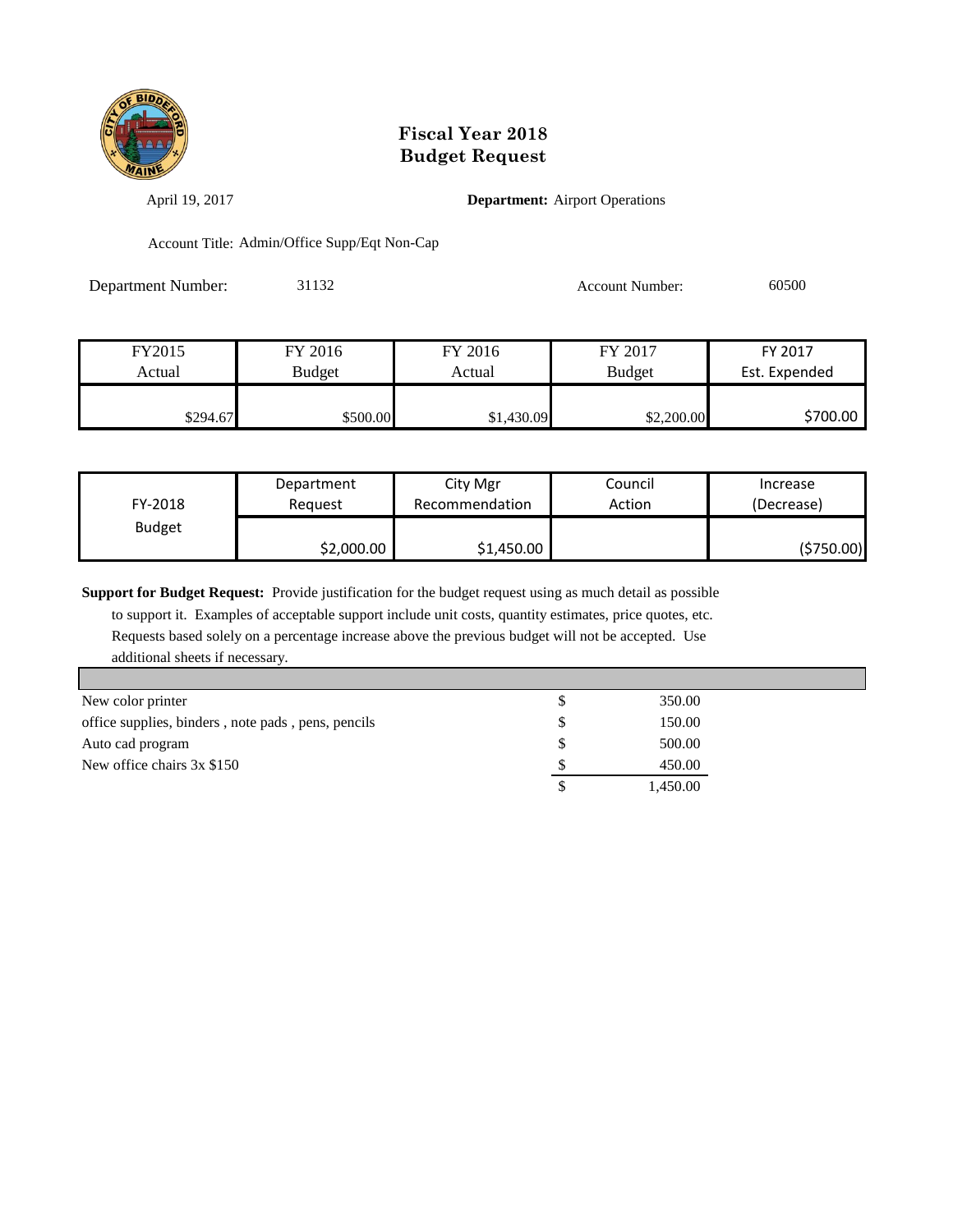

April 19, 2017 **Department:** Airport Operations

Account Title: Admin/Office Supp/Eqt Non-Cap

Department Number: 31132 Account Number: 60500

| FY2015   | FY 2016       | FY 2016    | FY 2017       | FY 2017       |
|----------|---------------|------------|---------------|---------------|
| Actual   | <b>Budget</b> | Actual     | <b>Budget</b> | Est. Expended |
|          |               |            |               |               |
| \$294.67 | \$500.00      | \$1,430.09 | \$2,200.00    | \$700.00      |

| FY-2018       | Department | City Mgr       | Council | Increase   |
|---------------|------------|----------------|---------|------------|
|               | Reauest    | Recommendation | Action  | (Decrease) |
| <b>Budget</b> | \$2,000.00 | \$1,450.00     |         | (\$750.00) |

**Support for Budget Request:** Provide justification for the budget request using as much detail as possible

 to support it. Examples of acceptable support include unit costs, quantity estimates, price quotes, etc. Requests based solely on a percentage increase above the previous budget will not be accepted. Use additional sheets if necessary.

| New color printer                                  | 350.00   |
|----------------------------------------------------|----------|
| office supplies, binders, note pads, pens, pencils | 150.00   |
| Auto cad program                                   | 500.00   |
| New office chairs 3x \$150                         | 450.00   |
|                                                    | 1,450.00 |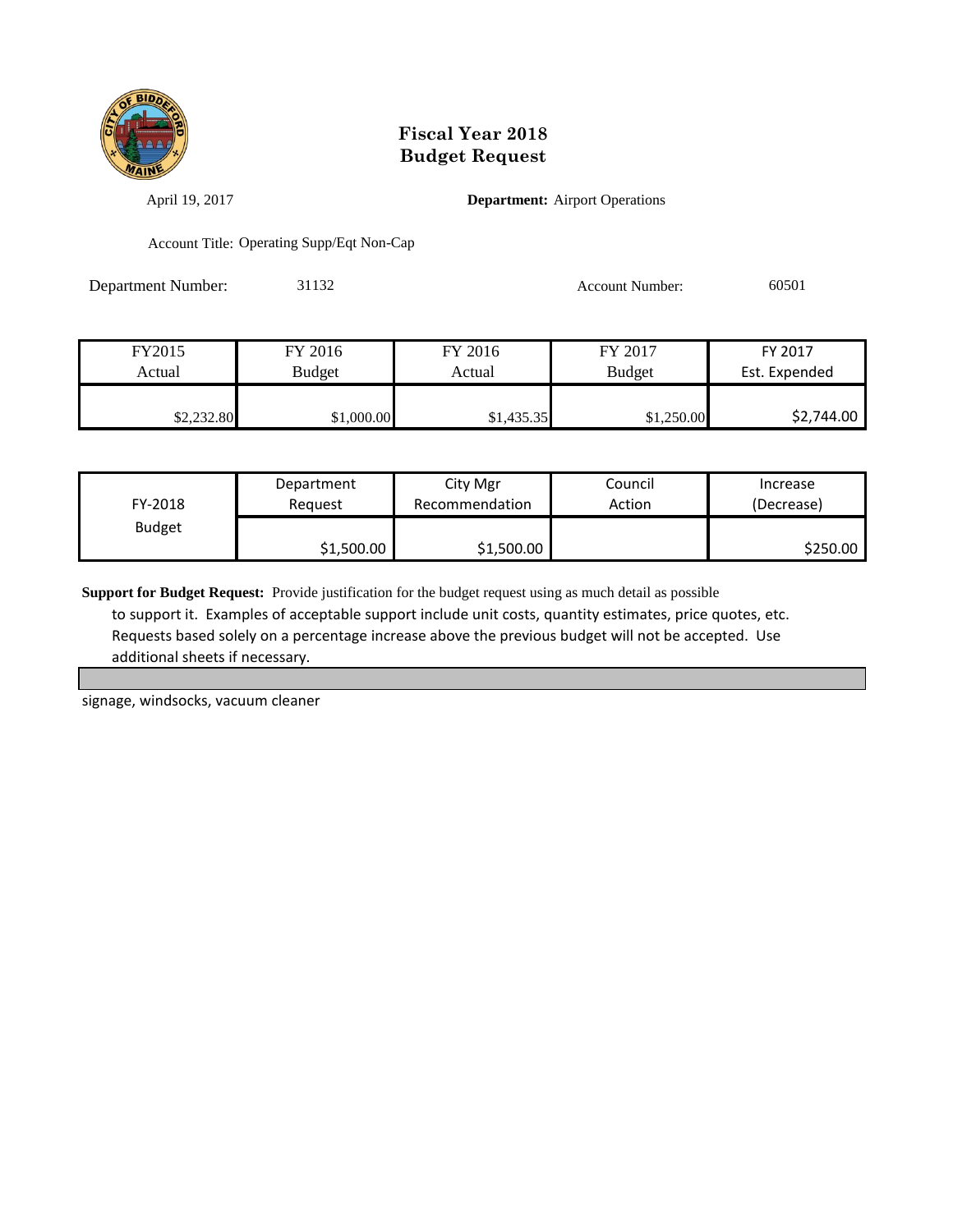

April 19, 2017 **Department:** Airport Operations

Account Title: Operating Supp/Eqt Non-Cap

Department Number: 31132 Account Number: 60501

| FY2015     | FY 2016       | FY 2016    | FY 2017       | FY 2017       |
|------------|---------------|------------|---------------|---------------|
| Actual     | <b>Budget</b> | Actual     | <b>Budget</b> | Est. Expended |
|            |               |            |               |               |
| \$2,232.80 | \$1,000.00    | \$1,435.35 | \$1,250.00    | \$2,744.00    |

| FY-2018       | Department | City Mgr       | Council | Increase   |
|---------------|------------|----------------|---------|------------|
|               | Reauest    | Recommendation | Action  | (Decrease) |
| <b>Budget</b> | \$1,500.00 | \$1,500.00     |         | \$250.00   |

**Support for Budget Request:** Provide justification for the budget request using as much detail as possible to support it. Examples of acceptable support include unit costs, quantity estimates, price quotes, etc. Requests based solely on a percentage increase above the previous budget will not be accepted. Use additional sheets if necessary.

signage, windsocks, vacuum cleaner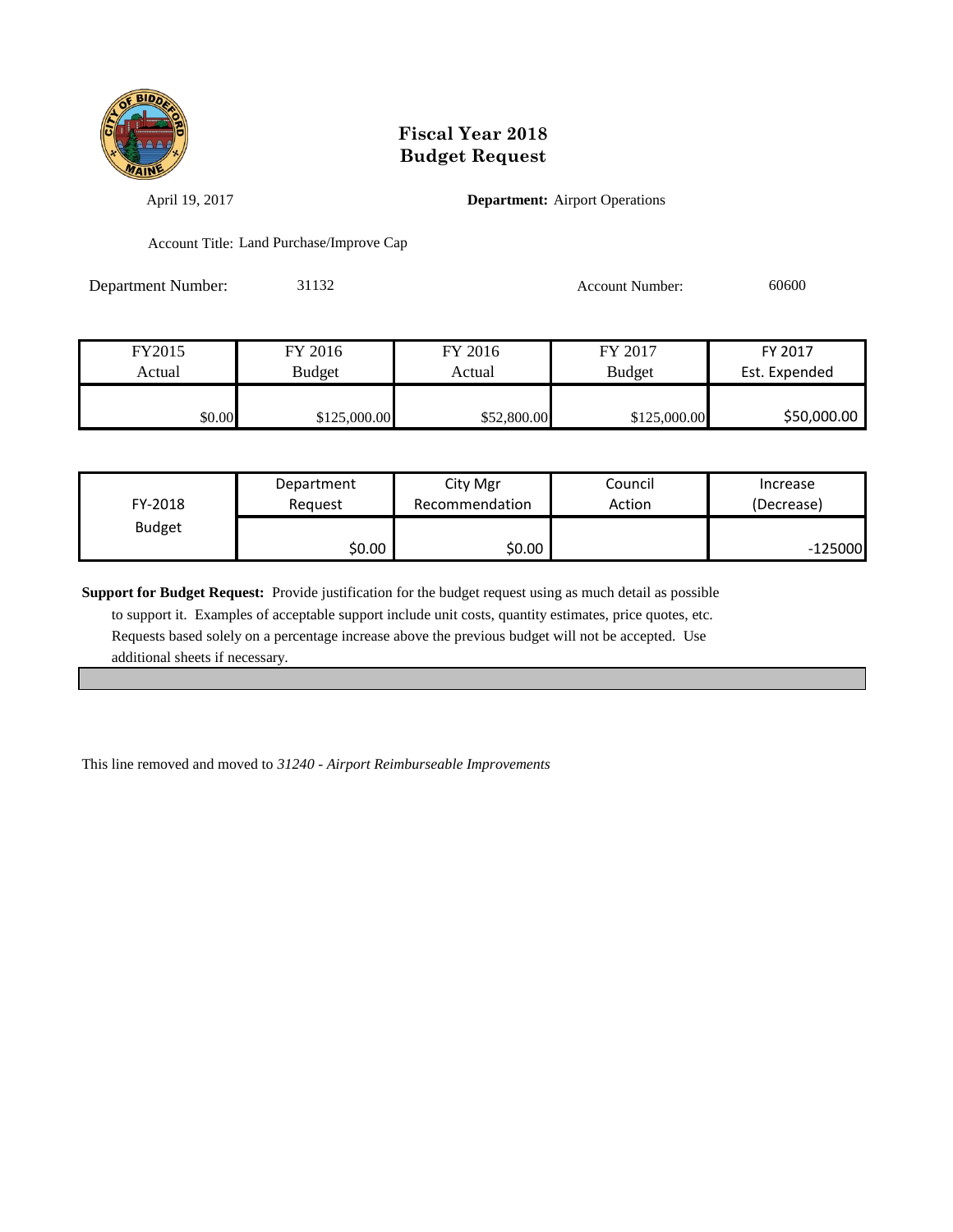

April 19, 2017 **Department:** Airport Operations

Account Title: Land Purchase/Improve Cap

Department Number: 31132 Account Number: 60600

| FY2015 | FY 2016       | FY 2016     | FY 2017       | FY 2017       |
|--------|---------------|-------------|---------------|---------------|
| Actual | <b>Budget</b> | Actual      | <b>Budget</b> | Est. Expended |
|        |               |             |               |               |
| \$0.00 | \$125,000.00  | \$52,800.00 | \$125,000.00  | \$50,000.00   |

| FY-2018       | Department | City Mgr       | Council | Increase   |
|---------------|------------|----------------|---------|------------|
|               | Reauest    | Recommendation | Action  | (Decrease) |
| <b>Budget</b> | \$0.00     | \$0.00         |         | $-125000$  |

**Support for Budget Request:** Provide justification for the budget request using as much detail as possible to support it. Examples of acceptable support include unit costs, quantity estimates, price quotes, etc. Requests based solely on a percentage increase above the previous budget will not be accepted. Use additional sheets if necessary.

This line removed and moved to *31240 - Airport Reimburseable Improvements*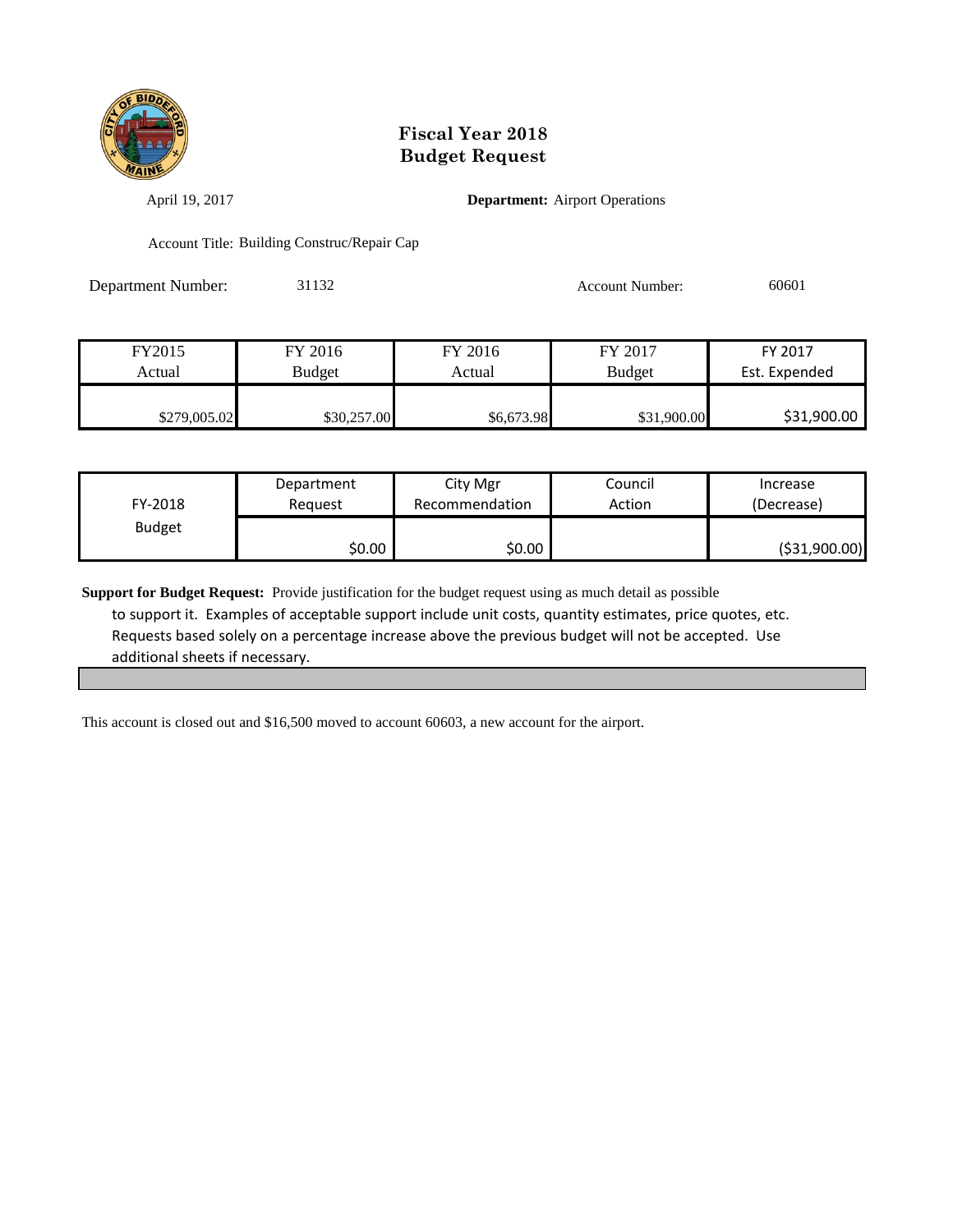

April 19, 2017 **Department:** Airport Operations

Account Title: Building Construc/Repair Cap

Department Number: 31132 Account Number: 60601

| FY2015       | FY 2016     | FY 2016    | FY 2017       | FY 2017       |
|--------------|-------------|------------|---------------|---------------|
| Actual       | Budget      | Actual     | <b>Budget</b> | Est. Expended |
|              |             |            |               |               |
| \$279,005.02 | \$30,257.00 | \$6,673.98 | \$31,900.00   | \$31,900.00   |

| FY-2018       | Department | City Mgr       | Council | Increase       |
|---------------|------------|----------------|---------|----------------|
|               | Reauest    | Recommendation | Action  | (Decrease)     |
| <b>Budget</b> | \$0.00     | \$0.00         |         | ( \$31,900.00) |

**Support for Budget Request:** Provide justification for the budget request using as much detail as possible to support it. Examples of acceptable support include unit costs, quantity estimates, price quotes, etc. Requests based solely on a percentage increase above the previous budget will not be accepted. Use additional sheets if necessary.

This account is closed out and \$16,500 moved to account 60603, a new account for the airport.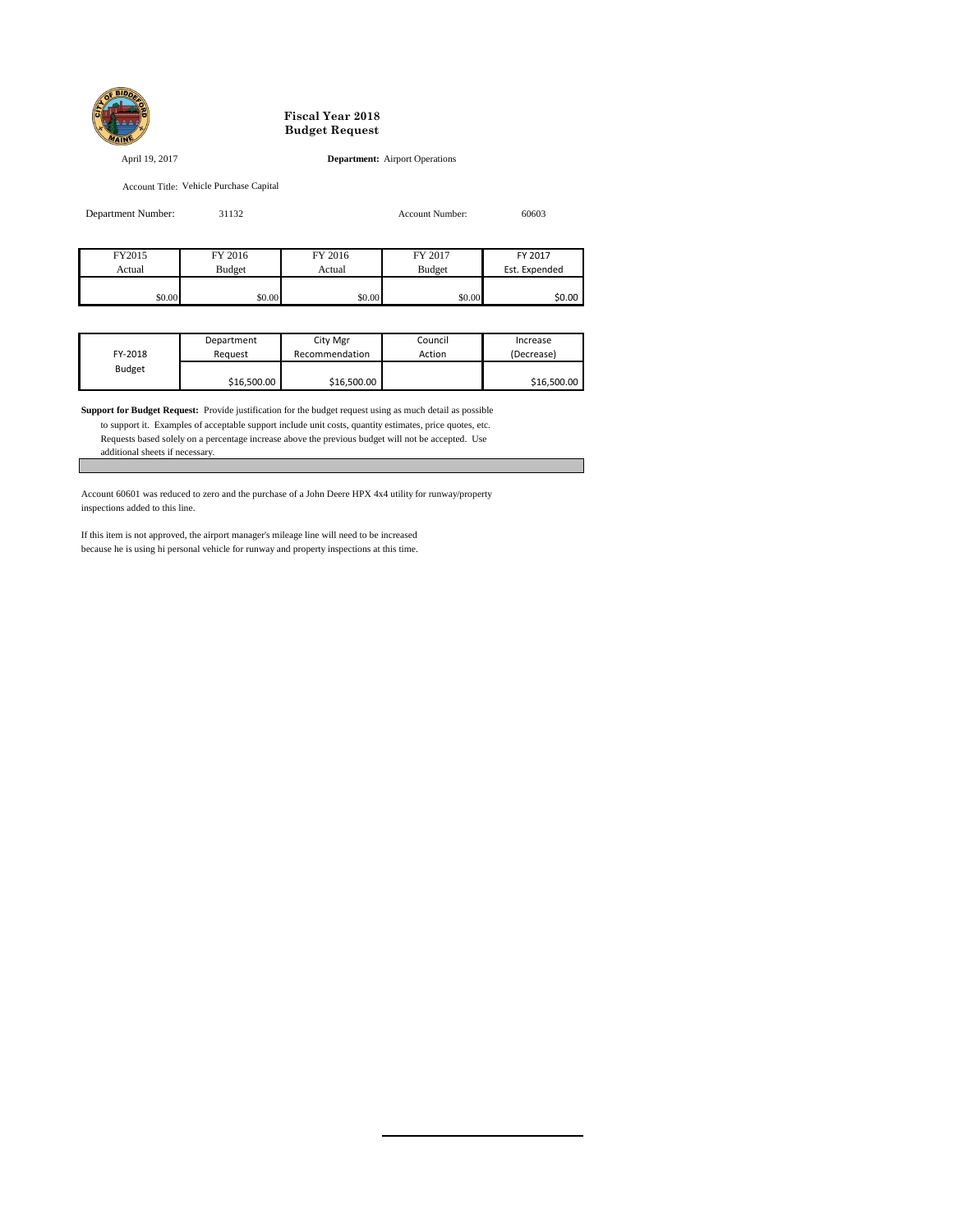

April 19, 2017 **Department:** Airport Operations

Account Title: Vehicle Purchase Capital

| Department Number: | 31132         |         | Account Number: | 60603         |
|--------------------|---------------|---------|-----------------|---------------|
|                    |               |         |                 |               |
| FY2015             | FY 2016       | FY 2016 | FY 2017         | FY 2017       |
| Actual             | <b>Budget</b> | Actual  | Budget          | Est. Expended |
|                    |               |         |                 |               |

\$0.00 \$0.00 \$0.00 \$0.00 \$0.00 \$0.00 \$0.00 \$0.00

|               | Department  | City Mgr       | Council | Increase    |
|---------------|-------------|----------------|---------|-------------|
| FY-2018       | Reauest     | Recommendation | Action  | (Decrease)  |
| <b>Budget</b> |             |                |         |             |
|               | \$16,500.00 | \$16,500.00    |         | \$16,500.00 |

**Support for Budget Request:** Provide justification for the budget request using as much detail as possible

 to support it. Examples of acceptable support include unit costs, quantity estimates, price quotes, etc. Requests based solely on a percentage increase above the previous budget will not be accepted. Use additional sheets if necessary.

Account 60601 was reduced to zero and the purchase of a John Deere HPX 4x4 utility for runway/property inspections added to this line.

If this item is not approved, the airport manager's mileage line will need to be increased because he is using hi personal vehicle for runway and property inspections at this time.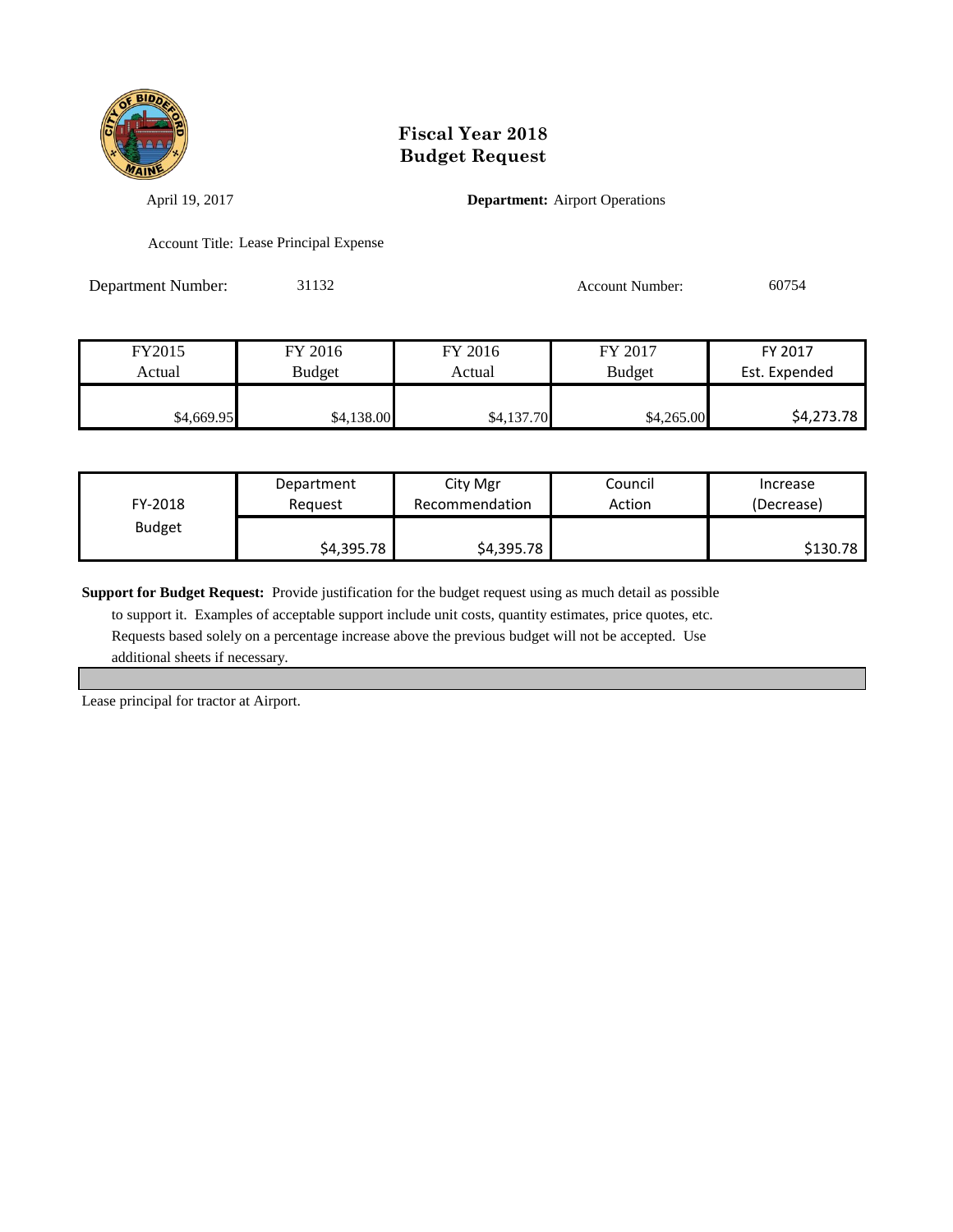

April 19, 2017 **Department:** Airport Operations

Account Title: Lease Principal Expense

Department Number: 31132 Account Number: 60754

| FY2015     | FY 2016       | FY 2016    | FY 2017       | FY 2017       |
|------------|---------------|------------|---------------|---------------|
| Actual     | <b>Budget</b> | Actual     | <b>Budget</b> | Est. Expended |
|            |               |            |               |               |
| \$4,669.95 | \$4,138.00    | \$4,137.70 | \$4,265.00    | \$4,273.78    |

| FY-2018       | Department | City Mgr       | Council | Increase   |
|---------------|------------|----------------|---------|------------|
|               | Reauest    | Recommendation | Action  | (Decrease) |
| <b>Budget</b> | \$4,395.78 | \$4,395.78     |         | \$130.78   |

**Support for Budget Request:** Provide justification for the budget request using as much detail as possible

 to support it. Examples of acceptable support include unit costs, quantity estimates, price quotes, etc. Requests based solely on a percentage increase above the previous budget will not be accepted. Use additional sheets if necessary.

Lease principal for tractor at Airport.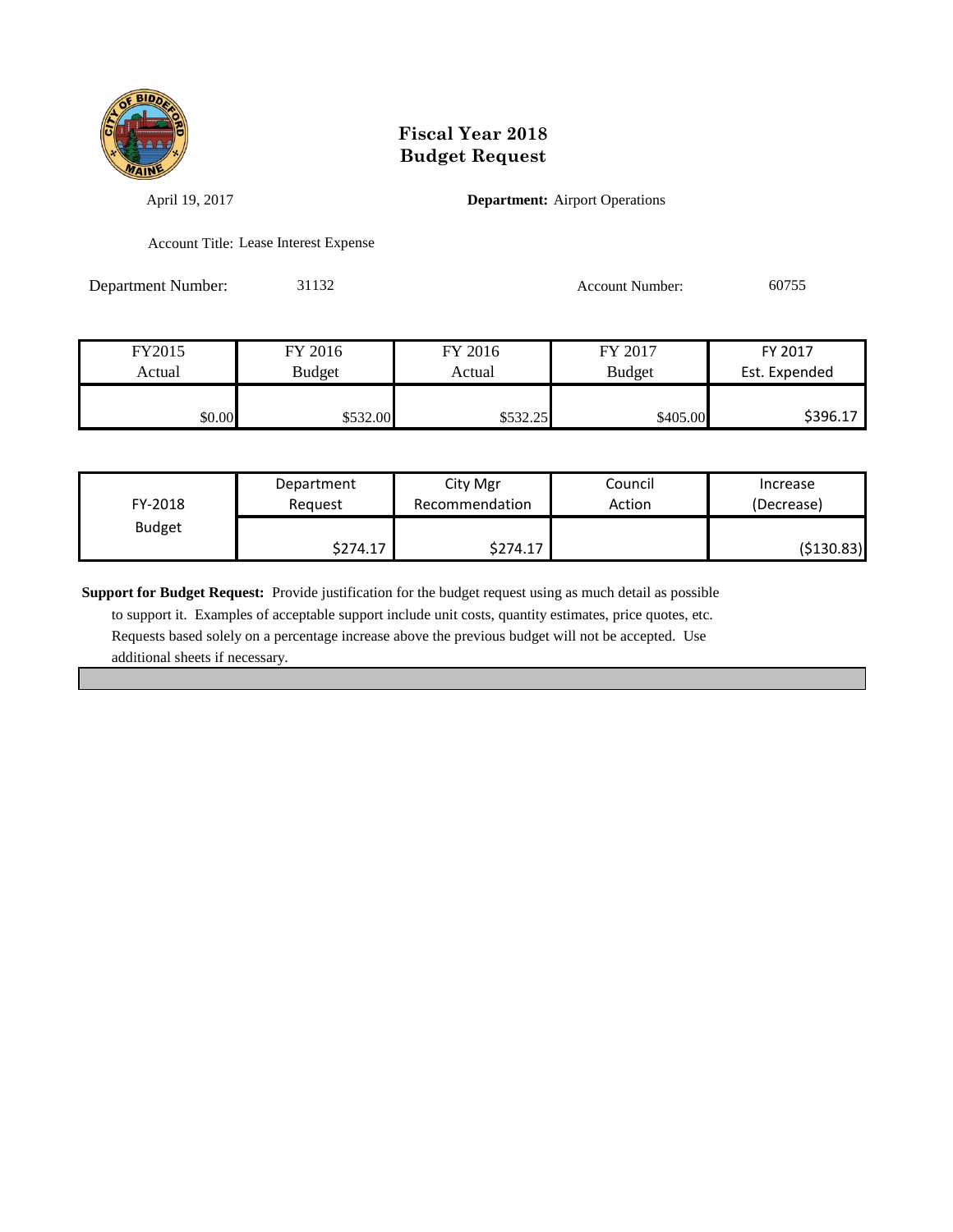

April 19, 2017 **Department:** Airport Operations

Account Title: Lease Interest Expense

Department Number: 31132 Account Number: 60755

| FY2015 | FY 2016  | FY 2016   | FY 2017       | FY 2017       |
|--------|----------|-----------|---------------|---------------|
| Actual | Budget   | Actual    | <b>Budget</b> | Est. Expended |
|        |          |           |               |               |
| \$0.00 | \$532.00 | \$532.25" | \$405.00      | \$396.17      |

| FY-2018       | Department | City Mgr       | Council | Increase   |
|---------------|------------|----------------|---------|------------|
|               | Reauest    | Recommendation | Action  | (Decrease) |
| <b>Budget</b> | \$274.17   | \$274.17       |         | (\$130.83) |

**Support for Budget Request:** Provide justification for the budget request using as much detail as possible

 to support it. Examples of acceptable support include unit costs, quantity estimates, price quotes, etc. Requests based solely on a percentage increase above the previous budget will not be accepted. Use additional sheets if necessary.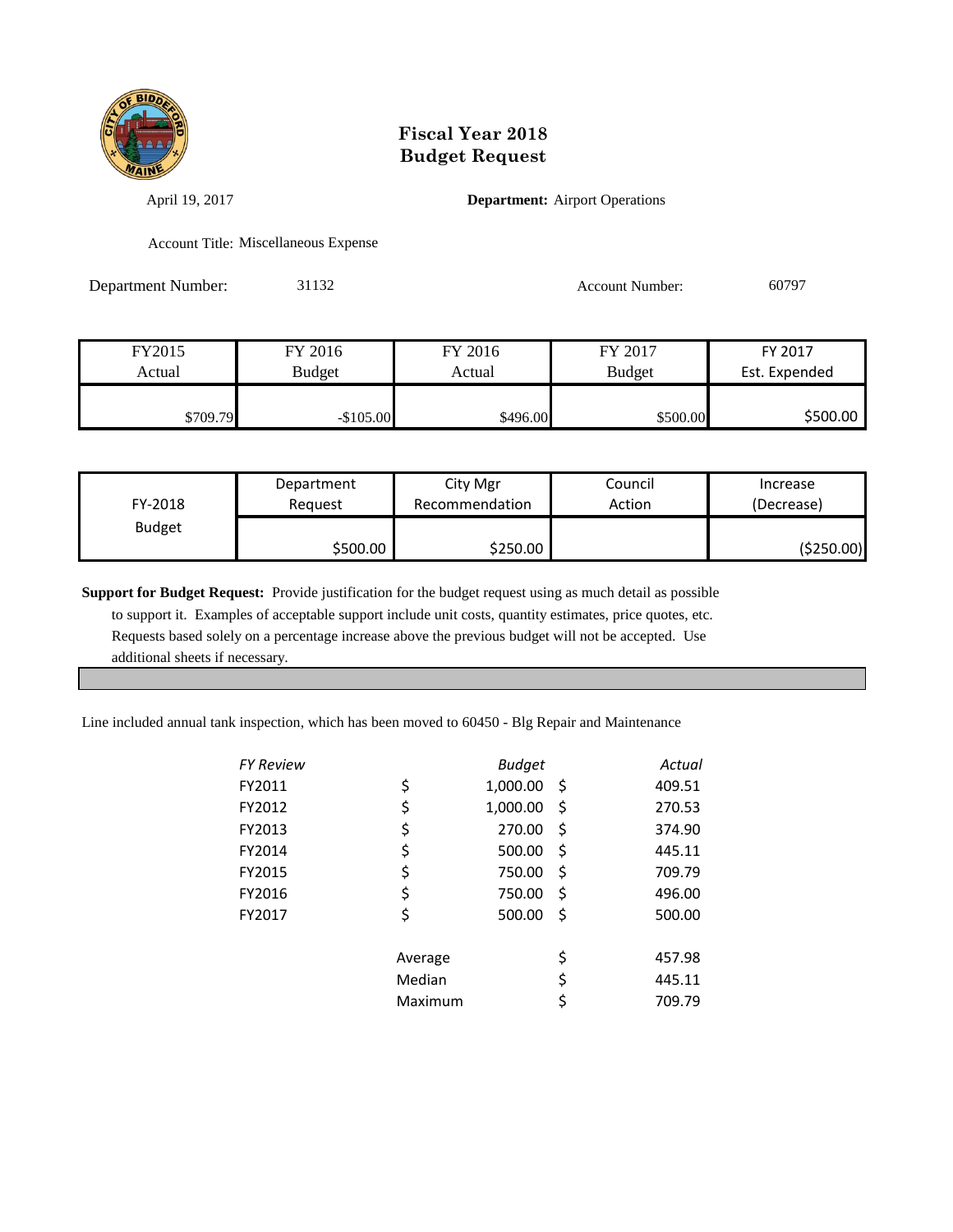

April 19, 2017 **Department:** Airport Operations

Account Title: Miscellaneous Expense

Department Number: 31132 Account Number: 60797

| FY2015   | FY 2016       | FY 2016  | FY 2017       | FY 2017       |
|----------|---------------|----------|---------------|---------------|
| Actual   | <b>Budget</b> | Actual   | <b>Budget</b> | Est. Expended |
|          |               |          |               |               |
| \$709.79 | $-$105.00$    | \$496.00 | \$500.00      | \$500.00      |

| FY-2018       | Department | City Mgr       | Council | Increase   |
|---------------|------------|----------------|---------|------------|
|               | Reauest    | Recommendation | Action  | (Decrease) |
| <b>Budget</b> | \$500.00   | \$250.00       |         | (\$250.00) |

**Support for Budget Request:** Provide justification for the budget request using as much detail as possible to support it. Examples of acceptable support include unit costs, quantity estimates, price quotes, etc. Requests based solely on a percentage increase above the previous budget will not be accepted. Use additional sheets if necessary.

Line included annual tank inspection, which has been moved to 60450 - Blg Repair and Maintenance

| FY Review |         | <b>Budget</b> |     | Actual |
|-----------|---------|---------------|-----|--------|
| FY2011    | \$      | 1,000.00      | -\$ | 409.51 |
| FY2012    | \$      | 1,000.00      | Ş   | 270.53 |
| FY2013    | \$      | 270.00        | \$  | 374.90 |
| FY2014    | \$      | 500.00        | \$  | 445.11 |
| FY2015    | \$      | 750.00        | \$  | 709.79 |
| FY2016    | \$      | 750.00        | \$  | 496.00 |
| FY2017    | \$      | 500.00        | \$  | 500.00 |
|           | Average |               | \$  | 457.98 |
|           | Median  |               | \$  | 445.11 |
|           | Maximum |               | \$  | 709.79 |